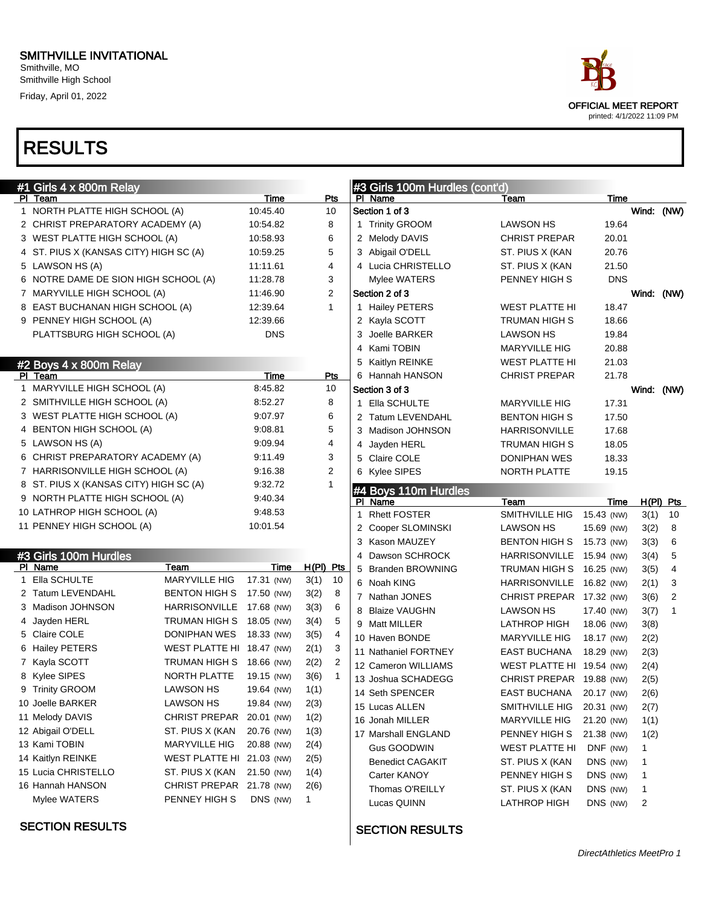Smithville, MO Smithville High School Friday, April 01, 2022

# RESULTS

| ace.                                               |
|----------------------------------------------------|
| OFFICIAL MEET REPORT<br>printed: 4/1/2022 11:09 PM |

| #1 Girls 4 x 800m Relay                |                           |             |                |                | #3 Girls 100m Hurdles (cont'd)  |                           |            |        |                |
|----------------------------------------|---------------------------|-------------|----------------|----------------|---------------------------------|---------------------------|------------|--------|----------------|
| PI Team                                |                           | Time        | Pts            |                | PI Name                         | Team                      | Time       |        |                |
| 1 NORTH PLATTE HIGH SCHOOL (A)         |                           | 10:45.40    | 10             |                | Section 1 of 3                  |                           |            |        | Wind: (NW)     |
| 2 CHRIST PREPARATORY ACADEMY (A)       |                           | 10:54.82    | 8              |                | 1 Trinity GROOM                 | <b>LAWSON HS</b>          | 19.64      |        |                |
| 3 WEST PLATTE HIGH SCHOOL (A)          |                           | 10:58.93    | 6              |                | 2 Melody DAVIS                  | <b>CHRIST PREPAR</b>      | 20.01      |        |                |
| 4 ST. PIUS X (KANSAS CITY) HIGH SC (A) |                           | 10:59.25    | 5              |                | 3 Abigail O'DELL                | ST. PIUS X (KAN           | 20.76      |        |                |
| 5 LAWSON HS (A)                        |                           | 11:11.61    | 4              |                | 4 Lucia CHRISTELLO              | ST. PIUS X (KAN           | 21.50      |        |                |
| 6 NOTRE DAME DE SION HIGH SCHOOL (A)   |                           | 11:28.78    | 3              |                | Mylee WATERS                    | PENNEY HIGH S             | <b>DNS</b> |        |                |
| 7 MARYVILLE HIGH SCHOOL (A)            |                           | 11:46.90    | 2              |                | Section 2 of 3                  |                           |            |        | Wind: (NW)     |
| 8 EAST BUCHANAN HIGH SCHOOL (A)        |                           | 12:39.64    | $\mathbf{1}$   |                | 1 Hailey PETERS                 | <b>WEST PLATTE HI</b>     | 18.47      |        |                |
| 9 PENNEY HIGH SCHOOL (A)               |                           | 12:39.66    |                |                | 2 Kayla SCOTT                   | <b>TRUMAN HIGH S</b>      | 18.66      |        |                |
| PLATTSBURG HIGH SCHOOL (A)             |                           | <b>DNS</b>  |                |                | 3 Joelle BARKER                 | <b>LAWSON HS</b>          | 19.84      |        |                |
|                                        |                           |             |                |                | 4 Kami TOBIN                    | <b>MARYVILLE HIG</b>      | 20.88      |        |                |
| #2 Boys 4 x 800m Relay                 |                           |             |                |                | 5 Kaitlyn REINKE                | <b>WEST PLATTE HI</b>     | 21.03      |        |                |
| PI Team                                |                           | <b>Time</b> | Pts            |                | 6 Hannah HANSON                 | <b>CHRIST PREPAR</b>      | 21.78      |        |                |
| 1 MARYVILLE HIGH SCHOOL (A)            |                           | 8:45.82     | 10             |                | Section 3 of 3                  |                           |            |        | Wind: (NW)     |
| 2 SMITHVILLE HIGH SCHOOL (A)           |                           | 8:52.27     | 8              |                | 1 Ella SCHULTE                  | <b>MARYVILLE HIG</b>      | 17.31      |        |                |
| 3 WEST PLATTE HIGH SCHOOL (A)          |                           | 9:07.97     | 6              |                | 2 Tatum LEVENDAHL               | <b>BENTON HIGH S</b>      | 17.50      |        |                |
| 4 BENTON HIGH SCHOOL (A)               |                           | 9:08.81     | 5              |                | 3 Madison JOHNSON               | <b>HARRISONVILLE</b>      | 17.68      |        |                |
| 5 LAWSON HS (A)                        |                           | 9:09.94     | 4              |                | 4 Jayden HERL                   | TRUMAN HIGH S             | 18.05      |        |                |
| 6 CHRIST PREPARATORY ACADEMY (A)       |                           | 9:11.49     | 3              |                | 5 Claire COLE                   | DONIPHAN WES              | 18.33      |        |                |
| 7 HARRISONVILLE HIGH SCHOOL (A)        |                           | 9:16.38     | $\overline{2}$ |                | 6 Kylee SIPES                   | NORTH PLATTE              | 19.15      |        |                |
| 8 ST. PIUS X (KANSAS CITY) HIGH SC (A) |                           | 9:32.72     | 1              |                |                                 |                           |            |        |                |
| 9 NORTH PLATTE HIGH SCHOOL (A)         |                           | 9:40.34     |                |                | #4 Boys 110m Hurdles<br>PI Name | Team                      | Time       |        | $H(PI)$ Pts    |
| 10 LATHROP HIGH SCHOOL (A)             |                           | 9:48.53     |                |                | 1 Rhett FOSTER                  | SMITHVILLE HIG            | 15.43 (NW) | 3(1)   | 10             |
| 11 PENNEY HIGH SCHOOL (A)              |                           | 10:01.54    |                |                | 2 Cooper SLOMINSKI              | <b>LAWSON HS</b>          | 15.69 (NW) | 3(2)   | 8              |
|                                        |                           |             |                |                | 3 Kason MAUZEY                  | <b>BENTON HIGH S</b>      | 15.73 (NW) | 3(3)   | 6              |
| #3 Girls 100m Hurdles                  |                           |             |                |                | 4 Dawson SCHROCK                | <b>HARRISONVILLE</b>      | 15.94 (NW) | 3(4)   | 5              |
| PI Name                                | Team                      | Time        | H(PI) Pts      |                | 5 Branden BROWNING              | TRUMAN HIGH S             | 16.25 (NW) | 3(5)   | $\overline{4}$ |
| Ella SCHULTE                           | MARYVILLE HIG             | 17.31 (NW)  | 3(1)           | 10             | 6 Noah KING                     | HARRISONVILLE             | 16.82 (NW) | 2(1)   | 3              |
| 2 Tatum LEVENDAHL                      | <b>BENTON HIGH S</b>      | 17.50 (NW)  | 3(2)           | 8              | 7 Nathan JONES                  | CHRIST PREPAR 17.32 (NW)  |            | 3(6)   | 2              |
| 3 Madison JOHNSON                      | <b>HARRISONVILLE</b>      | 17.68 (NW)  | 3(3)           | 6              | 8 Blaize VAUGHN                 | <b>LAWSON HS</b>          | 17.40 (NW) | 3(7)   | $\mathbf{1}$   |
| 4 Jayden HERL                          | TRUMAN HIGH S             | 18.05 (NW)  | 3(4)           | 5              | 9 Matt MILLER                   | <b>LATHROP HIGH</b>       | 18.06 (NW) | 3(8)   |                |
| 5 Claire COLE                          | DONIPHAN WES              | 18.33 (NW)  | 3(5)           | 4              | 10 Haven BONDE                  | <b>MARYVILLE HIG</b>      | 18.17 (NW) | 2(2)   |                |
| 6 Hailey PETERS                        | WEST PLATTE HI 18.47 (NW) |             | 2(1)           | 3              | 11 Nathaniel FORTNEY            | EAST BUCHANA              | 18.29 (NW) | 2(3)   |                |
| 7 Kayla SCOTT                          | TRUMAN HIGH S             | 18.66 (NW)  | 2(2)           | $\overline{2}$ | 12 Cameron WILLIAMS             | WEST PLATTE HI 19.54 (NW) |            | 2(4)   |                |
| 8 Kylee SIPES                          | NORTH PLATTE              | 19.15 (NW)  | 3(6)           | $\mathbf{1}$   | 13 Joshua SCHADEGG              | CHRIST PREPAR 19.88 (NW)  |            | 2(5)   |                |
| 9 Trinity GROOM                        | <b>LAWSON HS</b>          | 19.64 (NW)  | 1(1)           |                | 14 Seth SPENCER                 | <b>EAST BUCHANA</b>       | 20.17 (NW) | 2(6)   |                |
| 10 Joelle BARKER                       | <b>LAWSON HS</b>          | 19.84 (NW)  | 2(3)           |                | 15 Lucas ALLEN                  | SMITHVILLE HIG            | 20.31 (NW) | 2(7)   |                |
| 11 Melody DAVIS                        | CHRIST PREPAR             | 20.01 (NW)  | 1(2)           |                | 16 Jonah MILLER                 | <b>MARYVILLE HIG</b>      | 21.20 (NW) | 1(1)   |                |
| 12 Abigail O'DELL                      | ST. PIUS X (KAN           | 20.76 (NW)  | 1(3)           |                | 17 Marshall ENGLAND             | PENNEY HIGH S             | 21.38 (NW) | 1(2)   |                |
| 13 Kami TOBIN                          | MARYVILLE HIG             | 20.88 (NW)  | 2(4)           |                | Gus GOODWIN                     | <b>WEST PLATTE HI</b>     | DNF (NW)   | 1      |                |
| 14 Kaitlyn REINKE                      | WEST PLATTE HI 21.03 (NW) |             | 2(5)           |                | <b>Benedict CAGAKIT</b>         | ST. PIUS X (KAN           | DNS (NW)   | 1      |                |
| 15 Lucia CHRISTELLO                    | ST. PIUS X (KAN           | 21.50 (NW)  | 1(4)           |                | Carter KANOY                    | PENNEY HIGH S             | DNS (NW)   |        |                |
| 16 Hannah HANSON                       | CHRIST PREPAR 21.78 (NW)  |             | 2(6)           |                | Thomas O'REILLY                 | ST. PIUS X (KAN           | DNS (NW)   | 1<br>1 |                |
| Mylee WATERS                           | PENNEY HIGH S             | DNS (NW)    | $\mathbf{1}$   |                | Lucas QUINN                     | LATHROP HIGH              | DNS (NW)   | 2      |                |
|                                        |                           |             |                |                |                                 |                           |            |        |                |

#### SECTION RESULTS

#### SECTION RESULTS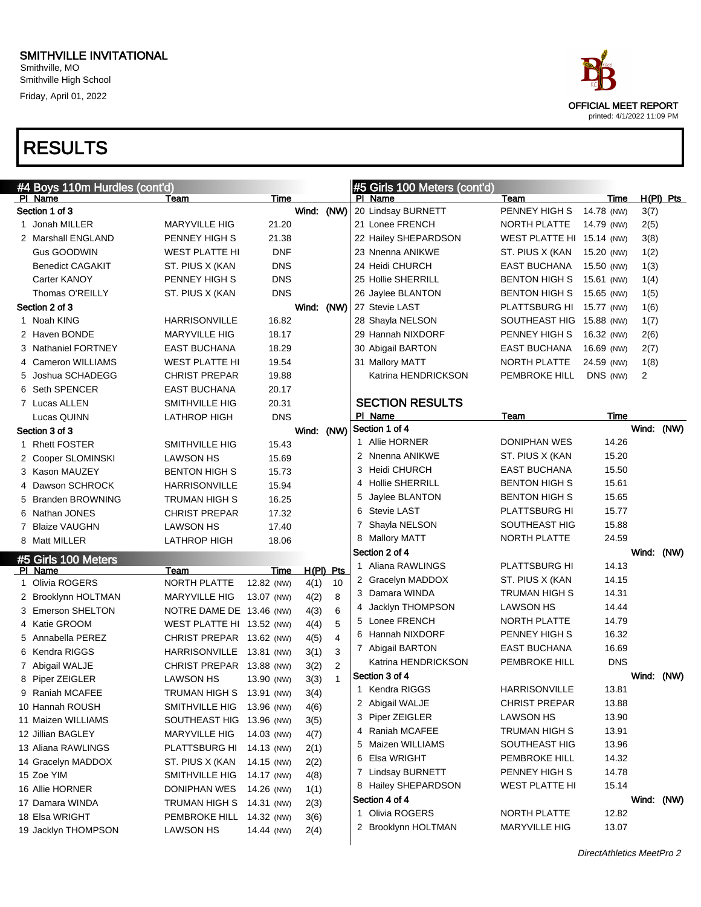# RESULTS

| #4 Boys 110m Hurdles (cont'd) |                           |            |             |                |   | #5 Girls 100 Meters (cont'd) |                           |            |            |             |
|-------------------------------|---------------------------|------------|-------------|----------------|---|------------------------------|---------------------------|------------|------------|-------------|
| PI Name                       | Team                      | Time       |             |                |   | PI Name                      | Team                      | Time       |            | $H(PI)$ Pts |
| Section 1 of 3                |                           |            | Wind: (NW)  |                |   | 20 Lindsay BURNETT           | PENNEY HIGH S             | 14.78 (NW) | 3(7)       |             |
| 1 Jonah MILLER                | <b>MARYVILLE HIG</b>      | 21.20      |             |                |   | 21 Lonee FRENCH              | NORTH PLATTE              | 14.79 (NW) | 2(5)       |             |
| 2 Marshall ENGLAND            | PENNEY HIGH S             | 21.38      |             |                |   | 22 Hailey SHEPARDSON         | WEST PLATTE HI 15.14 (NW) |            | 3(8)       |             |
| <b>Gus GOODWIN</b>            | <b>WEST PLATTE HI</b>     | <b>DNF</b> |             |                |   | 23 Nnenna ANIKWE             | ST. PIUS X (KAN           | 15.20 (NW) | 1(2)       |             |
| <b>Benedict CAGAKIT</b>       | ST. PIUS X (KAN           | <b>DNS</b> |             |                |   | 24 Heidi CHURCH              | <b>EAST BUCHANA</b>       | 15.50 (NW) | 1(3)       |             |
| Carter KANOY                  | PENNEY HIGH S             | <b>DNS</b> |             |                |   | 25 Hollie SHERRILL           | <b>BENTON HIGH S</b>      | 15.61 (NW) | 1(4)       |             |
| Thomas O'REILLY               | ST. PIUS X (KAN           | <b>DNS</b> |             |                |   | 26 Jaylee BLANTON            | <b>BENTON HIGH S</b>      | 15.65 (NW) | 1(5)       |             |
| Section 2 of 3                |                           |            | Wind: (NW)  |                |   | 27 Stevie LAST               | PLATTSBURG HI             | 15.77 (NW) | 1(6)       |             |
| 1 Noah KING                   | <b>HARRISONVILLE</b>      | 16.82      |             |                |   | 28 Shayla NELSON             | SOUTHEAST HIG 15.88 (NW)  |            | 1(7)       |             |
| 2 Haven BONDE                 | <b>MARYVILLE HIG</b>      | 18.17      |             |                |   | 29 Hannah NIXDORF            | PENNEY HIGH S             | 16.32 (NW) | 2(6)       |             |
| 3 Nathaniel FORTNEY           | EAST BUCHANA              | 18.29      |             |                |   | 30 Abigail BARTON            | <b>EAST BUCHANA</b>       | 16.69 (NW) | 2(7)       |             |
| 4 Cameron WILLIAMS            | <b>WEST PLATTE HI</b>     | 19.54      |             |                |   | 31 Mallory MATT              | NORTH PLATTE              | 24.59 (NW) | 1(8)       |             |
| 5 Joshua SCHADEGG             | <b>CHRIST PREPAR</b>      | 19.88      |             |                |   | Katrina HENDRICKSON          | PEMBROKE HILL             | DNS (NW)   | 2          |             |
| 6 Seth SPENCER                | EAST BUCHANA              | 20.17      |             |                |   |                              |                           |            |            |             |
| 7 Lucas ALLEN                 | <b>SMITHVILLE HIG</b>     | 20.31      |             |                |   | <b>SECTION RESULTS</b>       |                           |            |            |             |
| Lucas QUINN                   | <b>LATHROP HIGH</b>       | <b>DNS</b> |             |                |   | PI Name                      | Team                      | Time       |            |             |
| Section 3 of 3                |                           |            | Wind: (NW)  |                |   | Section 1 of 4               |                           |            | Wind: (NW) |             |
| 1 Rhett FOSTER                | SMITHVILLE HIG            | 15.43      |             |                |   | 1 Allie HORNER               | <b>DONIPHAN WES</b>       | 14.26      |            |             |
| 2 Cooper SLOMINSKI            | <b>LAWSON HS</b>          | 15.69      |             |                |   | 2 Nnenna ANIKWE              | ST. PIUS X (KAN           | 15.20      |            |             |
| 3 Kason MAUZEY                | <b>BENTON HIGH S</b>      | 15.73      |             |                |   | 3 Heidi CHURCH               | <b>EAST BUCHANA</b>       | 15.50      |            |             |
| 4 Dawson SCHROCK              | <b>HARRISONVILLE</b>      | 15.94      |             |                |   | 4 Hollie SHERRILL            | <b>BENTON HIGH S</b>      | 15.61      |            |             |
| 5 Branden BROWNING            | <b>TRUMAN HIGH S</b>      | 16.25      |             |                |   | 5 Jaylee BLANTON             | <b>BENTON HIGH S</b>      | 15.65      |            |             |
| 6 Nathan JONES                | <b>CHRIST PREPAR</b>      | 17.32      |             |                |   | 6 Stevie LAST                | <b>PLATTSBURG HI</b>      | 15.77      |            |             |
| 7 Blaize VAUGHN               | <b>LAWSON HS</b>          | 17.40      |             |                |   | 7 Shayla NELSON              | SOUTHEAST HIG             | 15.88      |            |             |
| 8 Matt MILLER                 | <b>LATHROP HIGH</b>       | 18.06      |             |                |   | 8 Mallory MATT               | NORTH PLATTE              | 24.59      |            |             |
| #5 Girls 100 Meters           |                           |            |             |                |   | Section 2 of 4               |                           |            | Wind: (NW) |             |
| PI Name                       | Team                      | Time       | $H(PI)$ Pts |                |   | 1 Aliana RAWLINGS            | <b>PLATTSBURG HI</b>      | 14.13      |            |             |
| 1 Olivia ROGERS               | NORTH PLATTE              | 12.82 (NW) | 4(1)        | 10             |   | 2 Gracelyn MADDOX            | ST. PIUS X (KAN           | 14.15      |            |             |
| 2 Brooklynn HOLTMAN           | <b>MARYVILLE HIG</b>      | 13.07 (NW) | 4(2)        | 8              |   | 3 Damara WINDA               | TRUMAN HIGH S             | 14.31      |            |             |
| 3 Emerson SHELTON             | NOTRE DAME DE 13.46 (NW)  |            | 4(3)        | 6              | 4 | Jacklyn THOMPSON             | <b>LAWSON HS</b>          | 14.44      |            |             |
| 4 Katie GROOM                 | WEST PLATTE HI 13.52 (NW) |            | 4(4)        | 5              |   | 5 Lonee FRENCH               | NORTH PLATTE              | 14.79      |            |             |
| 5 Annabella PEREZ             | CHRIST PREPAR 13.62 (NW)  |            | 4(5)        | $\overline{4}$ |   | 6 Hannah NIXDORF             | PENNEY HIGH S             | 16.32      |            |             |
| 6 Kendra RIGGS                | HARRISONVILLE 13.81 (NW)  |            | 3(1)        | 3              |   | 7 Abigail BARTON             | <b>EAST BUCHANA</b>       | 16.69      |            |             |
| 7 Abigail WALJE               | CHRIST PREPAR 13.88 (NW)  |            | 3(2)        | $\overline{2}$ |   | Katrina HENDRICKSON          | <b>PEMBROKE HILL</b>      | <b>DNS</b> |            |             |
| 8 Piper ZEIGLER               | <b>LAWSON HS</b>          | 13.90 (NW) | 3(3)        | $\mathbf{1}$   |   | Section 3 of 4               |                           |            | Wind: (NW) |             |
| 9 Raniah MCAFEE               | TRUMAN HIGH S 13.91 (NW)  |            | 3(4)        |                |   | 1 Kendra RIGGS               | <b>HARRISONVILLE</b>      | 13.81      |            |             |
| 10 Hannah ROUSH               | SMITHVILLE HIG 13.96 (NW) |            | 4(6)        |                |   | 2 Abigail WALJE              | <b>CHRIST PREPAR</b>      | 13.88      |            |             |
| 11 Maizen WILLIAMS            | SOUTHEAST HIG 13.96 (NW)  |            | 3(5)        |                |   | 3 Piper ZEIGLER              | <b>LAWSON HS</b>          | 13.90      |            |             |
| 12 Jillian BAGLEY             | <b>MARYVILLE HIG</b>      | 14.03 (NW) | 4(7)        |                |   | Raniah MCAFEE                | TRUMAN HIGH S             | 13.91      |            |             |
| 13 Aliana RAWLINGS            | PLATTSBURG HI             | 14.13 (NW) | 2(1)        |                |   | Maizen WILLIAMS              | SOUTHEAST HIG             | 13.96      |            |             |
| 14 Gracelyn MADDOX            | ST. PIUS X (KAN           | 14.15 (NW) | 2(2)        |                |   | 6 Elsa WRIGHT                | <b>PEMBROKE HILL</b>      | 14.32      |            |             |
| 15 Zoe YIM                    | SMITHVILLE HIG            | 14.17 (NW) | 4(8)        |                |   | 7 Lindsay BURNETT            | PENNEY HIGH S             | 14.78      |            |             |
| 16 Allie HORNER               | DONIPHAN WES              | 14.26 (NW) | 1(1)        |                |   | 8 Hailey SHEPARDSON          | <b>WEST PLATTE HI</b>     | 15.14      |            |             |
| 17 Damara WINDA               | TRUMAN HIGH S             | 14.31 (NW) | 2(3)        |                |   | Section 4 of 4               |                           |            | Wind: (NW) |             |
| 18 Elsa WRIGHT                | PEMBROKE HILL 14.32 (NW)  |            | 3(6)        |                |   | 1 Olivia ROGERS              | NORTH PLATTE              | 12.82      |            |             |
| 19 Jacklyn THOMPSON           | LAWSON HS                 | 14.44 (NW) | 2(4)        |                |   | 2 Brooklynn HOLTMAN          | <b>MARYVILLE HIG</b>      | 13.07      |            |             |
|                               |                           |            |             |                |   |                              |                           |            |            |             |

OFFICIAL MEET REPORT printed: 4/1/2022 11:09 PM

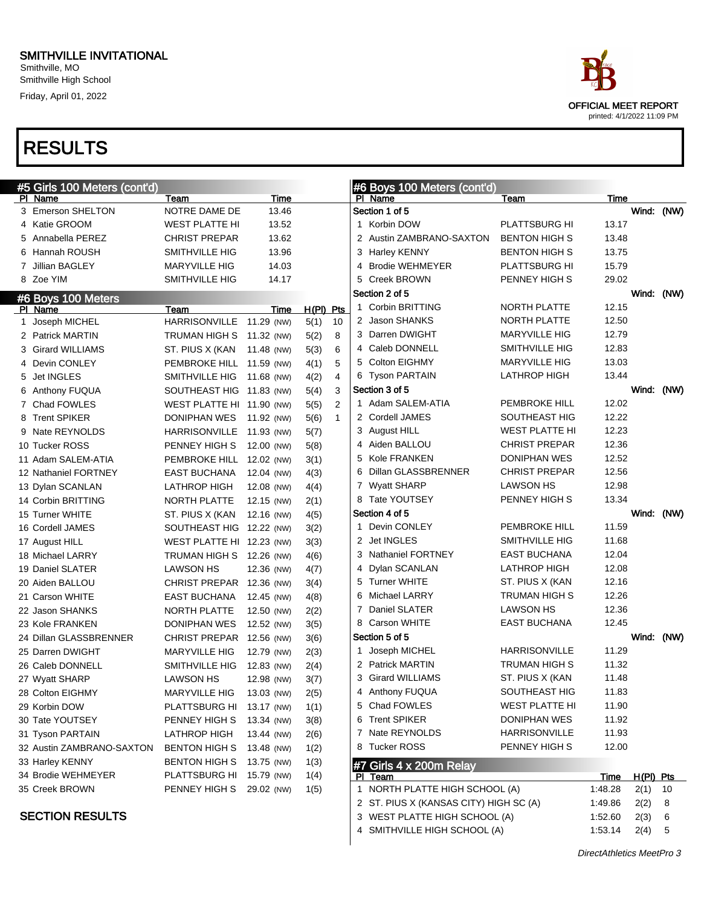# OFFICIAL MEET REPORT printed: 4/1/2022 11:09 PM

| #5 Girls 100 Meters (cont'd) |                           |            |             |                | #6 Boys 100 Meters (cont'd)            |                       |         |             |      |
|------------------------------|---------------------------|------------|-------------|----------------|----------------------------------------|-----------------------|---------|-------------|------|
| PI Name                      | Team                      | Time       |             |                | PI Name                                | Team                  | Time    |             |      |
| 3 Emerson SHELTON            | NOTRE DAME DE             | 13.46      |             |                | Section 1 of 5                         |                       |         | Wind: (NW)  |      |
| 4 Katie GROOM                | <b>WEST PLATTE HI</b>     | 13.52      |             |                | 1 Korbin DOW                           | <b>PLATTSBURG HI</b>  | 13.17   |             |      |
| 5 Annabella PEREZ            | <b>CHRIST PREPAR</b>      | 13.62      |             |                | 2 Austin ZAMBRANO-SAXTON               | <b>BENTON HIGH S</b>  | 13.48   |             |      |
| 6 Hannah ROUSH               | SMITHVILLE HIG            | 13.96      |             |                | 3 Harley KENNY                         | <b>BENTON HIGH S</b>  | 13.75   |             |      |
| 7 Jillian BAGLEY             | <b>MARYVILLE HIG</b>      | 14.03      |             |                | 4 Brodie WEHMEYER                      | PLATTSBURG HI         | 15.79   |             |      |
| 8 Zoe YIM                    | SMITHVILLE HIG            | 14.17      |             |                | 5 Creek BROWN                          | PENNEY HIGH S         | 29.02   |             |      |
| #6 Boys 100 Meters           |                           |            |             |                | Section 2 of 5                         |                       |         | Wind: (NW)  |      |
| PI Name                      | Team                      | Time       | $H(PI)$ Pts |                | 1 Corbin BRITTING                      | NORTH PLATTE          | 12.15   |             |      |
| 1 Joseph MICHEL              | HARRISONVILLE 11.29 (NW)  |            | 5(1)        | 10             | 2 Jason SHANKS                         | NORTH PLATTE          | 12.50   |             |      |
| 2 Patrick MARTIN             | TRUMAN HIGH S 11.32 (NW)  |            | 5(2)        | 8              | 3 Darren DWIGHT                        | <b>MARYVILLE HIG</b>  | 12.79   |             |      |
| 3 Girard WILLIAMS            | ST. PIUS X (KAN           | 11.48 (NW) | 5(3)        | 6              | 4 Caleb DONNELL                        | <b>SMITHVILLE HIG</b> | 12.83   |             |      |
| 4 Devin CONLEY               | PEMBROKE HILL 11.59 (NW)  |            | 4(1)        | 5              | 5 Colton EIGHMY                        | <b>MARYVILLE HIG</b>  | 13.03   |             |      |
| 5 Jet INGLES                 | SMITHVILLE HIG            | 11.68 (NW) | 4(2)        | 4              | 6 Tyson PARTAIN                        | LATHROP HIGH          | 13.44   |             |      |
| 6 Anthony FUQUA              | SOUTHEAST HIG 11.83 (NW)  |            | 5(4)        | 3              | Section 3 of 5                         |                       |         | Wind: (NW)  |      |
| 7 Chad FOWLES                | WEST PLATTE HI 11.90 (NW) |            | 5(5)        | $\overline{2}$ | 1 Adam SALEM-ATIA                      | <b>PEMBROKE HILL</b>  | 12.02   |             |      |
| 8 Trent SPIKER               | DONIPHAN WES              | 11.92 (NW) | 5(6)        | $\mathbf{1}$   | 2 Cordell JAMES                        | SOUTHEAST HIG         | 12.22   |             |      |
| 9 Nate REYNOLDS              | <b>HARRISONVILLE</b>      | 11.93 (NW) | 5(7)        |                | 3 August HILL                          | <b>WEST PLATTE HI</b> | 12.23   |             |      |
| 10 Tucker ROSS               | PENNEY HIGH S             | 12.00 (NW) | 5(8)        |                | 4 Aiden BALLOU                         | <b>CHRIST PREPAR</b>  | 12.36   |             |      |
| 11 Adam SALEM-ATIA           | PEMBROKE HILL 12.02 (NW)  |            | 3(1)        |                | 5 Kole FRANKEN                         | DONIPHAN WES          | 12.52   |             |      |
| 12 Nathaniel FORTNEY         | <b>EAST BUCHANA</b>       | 12.04 (NW) | 4(3)        |                | 6 Dillan GLASSBRENNER                  | <b>CHRIST PREPAR</b>  | 12.56   |             |      |
| 13 Dylan SCANLAN             | <b>LATHROP HIGH</b>       | 12.08 (NW) | 4(4)        |                | 7 Wyatt SHARP                          | LAWSON HS             | 12.98   |             |      |
| 14 Corbin BRITTING           | NORTH PLATTE              | 12.15 (NW) | 2(1)        |                | 8 Tate YOUTSEY                         | PENNEY HIGH S         | 13.34   |             |      |
| 15 Turner WHITE              | ST. PIUS X (KAN           | 12.16 (NW) | 4(5)        |                | Section 4 of 5                         |                       |         | Wind:       | (NW) |
| 16 Cordell JAMES             | SOUTHEAST HIG 12.22 (NW)  |            | 3(2)        |                | 1 Devin CONLEY                         | <b>PEMBROKE HILL</b>  | 11.59   |             |      |
| 17 August HILL               | WEST PLATTE HI 12.23 (NW) |            | 3(3)        |                | 2 Jet INGLES                           | SMITHVILLE HIG        | 11.68   |             |      |
| 18 Michael LARRY             | TRUMAN HIGH S             | 12.26 (NW) | 4(6)        |                | 3 Nathaniel FORTNEY                    | EAST BUCHANA          | 12.04   |             |      |
| 19 Daniel SLATER             | <b>LAWSON HS</b>          | 12.36 (NW) | 4(7)        |                | 4 Dylan SCANLAN                        | <b>LATHROP HIGH</b>   | 12.08   |             |      |
| 20 Aiden BALLOU              | CHRIST PREPAR 12.36 (NW)  |            | 3(4)        |                | 5 Turner WHITE                         | ST. PIUS X (KAN       | 12.16   |             |      |
| 21 Carson WHITE              | <b>EAST BUCHANA</b>       | 12.45 (NW) | 4(8)        |                | 6 Michael LARRY                        | TRUMAN HIGH S         | 12.26   |             |      |
| 22 Jason SHANKS              | NORTH PLATTE              | 12.50 (NW) | 2(2)        |                | 7 Daniel SLATER                        | LAWSON HS             | 12.36   |             |      |
| 23 Kole FRANKEN              | <b>DONIPHAN WES</b>       | 12.52 (NW) | 3(5)        |                | 8 Carson WHITE                         | EAST BUCHANA          | 12.45   |             |      |
| 24 Dillan GLASSBRENNER       | <b>CHRIST PREPAR</b>      | 12.56 (NW) | 3(6)        |                | Section 5 of 5                         |                       |         | Wind: (NW)  |      |
| 25 Darren DWIGHT             | <b>MARYVILLE HIG</b>      | 12.79 (NW) | 2(3)        |                | 1 Joseph MICHEL                        | <b>HARRISONVILLE</b>  | 11.29   |             |      |
| 26 Caleb DONNELL             | SMITHVILLE HIG            | 12.83 (NW) | 2(4)        |                | 2 Patrick MARTIN                       | TRUMAN HIGH S         | 11.32   |             |      |
| 27 Wyatt SHARP               | <b>LAWSON HS</b>          | 12.98 (NW) | 3(7)        |                | 3 Girard WILLIAMS                      | ST. PIUS X (KAN       | 11.48   |             |      |
| 28 Colton EIGHMY             | MARYVILLE HIG             | 13.03 (NW) | 2(5)        |                | 4 Anthony FUQUA                        | SOUTHEAST HIG         | 11.83   |             |      |
| 29 Korbin DOW                | PLATTSBURG HI 13.17 (NW)  |            | 1(1)        |                | 5 Chad FOWLES                          | <b>WEST PLATTE HI</b> | 11.90   |             |      |
| 30 Tate YOUTSEY              | PENNEY HIGH S             | 13.34 (NW) | 3(8)        |                | 6 Trent SPIKER                         | <b>DONIPHAN WES</b>   | 11.92   |             |      |
| 31 Tyson PARTAIN             | LATHROP HIGH              | 13.44 (NW) | 2(6)        |                | 7 Nate REYNOLDS                        | <b>HARRISONVILLE</b>  | 11.93   |             |      |
| 32 Austin ZAMBRANO-SAXTON    | BENTON HIGH S             | 13.48 (NW) | 1(2)        |                | 8 Tucker ROSS                          | PENNEY HIGH S         | 12.00   |             |      |
| 33 Harley KENNY              | <b>BENTON HIGH S</b>      | 13.75 (NW) | 1(3)        |                | #7 Girls 4 x 200m Relay                |                       |         |             |      |
| 34 Brodie WEHMEYER           | PLATTSBURG HI             | 15.79 (NW) | 1(4)        |                | PI Team                                |                       | Time    | $H(PI)$ Pts |      |
| 35 Creek BROWN               | PENNEY HIGH S             | 29.02 (NW) | 1(5)        |                | 1 NORTH PLATTE HIGH SCHOOL (A)         |                       | 1:48.28 | $2(1)$ 10   |      |
|                              |                           |            |             |                | 2 ST. PIUS X (KANSAS CITY) HIGH SC (A) |                       | 1:49.86 | 2(2)        | 8    |
| <b>SECTION RESULTS</b>       |                           |            |             |                | 3 WEST PLATTE HIGH SCHOOL (A)          |                       | 1:52.60 | 2(3)        | -6   |
|                              |                           |            |             |                | 4 SMITHVILLE HIGH SCHOOL (A)           |                       | 1:53.14 | $2(4)$ 5    |      |
|                              |                           |            |             |                |                                        |                       |         |             |      |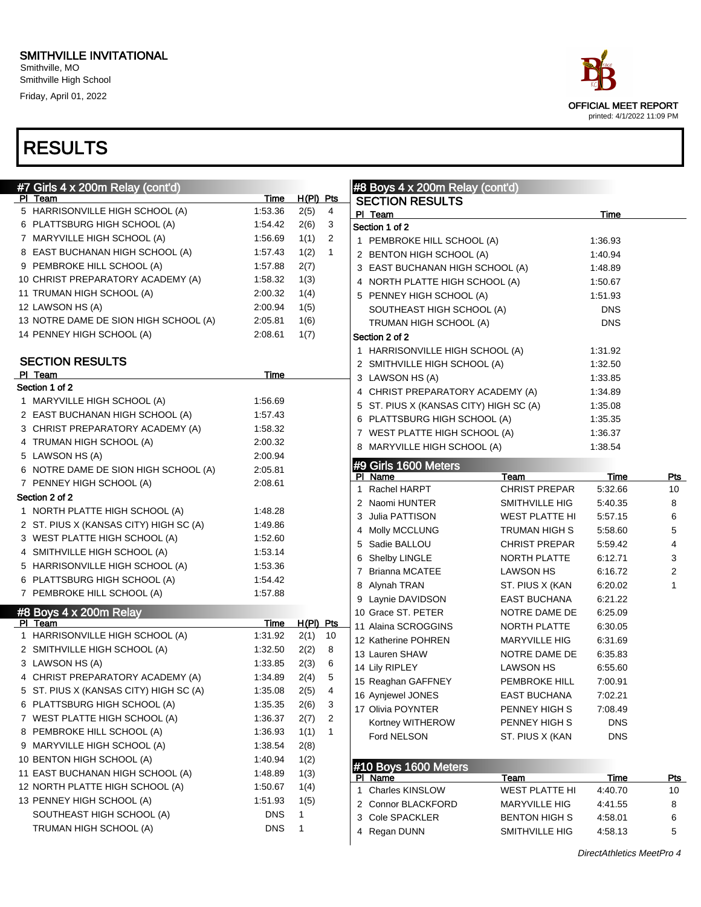Smithville, MO Smithville High School Friday, April 01, 2022

| #7 Girls 4 x 200m Relay (cont'd)       |             |             |                |  | #8 Boys 4 x 200m Relay (cont'd)        |                              |                 |                  |
|----------------------------------------|-------------|-------------|----------------|--|----------------------------------------|------------------------------|-----------------|------------------|
| PI Team                                | Time        | $H(PI)$ Pts |                |  | <b>SECTION RESULTS</b>                 |                              |                 |                  |
| 5 HARRISONVILLE HIGH SCHOOL (A)        | 1.53.36     | 2(5)        | $\overline{4}$ |  | PI Team                                |                              | Time            |                  |
| 6 PLATTSBURG HIGH SCHOOL (A)           | 1.54.42     | 2(6)        | 3              |  | Section 1 of 2                         |                              |                 |                  |
| 7 MARYVILLE HIGH SCHOOL (A)            | 1.56.69     | 1(1)        | 2              |  | 1 PEMBROKE HILL SCHOOL (A)             |                              | 1:36.93         |                  |
| 8 EAST BUCHANAN HIGH SCHOOL (A)        | 1.57.43     | 1(2)        | $\mathbf{1}$   |  | 2 BENTON HIGH SCHOOL (A)               |                              | 1:40.94         |                  |
| 9 PEMBROKE HILL SCHOOL (A)             | 1.57.88     | 2(7)        |                |  | 3 EAST BUCHANAN HIGH SCHOOL (A)        |                              | 1:48.89         |                  |
| 10 CHRIST PREPARATORY ACADEMY (A)      | 1.58.32     | 1(3)        |                |  | 4 NORTH PLATTE HIGH SCHOOL (A)         |                              | 1:50.67         |                  |
| 11 TRUMAN HIGH SCHOOL (A)              | 2:00.32     | 1(4)        |                |  | 5 PENNEY HIGH SCHOOL (A)               |                              | 1:51.93         |                  |
| 12 LAWSON HS (A)                       | 2:00.94     | 1(5)        |                |  | SOUTHEAST HIGH SCHOOL (A)              |                              | <b>DNS</b>      |                  |
| 13 NOTRE DAME DE SION HIGH SCHOOL (A)  | 2:05.81     | 1(6)        |                |  | TRUMAN HIGH SCHOOL (A)                 |                              | <b>DNS</b>      |                  |
| 14 PENNEY HIGH SCHOOL (A)              | 2:08.61     | 1(7)        |                |  | Section 2 of 2                         |                              |                 |                  |
|                                        |             |             |                |  | 1 HARRISONVILLE HIGH SCHOOL (A)        |                              | 1:31.92         |                  |
| <b>SECTION RESULTS</b>                 |             |             |                |  | 2 SMITHVILLE HIGH SCHOOL (A)           |                              | 1:32.50         |                  |
| PI Team                                | Time        |             |                |  | 3 LAWSON HS (A)                        |                              | 1:33.85         |                  |
| Section 1 of 2                         |             |             |                |  | 4 CHRIST PREPARATORY ACADEMY (A)       |                              | 1:34.89         |                  |
| 1 MARYVILLE HIGH SCHOOL (A)            | 1.56.69     |             |                |  | 5 ST. PIUS X (KANSAS CITY) HIGH SC (A) |                              | 1:35.08         |                  |
| 2 EAST BUCHANAN HIGH SCHOOL (A)        | 1:57.43     |             |                |  | 6 PLATTSBURG HIGH SCHOOL (A)           |                              | 1:35.35         |                  |
| 3 CHRIST PREPARATORY ACADEMY (A)       | 1.58.32     |             |                |  | 7 WEST PLATTE HIGH SCHOOL (A)          |                              | 1:36.37         |                  |
| 4 TRUMAN HIGH SCHOOL (A)               | 2:00.32     |             |                |  | 8 MARYVILLE HIGH SCHOOL (A)            |                              | 1:38.54         |                  |
| 5 LAWSON HS (A)                        | 2:00.94     |             |                |  |                                        |                              |                 |                  |
| 6 NOTRE DAME DE SION HIGH SCHOOL (A)   | 2:05.81     |             |                |  | #9 Girls 1600 Meters                   |                              |                 |                  |
| 7 PENNEY HIGH SCHOOL (A)               | 2:08.61     |             |                |  | PI Name<br>1 Rachel HARPT              | Team<br><b>CHRIST PREPAR</b> | Time<br>5:32.66 | <u>Pts</u><br>10 |
| Section 2 of 2                         |             |             |                |  | 2 Naomi HUNTER                         |                              | 5:40.35         | 8                |
| 1 NORTH PLATTE HIGH SCHOOL (A)         | 1:48.28     |             |                |  |                                        | SMITHVILLE HIG               |                 |                  |
| 2 ST. PIUS X (KANSAS CITY) HIGH SC (A) | 1.49.86     |             |                |  | 3 Julia PATTISON                       | WEST PLATTE HI               | 5:57.15         | 6                |
| 3 WEST PLATTE HIGH SCHOOL (A)          | 1.52.60     |             |                |  | 4 Molly MCCLUNG                        | TRUMAN HIGH S                | 5:58.60         | 5                |
| 4 SMITHVILLE HIGH SCHOOL (A)           | 1:53.14     |             |                |  | 5 Sadie BALLOU                         | <b>CHRIST PREPAR</b>         | 5:59.42         | 4                |
| 5 HARRISONVILLE HIGH SCHOOL (A)        | 1.53.36     |             |                |  | 6 Shelby LINGLE                        | NORTH PLATTE                 | 6:12.71         | 3                |
| 6 PLATTSBURG HIGH SCHOOL (A)           | 1:54.42     |             |                |  | 7 Brianna MCATEE                       | <b>LAWSON HS</b>             | 6:16.72         | 2                |
| 7 PEMBROKE HILL SCHOOL (A)             | 1:57.88     |             |                |  | 8 Alynah TRAN                          | ST. PIUS X (KAN              | 6:20.02         | 1                |
|                                        |             |             |                |  | 9 Laynie DAVIDSON                      | <b>EAST BUCHANA</b>          | 6:21.22         |                  |
| #8 Boys 4 x 200m Relay<br>PI Team      | <b>Time</b> | $H(PI)$ Pts |                |  | 10 Grace ST. PETER                     | NOTRE DAME DE                | 6:25.09         |                  |
| 1 HARRISONVILLE HIGH SCHOOL (A)        | 1.31.92     | 2(1)        | 10             |  | 11 Alaina SCROGGINS                    | NORTH PLATTE                 | 6:30.05         |                  |
| 2 SMITHVILLE HIGH SCHOOL (A)           | 1:32.50     | 2(2)        | 8              |  | 12 Katherine POHREN                    | <b>MARYVILLE HIG</b>         | 6:31.69         |                  |
| 3 LAWSON HS (A)                        | 1:33.85     | 2(3)        | 6              |  | 13 Lauren SHAW                         | NOTRE DAME DE                | 6:35.83         |                  |
| 4 CHRIST PREPARATORY ACADEMY (A)       | 1:34.89     | 2(4)        | 5              |  | 14 Lily RIPLEY                         | <b>LAWSON HS</b>             | 6:55.60         |                  |
|                                        |             |             |                |  | 15 Reaghan GAFFNEY                     | PEMBROKE HILL                | 7:00.91         |                  |
| 5 ST. PIUS X (KANSAS CITY) HIGH SC (A) | 1:35.08     | 2(5)        | 4              |  | 16 Aynjewel JONES                      | EAST BUCHANA                 | 7:02.21         |                  |
| 6 PLATTSBURG HIGH SCHOOL (A)           | 1:35.35     | 2(6)        | 3              |  | 17 Olivia POYNTER                      | PENNEY HIGH S                | 7:08.49         |                  |
| 7 WEST PLATTE HIGH SCHOOL (A)          | 1:36.37     | 2(7)        | 2              |  | Kortney WITHEROW                       | PENNEY HIGH S                | <b>DNS</b>      |                  |
| 8 PEMBROKE HILL SCHOOL (A)             | 1:36.93     | 1(1)        | 1              |  | Ford NELSON                            | ST. PIUS X (KAN              | <b>DNS</b>      |                  |
| 9 MARYVILLE HIGH SCHOOL (A)            | 1:38.54     | 2(8)        |                |  |                                        |                              |                 |                  |
| 10 BENTON HIGH SCHOOL (A)              | 1:40.94     | 1(2)        |                |  | #10 Boys 1600 Meters                   |                              |                 |                  |
| 11 EAST BUCHANAN HIGH SCHOOL (A)       | 1:48.89     | 1(3)        |                |  | PI Name                                | <u>Team</u>                  | <b>Time</b>     | <u>Pts</u>       |
| 12 NORTH PLATTE HIGH SCHOOL (A)        | 1:50.67     | 1(4)        |                |  | 1 Charles KINSLOW                      | <b>WEST PLATTE HI</b>        | 4:40.70         | 10               |
| 13 PENNEY HIGH SCHOOL (A)              | 1:51.93     | 1(5)        |                |  | 2 Connor BLACKFORD                     | <b>MARYVILLE HIG</b>         | 4:41.55         | 8                |
| SOUTHEAST HIGH SCHOOL (A)              | <b>DNS</b>  | 1           |                |  | 3 Cole SPACKLER                        | <b>BENTON HIGH S</b>         | 4:58.01         | 6                |
| TRUMAN HIGH SCHOOL (A)                 | <b>DNS</b>  | 1           |                |  | 4 Regan DUNN                           | SMITHVILLE HIG               | 4:58.13         | 5                |
|                                        |             |             |                |  |                                        |                              |                 |                  |

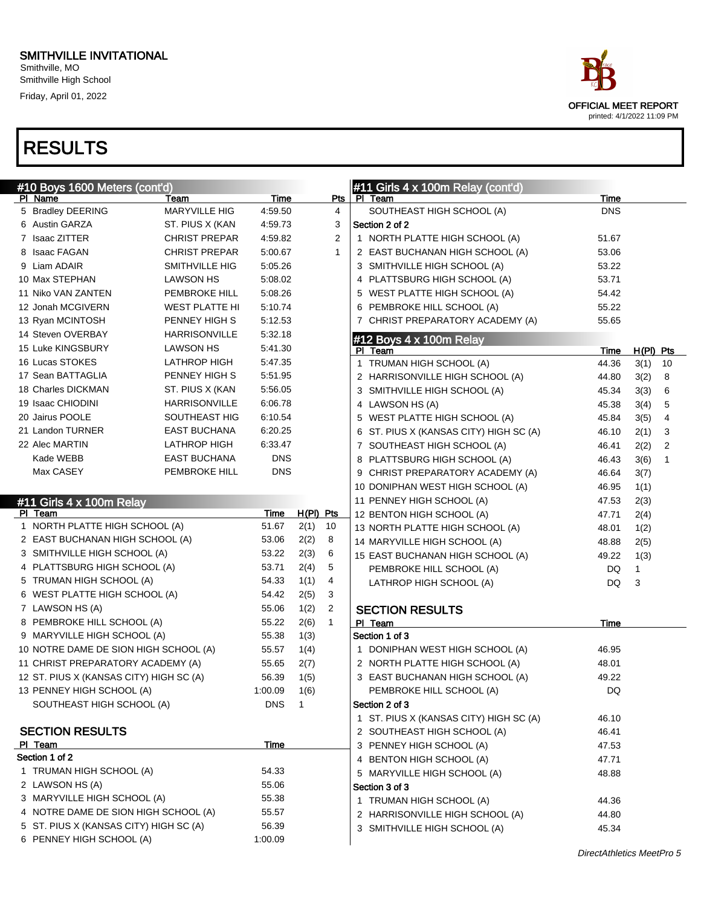Smithville, MO Smithville High School Friday, April 01, 2022

| #10 Boys 1600 Meters (cont'd)<br>PI Name |                              | Time       |              | Pts            | #11 Girls $4 \times 100$ m Relay (cont'd)<br>PI Team | <u>Time</u> |             |    |
|------------------------------------------|------------------------------|------------|--------------|----------------|------------------------------------------------------|-------------|-------------|----|
| 5 Bradley DEERING                        | Team<br><b>MARYVILLE HIG</b> | 4:59.50    |              | 4              | SOUTHEAST HIGH SCHOOL (A)                            | <b>DNS</b>  |             |    |
| 6 Austin GARZA                           | ST. PIUS X (KAN              | 4:59.73    |              | 3              | Section 2 of 2                                       |             |             |    |
| 7 Isaac ZITTER                           | <b>CHRIST PREPAR</b>         | 4:59.82    |              | $\overline{2}$ | 1 NORTH PLATTE HIGH SCHOOL (A)                       | 51.67       |             |    |
| 8 Isaac FAGAN                            | <b>CHRIST PREPAR</b>         | 5:00.67    |              | $\mathbf{1}$   | 2 EAST BUCHANAN HIGH SCHOOL (A)                      | 53.06       |             |    |
| 9 Liam ADAIR                             | SMITHVILLE HIG               | 5:05.26    |              |                | 3 SMITHVILLE HIGH SCHOOL (A)                         | 53.22       |             |    |
| 10 Max STEPHAN                           | LAWSON HS                    | 5:08.02    |              |                | 4 PLATTSBURG HIGH SCHOOL (A)                         | 53.71       |             |    |
| 11 Niko VAN ZANTEN                       | <b>PEMBROKE HILL</b>         | 5:08.26    |              |                | 5 WEST PLATTE HIGH SCHOOL (A)                        | 54.42       |             |    |
| 12 Jonah MCGIVERN                        | <b>WEST PLATTE HI</b>        | 5:10.74    |              |                | 6 PEMBROKE HILL SCHOOL (A)                           | 55.22       |             |    |
| 13 Ryan MCINTOSH                         | PENNEY HIGH S                | 5:12.53    |              |                | 7 CHRIST PREPARATORY ACADEMY (A)                     | 55.65       |             |    |
| 14 Steven OVERBAY                        | <b>HARRISONVILLE</b>         | 5:32.18    |              |                |                                                      |             |             |    |
| 15 Luke KINGSBURY                        | <b>LAWSON HS</b>             | 5:41.30    |              |                | #12 Boys 4 x 100m Relay<br>PI Team                   | Time        | $H(PI)$ Pts |    |
| 16 Lucas STOKES                          | LATHROP HIGH                 | 5:47.35    |              |                | 1 TRUMAN HIGH SCHOOL (A)                             | 44.36       | 3(1)        | 10 |
| 17 Sean BATTAGLIA                        | PENNEY HIGH S                | 5:51.95    |              |                | 2 HARRISONVILLE HIGH SCHOOL (A)                      | 44.80       | 3(2)        | 8  |
| 18 Charles DICKMAN                       | ST. PIUS X (KAN              | 5:56.05    |              |                | 3 SMITHVILLE HIGH SCHOOL (A)                         | 45.34       | 3(3)        | 6  |
| 19 Isaac CHIODINI                        | <b>HARRISONVILLE</b>         | 6:06.78    |              |                | 4 LAWSON HS (A)                                      | 45.38       | 3(4)        | 5  |
| 20 Jairus POOLE                          | SOUTHEAST HIG                | 6:10.54    |              |                | 5 WEST PLATTE HIGH SCHOOL (A)                        | 45.84       | 3(5)        | 4  |
| 21 Landon TURNER                         | <b>EAST BUCHANA</b>          | 6:20.25    |              |                | 6 ST. PIUS X (KANSAS CITY) HIGH SC (A)               | 46.10       | 2(1)        | 3  |
| 22 Alec MARTIN                           | <b>LATHROP HIGH</b>          | 6:33.47    |              |                | 7 SOUTHEAST HIGH SCHOOL (A)                          | 46.41       | 2(2)        | 2  |
| Kade WEBB                                | <b>EAST BUCHANA</b>          | <b>DNS</b> |              |                | 8 PLATTSBURG HIGH SCHOOL (A)                         | 46.43       | 3(6)        |    |
| Max CASEY                                | <b>PEMBROKE HILL</b>         | <b>DNS</b> |              |                | 9 CHRIST PREPARATORY ACADEMY (A)                     | 46.64       | 3(7)        |    |
|                                          |                              |            |              |                | 10 DONIPHAN WEST HIGH SCHOOL (A)                     | 46.95       | 1(1)        |    |
| #11 Girls 4 x 100m Relay                 |                              |            |              |                | 11 PENNEY HIGH SCHOOL (A)                            | 47.53       | 2(3)        |    |
| PI Team                                  |                              | Time       | $H(PI)$ Pts  |                | 12 BENTON HIGH SCHOOL (A)                            | 47.71       | 2(4)        |    |
| 1 NORTH PLATTE HIGH SCHOOL (A)           |                              | 51.67      | 2(1)         | 10             | 13 NORTH PLATTE HIGH SCHOOL (A)                      | 48.01       | 1(2)        |    |
| 2 EAST BUCHANAN HIGH SCHOOL (A)          |                              | 53.06      | 2(2)         | 8              | 14 MARYVILLE HIGH SCHOOL (A)                         | 48.88       | 2(5)        |    |
| 3 SMITHVILLE HIGH SCHOOL (A)             |                              | 53.22      | 2(3)         | 6              | 15 EAST BUCHANAN HIGH SCHOOL (A)                     | 49.22       | 1(3)        |    |
| 4 PLATTSBURG HIGH SCHOOL (A)             |                              | 53.71      | 2(4)         | 5              | PEMBROKE HILL SCHOOL (A)                             | DQ          | 1           |    |
| 5 TRUMAN HIGH SCHOOL (A)                 |                              | 54.33      | 1(1)         | 4              | LATHROP HIGH SCHOOL (A)                              | <b>DQ</b>   | 3           |    |
| 6 WEST PLATTE HIGH SCHOOL (A)            |                              | 54.42      | 2(5)         | 3              |                                                      |             |             |    |
| 7 LAWSON HS (A)                          |                              | 55.06      | 1(2)         | $\overline{2}$ | <b>SECTION RESULTS</b>                               |             |             |    |
| 8 PEMBROKE HILL SCHOOL (A)               |                              | 55.22      | 2(6)         | $\mathbf{1}$   | PI Team                                              | Time        |             |    |
| 9 MARYVILLE HIGH SCHOOL (A)              |                              | 55.38      | 1(3)         |                | Section 1 of 3                                       |             |             |    |
| 10 NOTRE DAME DE SION HIGH SCHOOL (A)    |                              | 55.57      | 1(4)         |                | 1 DONIPHAN WEST HIGH SCHOOL (A)                      | 46.95       |             |    |
| 11 CHRIST PREPARATORY ACADEMY (A)        |                              | 55.65      | 2(7)         |                | 2 NORTH PLATTE HIGH SCHOOL (A)                       | 48.01       |             |    |
| 12 ST. PIUS X (KANSAS CITY) HIGH SC (A)  |                              | 56.39      | 1(5)         |                | 3 EAST BUCHANAN HIGH SCHOOL (A)                      | 49.22       |             |    |
| 13 PENNEY HIGH SCHOOL (A)                |                              | 1:00.09    | 1(6)         |                | PEMBROKE HILL SCHOOL (A)                             | DQ          |             |    |
| SOUTHEAST HIGH SCHOOL (A)                |                              | <b>DNS</b> | $\mathbf{1}$ |                | Section 2 of 3                                       |             |             |    |
|                                          |                              |            |              |                | 1 ST. PIUS X (KANSAS CITY) HIGH SC (A)               | 46.10       |             |    |
| <b>SECTION RESULTS</b>                   |                              |            |              |                | 2 SOUTHEAST HIGH SCHOOL (A)                          | 46.41       |             |    |
| PI Team                                  |                              | Time       |              |                | 3 PENNEY HIGH SCHOOL (A)                             | 47.53       |             |    |
| Section 1 of 2                           |                              |            |              |                | 4 BENTON HIGH SCHOOL (A)                             | 47.71       |             |    |
| 1 TRUMAN HIGH SCHOOL (A)                 |                              | 54.33      |              |                | 5 MARYVILLE HIGH SCHOOL (A)                          | 48.88       |             |    |
| 2 LAWSON HS (A)                          |                              | 55.06      |              |                | Section 3 of 3                                       |             |             |    |
| 3 MARYVILLE HIGH SCHOOL (A)              |                              | 55.38      |              |                | 1 TRUMAN HIGH SCHOOL (A)                             | 44.36       |             |    |
| 4 NOTRE DAME DE SION HIGH SCHOOL (A)     |                              | 55.57      |              |                | 2 HARRISONVILLE HIGH SCHOOL (A)                      | 44.80       |             |    |
| 5 ST. PIUS X (KANSAS CITY) HIGH SC (A)   |                              | 56.39      |              |                | 3 SMITHVILLE HIGH SCHOOL (A)                         | 45.34       |             |    |
| 6 PENNEY HIGH SCHOOL (A)                 |                              | 1:00.09    |              |                |                                                      |             |             |    |

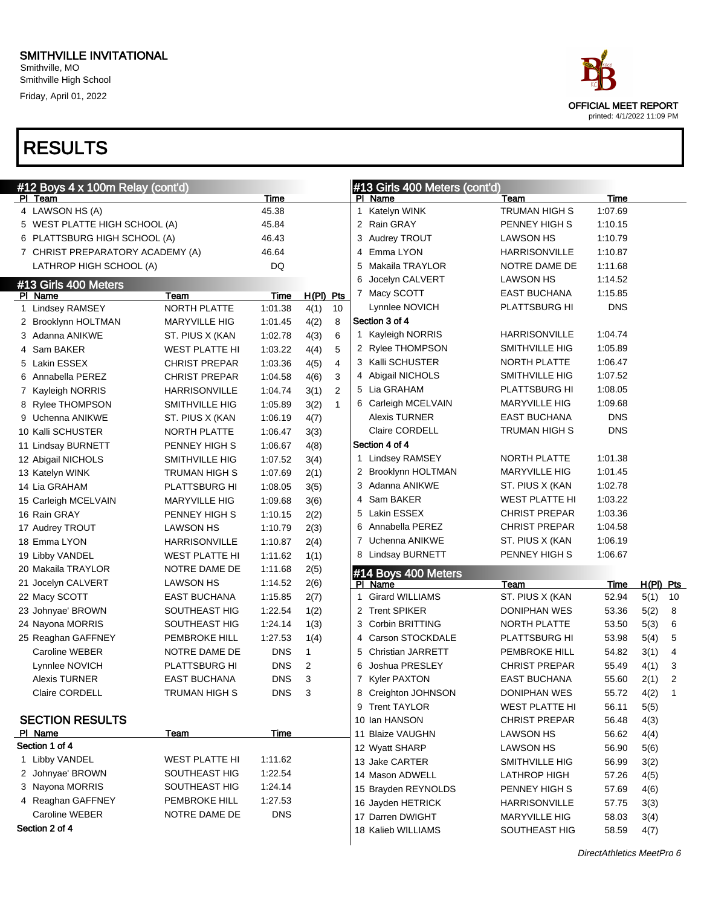

| #12 Boys 4 x 100m Relay (cont'd) |                       |             |              |                | #13 Girls 400 Meters (cont'd) |                                |                       |             |           |              |
|----------------------------------|-----------------------|-------------|--------------|----------------|-------------------------------|--------------------------------|-----------------------|-------------|-----------|--------------|
| <u>PI Team</u>                   |                       | Time        |              |                |                               | PI Name                        | Team                  | <u>Time</u> |           |              |
| 4 LAWSON HS (A)                  |                       | 45.38       |              |                |                               | 1 Katelyn WINK                 | <b>TRUMAN HIGH S</b>  | 1:07.69     |           |              |
| 5 WEST PLATTE HIGH SCHOOL (A)    |                       | 45.84       |              |                |                               | 2 Rain GRAY                    | PENNEY HIGH S         | 1:10.15     |           |              |
| 6 PLATTSBURG HIGH SCHOOL (A)     |                       | 46.43       |              |                | 3                             | Audrey TROUT                   | <b>LAWSON HS</b>      | 1:10.79     |           |              |
| 7 CHRIST PREPARATORY ACADEMY (A) |                       | 46.64       |              |                |                               | 4 Emma LYON                    | <b>HARRISONVILLE</b>  | 1:10.87     |           |              |
| LATHROP HIGH SCHOOL (A)          |                       | DQ          |              |                | 5                             | Makaila TRAYLOR                | NOTRE DAME DE         | 1:11.68     |           |              |
| #13 Girls 400 Meters             |                       |             |              |                | 6                             | Jocelyn CALVERT                | <b>LAWSON HS</b>      | 1:14.52     |           |              |
| PI Name                          | Team                  | Time        | $H(PI)$ Pts  |                |                               | 7 Macy SCOTT                   | <b>EAST BUCHANA</b>   | 1:15.85     |           |              |
| 1 Lindsey RAMSEY                 | NORTH PLATTE          | 1:01.38     | 4(1)         | 10             |                               | Lynnlee NOVICH                 | PLATTSBURG HI         | <b>DNS</b>  |           |              |
| 2 Brooklynn HOLTMAN              | <b>MARYVILLE HIG</b>  | 1:01.45     | 4(2)         | 8              |                               | Section 3 of 4                 |                       |             |           |              |
| 3 Adanna ANIKWE                  | ST. PIUS X (KAN       | 1:02.78     | 4(3)         | 6              |                               | 1 Kayleigh NORRIS              | HARRISONVILLE         | 1:04.74     |           |              |
| 4 Sam BAKER                      | <b>WEST PLATTE HI</b> | 1:03.22     | 4(4)         | 5              |                               | 2 Rylee THOMPSON               | SMITHVILLE HIG        | 1:05.89     |           |              |
| 5 Lakin ESSEX                    | <b>CHRIST PREPAR</b>  | 1:03.36     | 4(5)         | $\overline{4}$ |                               | 3 Kalli SCHUSTER               | NORTH PLATTE          | 1:06.47     |           |              |
| 6 Annabella PEREZ                | <b>CHRIST PREPAR</b>  | 1:04.58     | 4(6)         | 3              |                               | 4 Abigail NICHOLS              | SMITHVILLE HIG        | 1:07.52     |           |              |
| 7 Kayleigh NORRIS                | <b>HARRISONVILLE</b>  | 1:04.74     | 3(1)         | 2              |                               | 5 Lia GRAHAM                   | PLATTSBURG HI         | 1:08.05     |           |              |
| 8 Rylee THOMPSON                 | SMITHVILLE HIG        | 1:05.89     | 3(2)         | $\mathbf{1}$   |                               | 6 Carleigh MCELVAIN            | <b>MARYVILLE HIG</b>  | 1:09.68     |           |              |
| 9 Uchenna ANIKWE                 | ST. PIUS X (KAN       | 1:06.19     | 4(7)         |                |                               | <b>Alexis TURNER</b>           | <b>EAST BUCHANA</b>   | <b>DNS</b>  |           |              |
| 10 Kalli SCHUSTER                | NORTH PLATTE          | 1:06.47     | 3(3)         |                |                               | <b>Claire CORDELL</b>          | <b>TRUMAN HIGH S</b>  | <b>DNS</b>  |           |              |
| 11 Lindsay BURNETT               | PENNEY HIGH S         | 1:06.67     | 4(8)         |                |                               | Section 4 of 4                 |                       |             |           |              |
| 12 Abigail NICHOLS               | SMITHVILLE HIG        | 1:07.52     | 3(4)         |                |                               | 1 Lindsey RAMSEY               | NORTH PLATTE          | 1:01.38     |           |              |
| 13 Katelyn WINK                  | <b>TRUMAN HIGH S</b>  | 1:07.69     | 2(1)         |                |                               | 2 Brooklynn HOLTMAN            | <b>MARYVILLE HIG</b>  | 1:01.45     |           |              |
| 14 Lia GRAHAM                    | PLATTSBURG HI         | 1:08.05     | 3(5)         |                |                               | 3 Adanna ANIKWE                | ST. PIUS X (KAN       | 1:02.78     |           |              |
| 15 Carleigh MCELVAIN             | <b>MARYVILLE HIG</b>  | 1:09.68     | 3(6)         |                |                               | 4 Sam BAKER                    | <b>WEST PLATTE HI</b> | 1:03.22     |           |              |
| 16 Rain GRAY                     | PENNEY HIGH S         | 1:10.15     | 2(2)         |                |                               | 5 Lakin ESSEX                  | <b>CHRIST PREPAR</b>  | 1:03.36     |           |              |
| 17 Audrey TROUT                  | <b>LAWSON HS</b>      | 1:10.79     | 2(3)         |                | 6.                            | Annabella PEREZ                | <b>CHRIST PREPAR</b>  | 1:04.58     |           |              |
| 18 Emma LYON                     | <b>HARRISONVILLE</b>  | 1:10.87     | 2(4)         |                |                               | 7 Uchenna ANIKWE               | ST. PIUS X (KAN       | 1:06.19     |           |              |
| 19 Libby VANDEL                  | <b>WEST PLATTE HI</b> | 1:11.62     | 1(1)         |                |                               | 8 Lindsay BURNETT              | PENNEY HIGH S         | 1:06.67     |           |              |
| 20 Makaila TRAYLOR               | NOTRE DAME DE         | 1:11.68     | 2(5)         |                |                               |                                |                       |             |           |              |
| 21 Jocelyn CALVERT               | <b>LAWSON HS</b>      | 1:14.52     | 2(6)         |                |                               | #14 Boys 400 Meters<br>PI Name | Team                  | Time        | H(PI) Pts |              |
| 22 Macy SCOTT                    | <b>EAST BUCHANA</b>   | 1:15.85     | 2(7)         |                | 1.                            | <b>Girard WILLIAMS</b>         | ST. PIUS X (KAN       | 52.94       | 5(1)      | 10           |
| 23 Johnyae' BROWN                | SOUTHEAST HIG         | 1:22.54     | 1(2)         |                |                               | 2 Trent SPIKER                 | DONIPHAN WES          | 53.36       | 5(2)      | 8            |
| 24 Nayona MORRIS                 | SOUTHEAST HIG         | 1:24.14     | 1(3)         |                |                               | 3 Corbin BRITTING              | NORTH PLATTE          | 53.50       | 5(3)      | 6            |
| 25 Reaghan GAFFNEY               | PEMBROKE HILL         | 1:27.53     | 1(4)         |                |                               | 4 Carson STOCKDALE             | PLATTSBURG HI         | 53.98       | 5(4)      | 5            |
| Caroline WEBER                   | NOTRE DAME DE         | <b>DNS</b>  | $\mathbf{1}$ |                | 5                             | <b>Christian JARRETT</b>       | PEMBROKE HILL         | 54.82       | 3(1)      | 4            |
| Lynnlee NOVICH                   | PLATTSBURG HI         | <b>DNS</b>  | 2            |                |                               | Joshua PRESLEY                 | <b>CHRIST PREPAR</b>  | 55.49       | 4(1)      | 3            |
| Alexis TURNER                    | <b>EAST BUCHANA</b>   | <b>DNS</b>  | 3            |                |                               | 7 Kyler PAXTON                 | <b>EAST BUCHANA</b>   | 55.60       | 2(1)      | 2            |
| Claire CORDELL                   | TRUMAN HIGH S         | <b>DNS</b>  | $\mathbf{3}$ |                |                               | 8 Creighton JOHNSON            | DONIPHAN WES          | 55.72       | 4(2)      | $\mathbf{1}$ |
|                                  |                       |             |              |                |                               | 9 Trent TAYLOR                 | <b>WEST PLATTE HI</b> | 56.11       | 5(5)      |              |
| <b>SECTION RESULTS</b>           |                       |             |              |                |                               | 10 Ian HANSON                  | <b>CHRIST PREPAR</b>  | 56.48       | 4(3)      |              |
| PI Name                          | <b>Team</b>           | <b>Time</b> |              |                |                               | 11 Blaize VAUGHN               | LAWSON HS             | 56.62       | 4(4)      |              |
| Section 1 of 4                   |                       |             |              |                |                               | 12 Wyatt SHARP                 | LAWSON HS             | 56.90       | 5(6)      |              |
| 1 Libby VANDEL                   | <b>WEST PLATTE HI</b> | 1:11.62     |              |                |                               | 13 Jake CARTER                 | SMITHVILLE HIG        | 56.99       | 3(2)      |              |
| 2 Johnyae' BROWN                 | SOUTHEAST HIG         | 1:22.54     |              |                |                               | 14 Mason ADWELL                | LATHROP HIGH          | 57.26       | 4(5)      |              |
| 3 Nayona MORRIS                  | SOUTHEAST HIG         | 1:24.14     |              |                |                               | 15 Brayden REYNOLDS            | PENNEY HIGH S         | 57.69       | 4(6)      |              |
| 4 Reaghan GAFFNEY                | PEMBROKE HILL         | 1:27.53     |              |                |                               | 16 Jayden HETRICK              | <b>HARRISONVILLE</b>  | 57.75       | 3(3)      |              |
| Caroline WEBER                   | NOTRE DAME DE         | <b>DNS</b>  |              |                |                               | 17 Darren DWIGHT               | <b>MARYVILLE HIG</b>  | 58.03       | 3(4)      |              |
| Section 2 of 4                   |                       |             |              |                |                               | 18 Kalieb WILLIAMS             | SOUTHEAST HIG         | 58.59       | 4(7)      |              |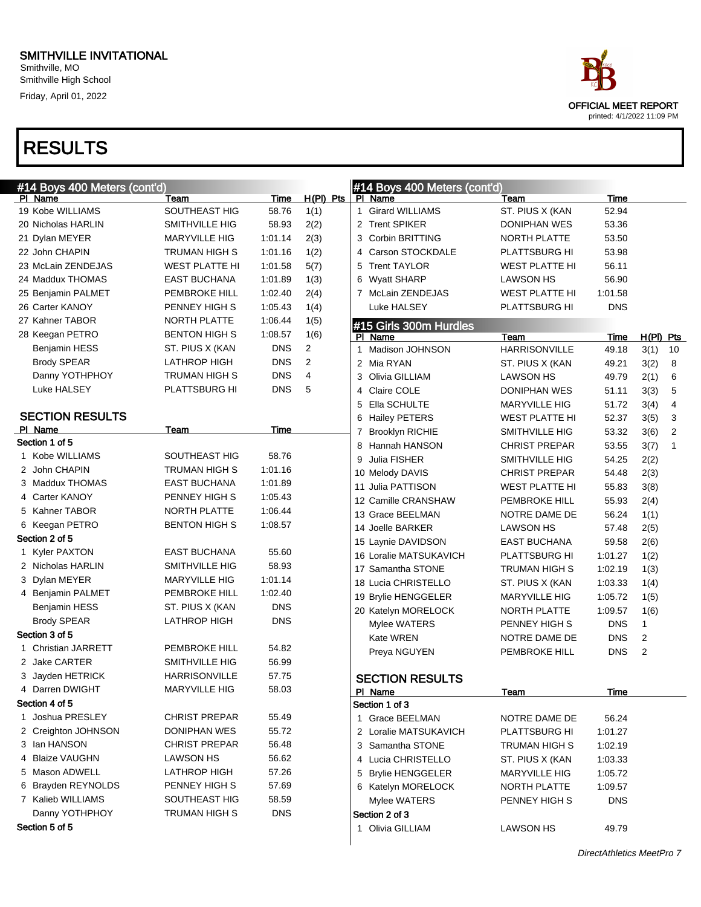Smithville, MO Smithville High School Friday, April 01, 2022

# RESULTS

| #14 Boys 400 Meters (cont'd) |                      |            |                |   | #14 Boys 400 Meters (cont'd) |                       |             |                |              |
|------------------------------|----------------------|------------|----------------|---|------------------------------|-----------------------|-------------|----------------|--------------|
| PI Name                      | Team                 | Time       | $H(PI)$ Pts    |   | PI Name                      | Team                  | Time        |                |              |
| 19 Kobe WILLIAMS             | SOUTHEAST HIG        | 58.76      | 1(1)           |   | 1 Girard WILLIAMS            | ST. PIUS X (KAN       | 52.94       |                |              |
| 20 Nicholas HARLIN           | SMITHVILLE HIG       | 58.93      | 2(2)           |   | 2 Trent SPIKER               | DONIPHAN WES          | 53.36       |                |              |
| 21 Dylan MEYER               | <b>MARYVILLE HIG</b> | 1:01.14    | 2(3)           | 3 | <b>Corbin BRITTING</b>       | NORTH PLATTE          | 53.50       |                |              |
| 22 John CHAPIN               | TRUMAN HIGH S        | 1:01.16    | 1(2)           | 4 | Carson STOCKDALE             | PLATTSBURG HI         | 53.98       |                |              |
| 23 McLain ZENDEJAS           | WEST PLATTE HI       | 1:01.58    | 5(7)           | 5 | <b>Trent TAYLOR</b>          | <b>WEST PLATTE HI</b> | 56.11       |                |              |
| 24 Maddux THOMAS             | EAST BUCHANA         | 1:01.89    | 1(3)           | 6 | <b>Wyatt SHARP</b>           | LAWSON HS             | 56.90       |                |              |
| 25 Benjamin PALMET           | PEMBROKE HILL        | 1:02.40    | 2(4)           |   | 7 McLain ZENDEJAS            | <b>WEST PLATTE HI</b> | 1:01.58     |                |              |
| 26 Carter KANOY              | PENNEY HIGH S        | 1:05.43    | 1(4)           |   | Luke HALSEY                  | PLATTSBURG HI         | <b>DNS</b>  |                |              |
| 27 Kahner TABOR              | <b>NORTH PLATTE</b>  | 1:06.44    | 1(5)           |   | #15 Girls 300m Hurdles       |                       |             |                |              |
| 28 Keegan PETRO              | <b>BENTON HIGH S</b> | 1:08.57    | 1(6)           |   | PI Name                      | Team                  | Time        | $H(PI)$ Pts    |              |
| <b>Benjamin HESS</b>         | ST. PIUS X (KAN      | <b>DNS</b> | $\overline{2}$ |   | 1 Madison JOHNSON            | <b>HARRISONVILLE</b>  | 49.18       | 3(1)           | 10           |
| <b>Brody SPEAR</b>           | <b>LATHROP HIGH</b>  | <b>DNS</b> | 2              |   | 2 Mia RYAN                   | ST. PIUS X (KAN       | 49.21       | 3(2)           | 8            |
| Danny YOTHPHOY               | <b>TRUMAN HIGH S</b> | <b>DNS</b> | 4              |   | 3 Olivia GILLIAM             | LAWSON HS             | 49.79       | 2(1)           | 6            |
| Luke HALSEY                  | PLATTSBURG HI        | <b>DNS</b> | 5              | 4 | Claire COLE                  | DONIPHAN WES          | 51.11       | 3(3)           | 5            |
|                              |                      |            |                | 5 | Ella SCHULTE                 | <b>MARYVILLE HIG</b>  | 51.72       | 3(4)           | 4            |
| <b>SECTION RESULTS</b>       |                      |            |                | 6 | <b>Hailey PETERS</b>         | WEST PLATTE HI        | 52.37       | 3(5)           | 3            |
| PI Name                      | Team                 | Time       |                |   | 7 Brooklyn RICHIE            | SMITHVILLE HIG        | 53.32       | 3(6)           | 2            |
| Section 1 of 5               |                      |            |                | 8 | Hannah HANSON                | <b>CHRIST PREPAR</b>  | 53.55       | 3(7)           | $\mathbf{1}$ |
| 1 Kobe WILLIAMS              | SOUTHEAST HIG        | 58.76      |                | 9 | Julia FISHER                 | <b>SMITHVILLE HIG</b> | 54.25       | 2(2)           |              |
| 2 John CHAPIN                | TRUMAN HIGH S        | 1:01.16    |                |   | 10 Melody DAVIS              | <b>CHRIST PREPAR</b>  | 54.48       | 2(3)           |              |
| 3 Maddux THOMAS              | EAST BUCHANA         | 1:01.89    |                |   | 11 Julia PATTISON            | <b>WEST PLATTE HI</b> | 55.83       | 3(8)           |              |
| 4 Carter KANOY               | PENNEY HIGH S        | 1:05.43    |                |   | 12 Camille CRANSHAW          | <b>PEMBROKE HILL</b>  | 55.93       | 2(4)           |              |
| 5 Kahner TABOR               | NORTH PLATTE         | 1:06.44    |                |   | 13 Grace BEELMAN             | NOTRE DAME DE         | 56.24       | 1(1)           |              |
| 6 Keegan PETRO               | <b>BENTON HIGH S</b> | 1:08.57    |                |   | 14 Joelle BARKER             | LAWSON HS             | 57.48       | 2(5)           |              |
| Section 2 of 5               |                      |            |                |   | 15 Laynie DAVIDSON           | <b>EAST BUCHANA</b>   | 59.58       | 2(6)           |              |
| 1 Kyler PAXTON               | <b>EAST BUCHANA</b>  | 55.60      |                |   | 16 Loralie MATSUKAVICH       | <b>PLATTSBURG HI</b>  | 1:01.27     | 1(2)           |              |
| 2 Nicholas HARLIN            | SMITHVILLE HIG       | 58.93      |                |   | 17 Samantha STONE            | TRUMAN HIGH S         | 1:02.19     | 1(3)           |              |
| 3 Dylan MEYER                | <b>MARYVILLE HIG</b> | 1:01.14    |                |   | 18 Lucia CHRISTELLO          | ST. PIUS X (KAN       | 1:03.33     | 1(4)           |              |
| 4 Benjamin PALMET            | <b>PEMBROKE HILL</b> | 1:02.40    |                |   | 19 Brylie HENGGELER          | <b>MARYVILLE HIG</b>  | 1:05.72     | 1(5)           |              |
| <b>Benjamin HESS</b>         | ST. PIUS X (KAN      | <b>DNS</b> |                |   | 20 Katelyn MORELOCK          | NORTH PLATTE          | 1:09.57     | 1(6)           |              |
| <b>Brody SPEAR</b>           | LATHROP HIGH         | <b>DNS</b> |                |   | Mylee WATERS                 | PENNEY HIGH S         | <b>DNS</b>  | 1              |              |
| Section 3 of 5               |                      |            |                |   | Kate WREN                    | NOTRE DAME DE         | <b>DNS</b>  | 2              |              |
| 1 Christian JARRETT          | <b>PEMBROKE HILL</b> | 54.82      |                |   | Preya NGUYEN                 | PEMBROKE HILL         | <b>DNS</b>  | $\overline{2}$ |              |
| 2 Jake CARTER                | SMITHVILLE HIG       | 56.99      |                |   |                              |                       |             |                |              |
| 3 Jayden HETRICK             | <b>HARRISONVILLE</b> | 57.75      |                |   | <b>SECTION RESULTS</b>       |                       |             |                |              |
| 4 Darren DWIGHT              | <b>MARYVILLE HIG</b> | 58.03      |                |   | PI Name                      | <b>Team</b>           | <u>Time</u> |                |              |
| Section 4 of 5               |                      |            |                |   | Section 1 of 3               |                       |             |                |              |
| 1 Joshua PRESLEY             | <b>CHRIST PREPAR</b> | 55.49      |                |   | 1 Grace BEELMAN              | NOTRE DAME DE         | 56.24       |                |              |
| 2 Creighton JOHNSON          | DONIPHAN WES         | 55.72      |                |   | 2 Loralie MATSUKAVICH        | PLATTSBURG HI         | 1:01.27     |                |              |
| 3 Ian HANSON                 | <b>CHRIST PREPAR</b> | 56.48      |                |   | 3 Samantha STONE             | TRUMAN HIGH S         | 1:02.19     |                |              |
| 4 Blaize VAUGHN              | LAWSON HS            | 56.62      |                |   | 4 Lucia CHRISTELLO           | ST. PIUS X (KAN       | 1:03.33     |                |              |
| 5 Mason ADWELL               | LATHROP HIGH         | 57.26      |                |   | 5 Brylie HENGGELER           | <b>MARYVILLE HIG</b>  | 1:05.72     |                |              |
| 6 Brayden REYNOLDS           | PENNEY HIGH S        | 57.69      |                |   | 6 Katelyn MORELOCK           | NORTH PLATTE          | 1:09.57     |                |              |
| 7 Kalieb WILLIAMS            | SOUTHEAST HIG        | 58.59      |                |   | Mylee WATERS                 | PENNEY HIGH S         | <b>DNS</b>  |                |              |
| Danny YOTHPHOY               | TRUMAN HIGH S        | <b>DNS</b> |                |   | Section 2 of 3               |                       |             |                |              |
| Section 5 of 5               |                      |            |                |   | 1 Olivia GILLIAM             | LAWSON HS             | 49.79       |                |              |
|                              |                      |            |                |   |                              |                       |             |                |              |



DirectAthletics MeetPro 7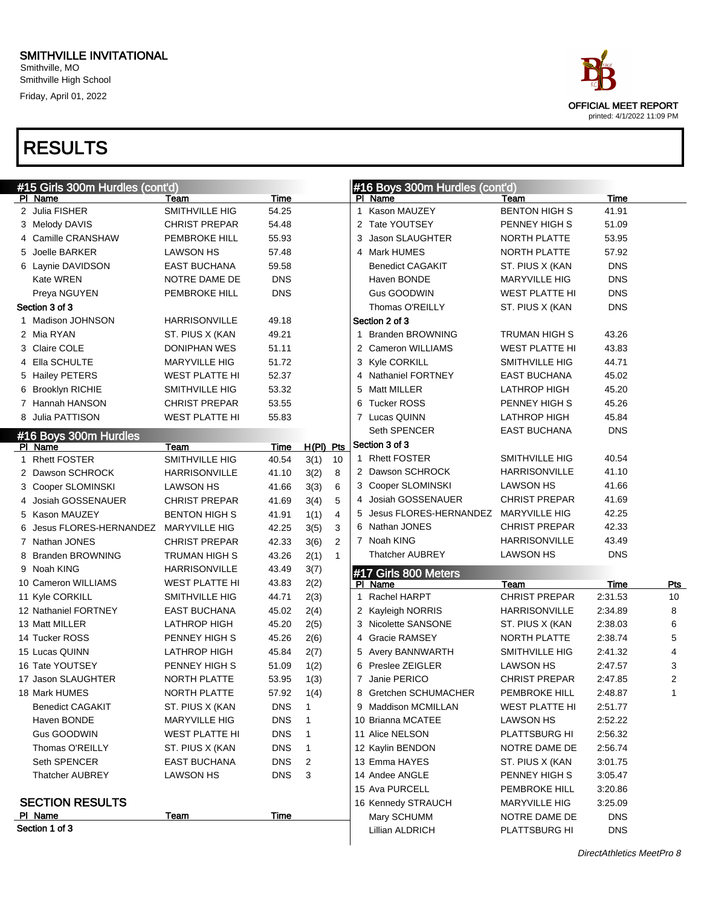Smithville, MO Smithville High School Friday, April 01, 2022

# OFFICIAL MEET REPORT printed: 4/1/2022 11:09 PM

| #15 Girls 300m Hurdles (cont'd) |                       |             |              |                |              | #16 Boys 300m Hurdles (cont'd) |                      |            |                |  |  |
|---------------------------------|-----------------------|-------------|--------------|----------------|--------------|--------------------------------|----------------------|------------|----------------|--|--|
| PI Name                         | Team                  | Time        |              |                |              | PI Name                        | Team                 | Time       |                |  |  |
| 2 Julia FISHER                  | <b>SMITHVILLE HIG</b> | 54.25       |              |                | $\mathbf{1}$ | Kason MAUZEY                   | <b>BENTON HIGH S</b> | 41.91      |                |  |  |
| 3 Melody DAVIS                  | <b>CHRIST PREPAR</b>  | 54.48       |              |                |              | 2 Tate YOUTSEY                 | PENNEY HIGH S        | 51.09      |                |  |  |
| 4 Camille CRANSHAW              | <b>PEMBROKE HILL</b>  | 55.93       |              |                | 3            | Jason SLAUGHTER                | NORTH PLATTE         | 53.95      |                |  |  |
| 5 Joelle BARKER                 | <b>LAWSON HS</b>      | 57.48       |              |                | 4            | Mark HUMES                     | <b>NORTH PLATTE</b>  | 57.92      |                |  |  |
| 6 Laynie DAVIDSON               | <b>EAST BUCHANA</b>   | 59.58       |              |                |              | <b>Benedict CAGAKIT</b>        | ST. PIUS X (KAN      | <b>DNS</b> |                |  |  |
| Kate WREN                       | NOTRE DAME DE         | <b>DNS</b>  |              |                |              | Haven BONDE                    | <b>MARYVILLE HIG</b> | <b>DNS</b> |                |  |  |
| Preya NGUYEN                    | <b>PEMBROKE HILL</b>  | <b>DNS</b>  |              |                |              | Gus GOODWIN                    | WEST PLATTE HI       | <b>DNS</b> |                |  |  |
| Section 3 of 3                  |                       |             |              |                |              | Thomas O'REILLY                | ST. PIUS X (KAN      | <b>DNS</b> |                |  |  |
| 1 Madison JOHNSON               | <b>HARRISONVILLE</b>  | 49.18       |              |                |              | Section 2 of 3                 |                      |            |                |  |  |
| 2 Mia RYAN                      | ST. PIUS X (KAN       | 49.21       |              |                | 1            | <b>Branden BROWNING</b>        | TRUMAN HIGH S        | 43.26      |                |  |  |
| 3 Claire COLE                   | <b>DONIPHAN WES</b>   | 51.11       |              |                |              | 2 Cameron WILLIAMS             | WEST PLATTE HI       | 43.83      |                |  |  |
| 4 Ella SCHULTE                  | <b>MARYVILLE HIG</b>  | 51.72       |              |                |              | 3 Kyle CORKILL                 | SMITHVILLE HIG       | 44.71      |                |  |  |
| 5 Hailey PETERS                 | <b>WEST PLATTE HI</b> | 52.37       |              |                | 4            | <b>Nathaniel FORTNEY</b>       | <b>EAST BUCHANA</b>  | 45.02      |                |  |  |
| 6 Brooklyn RICHIE               | <b>SMITHVILLE HIG</b> | 53.32       |              |                | 5            | Matt MILLER                    | LATHROP HIGH         | 45.20      |                |  |  |
| 7 Hannah HANSON                 | <b>CHRIST PREPAR</b>  | 53.55       |              |                | 6            | <b>Tucker ROSS</b>             | PENNEY HIGH S        | 45.26      |                |  |  |
| 8 Julia PATTISON                | <b>WEST PLATTE HI</b> | 55.83       |              |                |              | 7 Lucas QUINN                  | LATHROP HIGH         | 45.84      |                |  |  |
| #16 Boys 300m Hurdles           |                       |             |              |                |              | Seth SPENCER                   | <b>EAST BUCHANA</b>  | <b>DNS</b> |                |  |  |
| PI Name                         | Team                  | Time        | $H(PI)$ Pts  |                |              | Section 3 of 3                 |                      |            |                |  |  |
| 1 Rhett FOSTER                  | SMITHVILLE HIG        | 40.54       | 3(1)         | 10             |              | 1 Rhett FOSTER                 | SMITHVILLE HIG       | 40.54      |                |  |  |
| 2 Dawson SCHROCK                | <b>HARRISONVILLE</b>  | 41.10       | 3(2)         | 8              |              | 2 Dawson SCHROCK               | <b>HARRISONVILLE</b> | 41.10      |                |  |  |
| 3 Cooper SLOMINSKI              | <b>LAWSON HS</b>      | 41.66       | 3(3)         | 6              |              | 3 Cooper SLOMINSKI             | LAWSON HS            | 41.66      |                |  |  |
| 4 Josiah GOSSENAUER             | <b>CHRIST PREPAR</b>  | 41.69       | 3(4)         | 5              |              | 4 Josiah GOSSENAUER            | <b>CHRIST PREPAR</b> | 41.69      |                |  |  |
| 5 Kason MAUZEY                  | <b>BENTON HIGH S</b>  | 41.91       | 1(1)         | 4              | 5            | Jesus FLORES-HERNANDEZ         | <b>MARYVILLE HIG</b> | 42.25      |                |  |  |
| 6 Jesus FLORES-HERNANDEZ        | <b>MARYVILLE HIG</b>  | 42.25       | 3(5)         | 3              |              | 6 Nathan JONES                 | <b>CHRIST PREPAR</b> | 42.33      |                |  |  |
| 7 Nathan JONES                  | <b>CHRIST PREPAR</b>  | 42.33       | 3(6)         | $\overline{2}$ |              | 7 Noah KING                    | <b>HARRISONVILLE</b> | 43.49      |                |  |  |
| 8 Branden BROWNING              | TRUMAN HIGH S         | 43.26       | 2(1)         | $\mathbf{1}$   |              | <b>Thatcher AUBREY</b>         | LAWSON HS            | <b>DNS</b> |                |  |  |
| 9 Noah KING                     | <b>HARRISONVILLE</b>  | 43.49       | 3(7)         |                |              | #17 Girls 800 Meters           |                      |            |                |  |  |
| 10 Cameron WILLIAMS             | <b>WEST PLATTE HI</b> | 43.83       | 2(2)         |                |              | PI Name                        | Team                 | Time       | <u>Pts</u>     |  |  |
| 11 Kyle CORKILL                 | SMITHVILLE HIG        | 44.71       | 2(3)         |                | $\mathbf{1}$ | Rachel HARPT                   | <b>CHRIST PREPAR</b> | 2:31.53    | 10             |  |  |
| 12 Nathaniel FORTNEY            | <b>EAST BUCHANA</b>   | 45.02       | 2(4)         |                |              | 2 Kayleigh NORRIS              | <b>HARRISONVILLE</b> | 2:34.89    | 8              |  |  |
| 13 Matt MILLER                  | <b>LATHROP HIGH</b>   | 45.20       | 2(5)         |                |              | 3 Nicolette SANSONE            | ST. PIUS X (KAN      | 2:38.03    | 6              |  |  |
| 14 Tucker ROSS                  | PENNEY HIGH S         | 45.26       | 2(6)         |                | 4            | <b>Gracie RAMSEY</b>           | NORTH PLATTE         | 2:38.74    | 5              |  |  |
| 15 Lucas QUINN                  | <b>LATHROP HIGH</b>   | 45.84       | 2(7)         |                |              | 5 Avery BANNWARTH              | SMITHVILLE HIG       | 2:41.32    | 4              |  |  |
| 16 Tate YOUTSEY                 | PENNEY HIGH S         | 51.09       | 1(2)         |                |              | 6 Preslee ZEIGLER              | <b>LAWSON HS</b>     | 2:47.57    | 3              |  |  |
| 17 Jason SLAUGHTER              | NORTH PLATTE          | 53.95       | 1(3)         |                |              | 7 Janie PERICO                 | <b>CHRIST PREPAR</b> | 2:47.85    | $\overline{c}$ |  |  |
| 18 Mark HUMES                   | NORTH PLATTE          | 57.92       | 1(4)         |                |              | 8 Gretchen SCHUMACHER          | PEMBROKE HILL        | 2:48.87    |                |  |  |
| <b>Benedict CAGAKIT</b>         | ST. PIUS X (KAN       | DNS         | 1            |                |              | 9 Maddison MCMILLAN            | WEST PLATTE HI       | 2:51.77    |                |  |  |
| Haven BONDE                     | <b>MARYVILLE HIG</b>  | <b>DNS</b>  | 1            |                |              | 10 Brianna MCATEE              | <b>LAWSON HS</b>     | 2:52.22    |                |  |  |
| Gus GOODWIN                     | <b>WEST PLATTE HI</b> | <b>DNS</b>  | $\mathbf{1}$ |                |              | 11 Alice NELSON                | PLATTSBURG HI        | 2:56.32    |                |  |  |
| Thomas O'REILLY                 | ST. PIUS X (KAN       | <b>DNS</b>  | $\mathbf{1}$ |                |              | 12 Kaylin BENDON               | NOTRE DAME DE        | 2:56.74    |                |  |  |
| Seth SPENCER                    | EAST BUCHANA          | <b>DNS</b>  | 2            |                |              | 13 Emma HAYES                  | ST. PIUS X (KAN      | 3:01.75    |                |  |  |
| <b>Thatcher AUBREY</b>          | <b>LAWSON HS</b>      | <b>DNS</b>  | 3            |                |              | 14 Andee ANGLE                 | PENNEY HIGH S        | 3:05.47    |                |  |  |
|                                 |                       |             |              |                |              | 15 Ava PURCELL                 | PEMBROKE HILL        | 3:20.86    |                |  |  |
| <b>SECTION RESULTS</b>          |                       |             |              |                |              | 16 Kennedy STRAUCH             | <b>MARYVILLE HIG</b> | 3:25.09    |                |  |  |
| PI Name                         | <b>Team</b>           | <b>Time</b> |              |                |              | Mary SCHUMM                    | NOTRE DAME DE        | <b>DNS</b> |                |  |  |
| Section 1 of 3                  |                       |             |              |                |              | <b>Lillian ALDRICH</b>         | PLATTSBURG HI        | <b>DNS</b> |                |  |  |
|                                 |                       |             |              |                |              |                                |                      |            |                |  |  |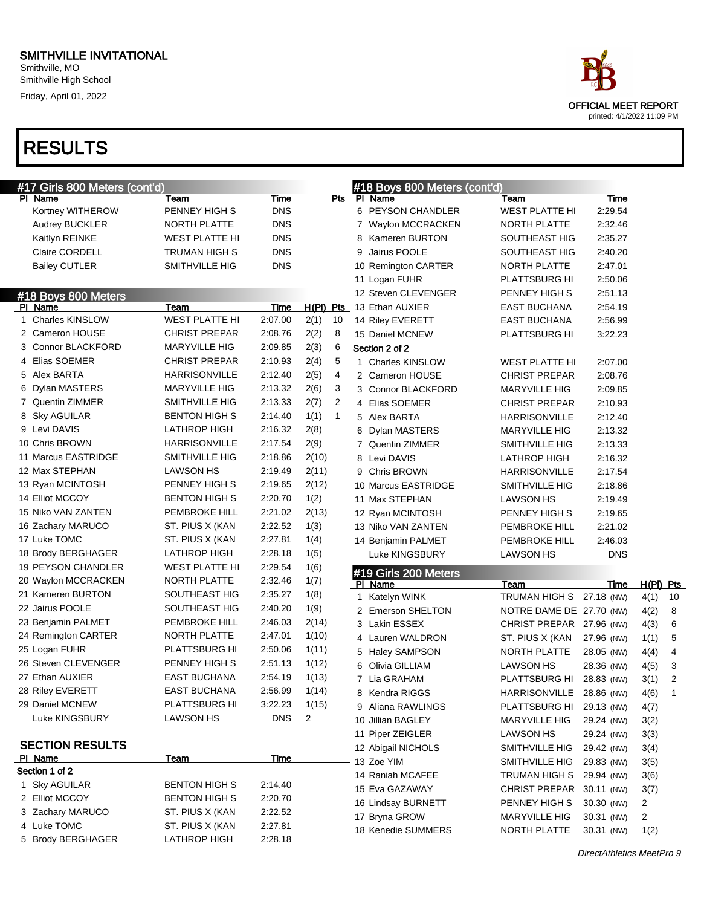Smithville, MO Smithville High School Friday, April 01, 2022

# RESULTS

|   | #17 Girls 800 Meters (cont'd) |                       |            |                |                |   | #18 Boys 800 Meters (cont'd) |                          |            |                |                |
|---|-------------------------------|-----------------------|------------|----------------|----------------|---|------------------------------|--------------------------|------------|----------------|----------------|
|   | <b>PI Name</b>                | Team                  | Time       |                | Pts            |   | PI Name                      | Team                     | Time       |                |                |
|   | Kortney WITHEROW              | PENNEY HIGH S         | <b>DNS</b> |                |                |   | 6 PEYSON CHANDLER            | <b>WEST PLATTE HI</b>    | 2:29.54    |                |                |
|   | Audrey BUCKLER                | NORTH PLATTE          | <b>DNS</b> |                |                |   | 7 Waylon MCCRACKEN           | NORTH PLATTE             | 2:32.46    |                |                |
|   | Kaitlyn REINKE                | <b>WEST PLATTE HI</b> | <b>DNS</b> |                |                |   | 8 Kameren BURTON             | SOUTHEAST HIG            | 2:35.27    |                |                |
|   | Claire CORDELL                | <b>TRUMAN HIGH S</b>  | <b>DNS</b> |                |                | 9 | Jairus POOLE                 | SOUTHEAST HIG            | 2:40.20    |                |                |
|   | <b>Bailey CUTLER</b>          | SMITHVILLE HIG        | <b>DNS</b> |                |                |   | 10 Remington CARTER          | NORTH PLATTE             | 2:47.01    |                |                |
|   |                               |                       |            |                |                |   | 11 Logan FUHR                | PLATTSBURG HI            | 2:50.06    |                |                |
|   | #18 Boys 800 Meters           |                       |            |                |                |   | 12 Steven CLEVENGER          | PENNEY HIGH S            | 2:51.13    |                |                |
|   | PI Name                       | <b>Team</b>           | Time       | $H(PI)$ Pts    |                |   | 13 Ethan AUXIER              | <b>EAST BUCHANA</b>      | 2:54.19    |                |                |
| 1 | <b>Charles KINSLOW</b>        | <b>WEST PLATTE HI</b> | 2:07.00    | 2(1)           | 10             |   | 14 Riley EVERETT             | <b>EAST BUCHANA</b>      | 2:56.99    |                |                |
|   | 2 Cameron HOUSE               | <b>CHRIST PREPAR</b>  | 2:08.76    | 2(2)           | 8              |   | 15 Daniel MCNEW              | PLATTSBURG HI            | 3:22.23    |                |                |
|   | 3 Connor BLACKFORD            | <b>MARYVILLE HIG</b>  | 2:09.85    | 2(3)           | 6              |   | Section 2 of 2               |                          |            |                |                |
|   | 4 Elias SOEMER                | <b>CHRIST PREPAR</b>  | 2:10.93    | 2(4)           | 5              |   | 1 Charles KINSLOW            | <b>WEST PLATTE HI</b>    | 2:07.00    |                |                |
|   | 5 Alex BARTA                  | <b>HARRISONVILLE</b>  | 2:12.40    | 2(5)           | 4              |   | 2 Cameron HOUSE              | <b>CHRIST PREPAR</b>     | 2:08.76    |                |                |
|   | 6 Dylan MASTERS               | <b>MARYVILLE HIG</b>  | 2:13.32    | 2(6)           | 3              |   | 3 Connor BLACKFORD           | <b>MARYVILLE HIG</b>     | 2:09.85    |                |                |
|   | 7 Quentin ZIMMER              | SMITHVILLE HIG        | 2:13.33    | 2(7)           | $\overline{2}$ |   | 4 Elias SOEMER               | <b>CHRIST PREPAR</b>     | 2:10.93    |                |                |
|   | 8 Sky AGUILAR                 | <b>BENTON HIGH S</b>  | 2:14.40    | 1(1)           | $\mathbf{1}$   |   | 5 Alex BARTA                 | <b>HARRISONVILLE</b>     | 2:12.40    |                |                |
|   | 9 Levi DAVIS                  | <b>LATHROP HIGH</b>   | 2:16.32    | 2(8)           |                |   | 6 Dylan MASTERS              | <b>MARYVILLE HIG</b>     | 2:13.32    |                |                |
|   | 10 Chris BROWN                | <b>HARRISONVILLE</b>  | 2:17.54    | 2(9)           |                |   | 7 Quentin ZIMMER             | <b>SMITHVILLE HIG</b>    | 2:13.33    |                |                |
|   | 11 Marcus EASTRIDGE           | SMITHVILLE HIG        | 2:18.86    | 2(10)          |                |   | 8 Levi DAVIS                 | <b>LATHROP HIGH</b>      | 2:16.32    |                |                |
|   | 12 Max STEPHAN                | <b>LAWSON HS</b>      | 2:19.49    | 2(11)          |                |   | 9 Chris BROWN                | <b>HARRISONVILLE</b>     | 2:17.54    |                |                |
|   | 13 Ryan MCINTOSH              | PENNEY HIGH S         | 2:19.65    | 2(12)          |                |   | 10 Marcus EASTRIDGE          | SMITHVILLE HIG           | 2:18.86    |                |                |
|   | 14 Elliot MCCOY               | <b>BENTON HIGH S</b>  | 2:20.70    | 1(2)           |                |   | 11 Max STEPHAN               | <b>LAWSON HS</b>         | 2:19.49    |                |                |
|   | 15 Niko VAN ZANTEN            | PEMBROKE HILL         | 2:21.02    | 2(13)          |                |   | 12 Ryan MCINTOSH             | PENNEY HIGH S            | 2:19.65    |                |                |
|   | 16 Zachary MARUCO             | ST. PIUS X (KAN       | 2:22.52    | 1(3)           |                |   | 13 Niko VAN ZANTEN           | PEMBROKE HILL            | 2:21.02    |                |                |
|   | 17 Luke TOMC                  | ST. PIUS X (KAN       | 2:27.81    | 1(4)           |                |   | 14 Benjamin PALMET           | PEMBROKE HILL            | 2:46.03    |                |                |
|   | 18 Brody BERGHAGER            | LATHROP HIGH          | 2:28.18    | 1(5)           |                |   | Luke KINGSBURY               | <b>LAWSON HS</b>         | <b>DNS</b> |                |                |
|   | 19 PEYSON CHANDLER            | <b>WEST PLATTE HI</b> | 2:29.54    | 1(6)           |                |   | #19 Girls 200 Meters         |                          |            |                |                |
|   | 20 Waylon MCCRACKEN           | NORTH PLATTE          | 2:32.46    | 1(7)           |                |   | PI Name                      | Team                     | Time       | $H(PI)$ Pts    |                |
|   | 21 Kameren BURTON             | SOUTHEAST HIG         | 2:35.27    | 1(8)           |                | 1 | Katelyn WINK                 | TRUMAN HIGH S 27.18 (NW) |            | 4(1)           | 10             |
|   | 22 Jairus POOLE               | SOUTHEAST HIG         | 2:40.20    | 1(9)           |                |   | 2 Emerson SHELTON            | NOTRE DAME DE 27.70 (NW) |            | 4(2)           | 8              |
|   | 23 Benjamin PALMET            | PEMBROKE HILL         | 2:46.03    | 2(14)          |                |   | 3 Lakin ESSEX                | CHRIST PREPAR 27.96 (NW) |            | 4(3)           | 6              |
|   | 24 Remington CARTER           | NORTH PLATTE          | 2:47.01    | 1(10)          |                |   | 4 Lauren WALDRON             | ST. PIUS X (KAN          | 27.96 (NW) | 1(1)           | 5              |
|   | 25 Logan FUHR                 | PLATTSBURG HI         | 2:50.06    | 1(11)          |                |   | 5 Haley SAMPSON              | NORTH PLATTE             | 28.05 (NW) | 4(4)           | 4              |
|   | 26 Steven CLEVENGER           | PENNEY HIGH S         | 2:51.13    | 1(12)          |                |   | 6 Olivia GILLIAM             | <b>LAWSON HS</b>         | 28.36 (NW) | 4(5)           | 3              |
|   | 27 Ethan AUXIER               | <b>EAST BUCHANA</b>   | 2:54.19    | 1(13)          |                |   | 7 Lia GRAHAM                 | PLATTSBURG HI 28.83 (NW) |            | 3(1)           | $\overline{2}$ |
|   | 28 Riley EVERETT              | EAST BUCHANA          | 2:56.99    | 1(14)          |                |   | 8 Kendra RIGGS               | HARRISONVILLE            | 28.86 (NW) | 4(6)           | 1              |
|   | 29 Daniel MCNEW               | PLATTSBURG HI         | 3:22.23    | 1(15)          |                |   | 9 Aliana RAWLINGS            | PLATTSBURG HI            | 29.13 (NW) | 4(7)           |                |
|   | Luke KINGSBURY                | <b>LAWSON HS</b>      | <b>DNS</b> | $\overline{2}$ |                |   | 10 Jillian BAGLEY            | MARYVILLE HIG            | 29.24 (NW) | 3(2)           |                |
|   |                               |                       |            |                |                |   | 11 Piper ZEIGLER             | <b>LAWSON HS</b>         | 29.24 (NW) | 3(3)           |                |
|   | <b>SECTION RESULTS</b>        |                       |            |                |                |   | 12 Abigail NICHOLS           | SMITHVILLE HIG           | 29.42 (NW) | 3(4)           |                |
|   | PI Name                       | Team                  | Time       |                |                |   | 13 Zoe YIM                   | SMITHVILLE HIG           | 29.83 (NW) | 3(5)           |                |
|   | Section 1 of 2                |                       |            |                |                |   | 14 Raniah MCAFEE             | TRUMAN HIGH S 29.94 (NW) |            | 3(6)           |                |
|   | 1 Sky AGUILAR                 | <b>BENTON HIGH S</b>  | 2:14.40    |                |                |   | 15 Eva GAZAWAY               | CHRIST PREPAR 30.11 (NW) |            | 3(7)           |                |
|   | 2 Elliot MCCOY                | <b>BENTON HIGH S</b>  | 2:20.70    |                |                |   | 16 Lindsay BURNETT           | PENNEY HIGH S            | 30.30 (NW) | $\overline{2}$ |                |
|   | 3 Zachary MARUCO              | ST. PIUS X (KAN       | 2:22.52    |                |                |   | 17 Bryna GROW                | <b>MARYVILLE HIG</b>     | 30.31 (NW) | $\overline{2}$ |                |
|   | 4 Luke TOMC                   | ST. PIUS X (KAN       | 2:27.81    |                |                |   | 18 Kenedie SUMMERS           | NORTH PLATTE             | 30.31 (NW) | 1(2)           |                |
|   | 5 Brody BERGHAGER             | LATHROP HIGH          | 2:28.18    |                |                |   |                              |                          |            |                |                |



DirectAthletics MeetPro 9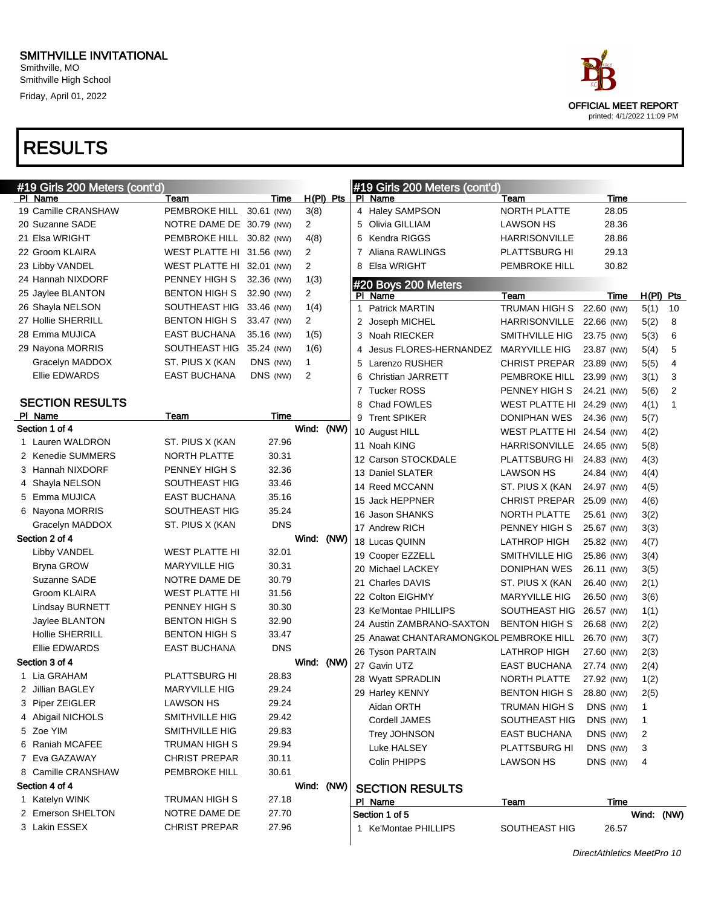Smithville, MO Smithville High School Friday, April 01, 2022

| #19 Girls 200 Meters (cont'd) |                           |            |                |      |                | #19 Girls 200 Meters (cont'd)                      |                           |            |             |                |
|-------------------------------|---------------------------|------------|----------------|------|----------------|----------------------------------------------------|---------------------------|------------|-------------|----------------|
| PI Name                       | Team                      | Time       | $H(PI)$ Pts    |      |                | PI Name                                            | Team                      | Time       |             |                |
| 19 Camille CRANSHAW           | PEMBROKE HILL 30.61 (NW)  |            | 3(8)           |      |                | 4 Haley SAMPSON                                    | NORTH PLATTE              | 28.05      |             |                |
| 20 Suzanne SADE               | NOTRE DAME DE 30.79 (NW)  |            | $\overline{2}$ |      |                | Olivia GILLIAM                                     | <b>LAWSON HS</b>          | 28.36      |             |                |
| 21 Elsa WRIGHT                | PEMBROKE HILL 30.82 (NW)  |            | 4(8)           |      | 6              | Kendra RIGGS                                       | <b>HARRISONVILLE</b>      | 28.86      |             |                |
| 22 Groom KLAIRA               | WEST PLATTE HI 31.56 (NW) |            | 2              |      | 7              | Aliana RAWLINGS                                    | PLATTSBURG HI             | 29.13      |             |                |
| 23 Libby VANDEL               | WEST PLATTE HI 32.01 (NW) |            | $\overline{2}$ |      | 8              | Elsa WRIGHT                                        | PEMBROKE HILL             | 30.82      |             |                |
| 24 Hannah NIXDORF             | PENNEY HIGH S             | 32.36 (NW) | 1(3)           |      |                | #20 Boys 200 Meters                                |                           |            |             |                |
| 25 Jaylee BLANTON             | <b>BENTON HIGH S</b>      | 32.90 (NW) | $\overline{2}$ |      |                | PI Name                                            | Team                      | Time       | $H(PI)$ Pts |                |
| 26 Shayla NELSON              | SOUTHEAST HIG 33.46 (NW)  |            | 1(4)           |      | 1              | <b>Patrick MARTIN</b>                              | TRUMAN HIGH S 22.60 (NW)  |            | 5(1)        | 10             |
| 27 Hollie SHERRILL            | <b>BENTON HIGH S</b>      | 33.47 (NW) | $\overline{2}$ |      |                | 2 Joseph MICHEL                                    | HARRISONVILLE 22.66 (NW)  |            | 5(2)        | 8              |
| 28 Emma MUJICA                | <b>EAST BUCHANA</b>       | 35.16 (NW) | 1(5)           |      |                | 3 Noah RIECKER                                     | SMITHVILLE HIG            | 23.75 (NW) | 5(3)        | 6              |
| 29 Nayona MORRIS              | SOUTHEAST HIG 35.24 (NW)  |            | 1(6)           |      | 4              | Jesus FLORES-HERNANDEZ                             | <b>MARYVILLE HIG</b>      | 23.87 (NW) | 5(4)        | 5              |
| Gracelyn MADDOX               | ST. PIUS X (KAN           | DNS (NW)   | $\mathbf{1}$   |      | 5              | Larenzo RUSHER                                     | CHRIST PREPAR 23.89 (NW)  |            | 5(5)        | 4              |
| Ellie EDWARDS                 | <b>EAST BUCHANA</b>       | DNS (NW)   | 2              |      | 6              | <b>Christian JARRETT</b>                           | PEMBROKE HILL 23.99 (NW)  |            | 3(1)        | 3              |
|                               |                           |            |                |      | $\overline{7}$ | <b>Tucker ROSS</b>                                 | PENNEY HIGH S 24.21 (NW)  |            | 5(6)        | $\overline{2}$ |
| <b>SECTION RESULTS</b>        |                           |            |                |      |                | 8 Chad FOWLES                                      | WEST PLATTE HI 24.29 (NW) |            | 4(1)        | $\mathbf{1}$   |
| PI Name                       | Team                      | Time       |                |      |                | 9 Trent SPIKER                                     | DONIPHAN WES 24.36 (NW)   |            | 5(7)        |                |
| Section 1 of 4                |                           |            | Wind:          | (NW) |                | 10 August HILL                                     | WEST PLATTE HI 24.54 (NW) |            | 4(2)        |                |
| 1 Lauren WALDRON              | ST. PIUS X (KAN           | 27.96      |                |      |                | 11 Noah KING                                       | HARRISONVILLE 24.65 (NW)  |            | 5(8)        |                |
| 2 Kenedie SUMMERS             | <b>NORTH PLATTE</b>       | 30.31      |                |      |                | 12 Carson STOCKDALE                                | PLATTSBURG HI 24.83 (NW)  |            | 4(3)        |                |
| 3 Hannah NIXDORF              | PENNEY HIGH S             | 32.36      |                |      |                | 13 Daniel SLATER                                   | <b>LAWSON HS</b>          | 24.84 (NW) | 4(4)        |                |
| 4 Shayla NELSON               | SOUTHEAST HIG             | 33.46      |                |      |                | 14 Reed MCCANN                                     | ST. PIUS X (KAN           | 24.97 (NW) | 4(5)        |                |
| 5 Emma MUJICA                 | <b>EAST BUCHANA</b>       | 35.16      |                |      |                | 15 Jack HEPPNER                                    | CHRIST PREPAR 25.09 (NW)  |            | 4(6)        |                |
| 6 Nayona MORRIS               | SOUTHEAST HIG             | 35.24      |                |      |                | 16 Jason SHANKS                                    | NORTH PLATTE              | 25.61 (NW) | 3(2)        |                |
| Gracelyn MADDOX               | ST. PIUS X (KAN           | <b>DNS</b> |                |      |                | 17 Andrew RICH                                     | PENNEY HIGH S             | 25.67 (NW) | 3(3)        |                |
| Section 2 of 4                |                           |            | Wind: (NW)     |      |                | 18 Lucas QUINN                                     | <b>LATHROP HIGH</b>       | 25.82 (NW) | 4(7)        |                |
| Libby VANDEL                  | WEST PLATTE HI            | 32.01      |                |      |                | 19 Cooper EZZELL                                   | SMITHVILLE HIG            | 25.86 (NW) | 3(4)        |                |
| Bryna GROW                    | <b>MARYVILLE HIG</b>      | 30.31      |                |      |                | 20 Michael LACKEY                                  | DONIPHAN WES              | 26.11 (NW) | 3(5)        |                |
| Suzanne SADE                  | NOTRE DAME DE             | 30.79      |                |      |                | 21 Charles DAVIS                                   | ST. PIUS X (KAN           | 26.40 (NW) | 2(1)        |                |
| <b>Groom KLAIRA</b>           | <b>WEST PLATTE HI</b>     | 31.56      |                |      |                | 22 Colton EIGHMY                                   | MARYVILLE HIG             | 26.50 (NW) | 3(6)        |                |
| <b>Lindsay BURNETT</b>        | PENNEY HIGH S             | 30.30      |                |      |                | 23 Ke'Montae PHILLIPS                              | SOUTHEAST HIG 26.57 (NW)  |            | 1(1)        |                |
| Jaylee BLANTON                | <b>BENTON HIGH S</b>      | 32.90      |                |      |                | 24 Austin ZAMBRANO-SAXTON                          | <b>BENTON HIGH S</b>      | 26.68 (NW) | 2(2)        |                |
| <b>Hollie SHERRILL</b>        | <b>BENTON HIGH S</b>      | 33.47      |                |      |                | 25 Anawat CHANTARAMONGKOL PEMBROKE HILL 26.70 (NW) |                           |            | 3(7)        |                |
| Ellie EDWARDS                 | <b>EAST BUCHANA</b>       | <b>DNS</b> |                |      |                | 26 Tyson PARTAIN                                   | <b>LATHROP HIGH</b>       | 27.60 (NW) | 2(3)        |                |
| Section 3 of 4                |                           |            | Wind: (NW)     |      |                | 27 Gavin UTZ                                       | <b>EAST BUCHANA</b>       | 27.74 (NW) | 2(4)        |                |
| 1 Lia GRAHAM                  | <b>PLATTSBURG HI</b>      | 28.83      |                |      |                | 28 Wyatt SPRADLIN                                  | NORTH PLATTE              | 27.92 (NW) | 1(2)        |                |
| 2 Jillian BAGLEY              | <b>MARYVILLE HIG</b>      | 29.24      |                |      |                | 29 Harley KENNY                                    | BENTON HIGH S 28.80 (NW)  |            | 2(5)        |                |
| 3 Piper ZEIGLER               | LAWSON HS                 | 29.24      |                |      |                | Aidan ORTH                                         | TRUMAN HIGH S             | DNS (NW)   |             |                |
| 4 Abigail NICHOLS             | SMITHVILLE HIG            | 29.42      |                |      |                | Cordell JAMES                                      | SOUTHEAST HIG             | DNS (NW)   | 1           |                |
| 5 Zoe YIM                     | SMITHVILLE HIG            | 29.83      |                |      |                | Trey JOHNSON                                       | <b>EAST BUCHANA</b>       | DNS (NW)   | 2           |                |
| 6 Raniah MCAFEE               | TRUMAN HIGH S             | 29.94      |                |      |                | Luke HALSEY                                        | PLATTSBURG HI             | DNS (NW)   | 3           |                |
| 7 Eva GAZAWAY                 | <b>CHRIST PREPAR</b>      | 30.11      |                |      |                | Colin PHIPPS                                       | LAWSON HS                 | DNS (NW)   | 4           |                |
| 8 Camille CRANSHAW            | PEMBROKE HILL             | 30.61      |                |      |                |                                                    |                           |            |             |                |
| Section 4 of 4                |                           |            | Wind: (NW)     |      |                | <b>SECTION RESULTS</b>                             |                           |            |             |                |
| 1 Katelyn WINK                | TRUMAN HIGH S             | 27.18      |                |      |                | PI Name                                            | <u>Team</u>               | Time       |             |                |
| 2 Emerson SHELTON             | NOTRE DAME DE             | 27.70      |                |      |                | Section 1 of 5                                     |                           |            | Wind: (NW)  |                |
| 3 Lakin ESSEX                 | <b>CHRIST PREPAR</b>      | 27.96      |                |      |                | 1 Ke'Montae PHILLIPS                               | SOUTHEAST HIG             | 26.57      |             |                |

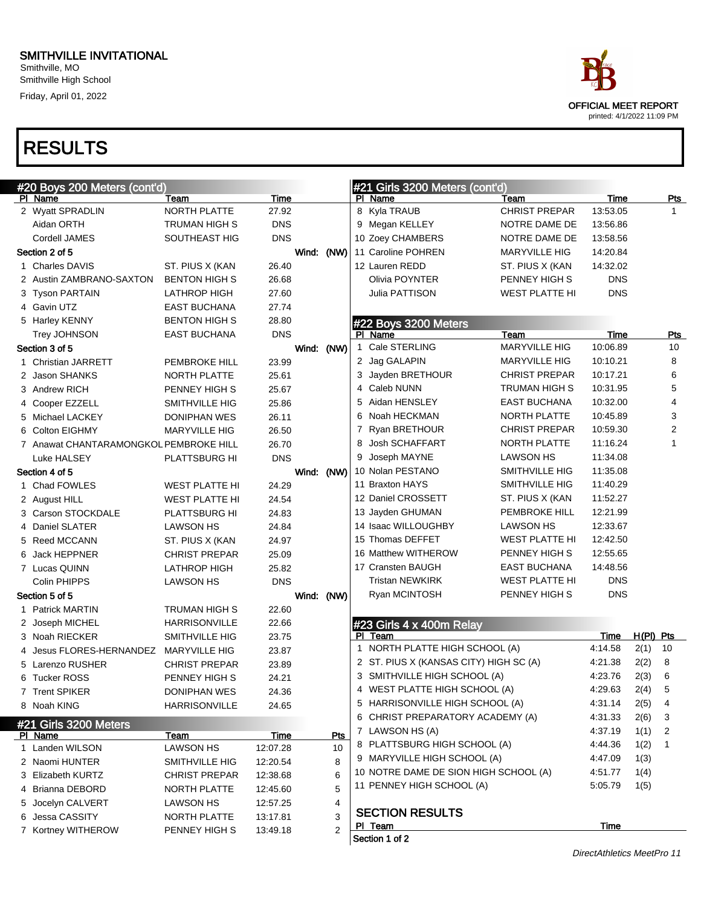Smithville, MO Smithville High School Friday, April 01, 2022

# OFFICIAL MEET REPORT printed: 4/1/2022 11:09 PM

| #20 Boys 200 Meters (cont'd)           |                      |            |            | #21 Girls 3200 Meters (cont'd) |                                        |                       |            |             |                |
|----------------------------------------|----------------------|------------|------------|--------------------------------|----------------------------------------|-----------------------|------------|-------------|----------------|
| PI Name                                | Team                 | Time       |            |                                | PI Name                                | Team                  | Time       |             | <u>Pts</u>     |
| 2 Wyatt SPRADLIN                       | NORTH PLATTE         | 27.92      |            |                                | 8 Kyla TRAUB                           | <b>CHRIST PREPAR</b>  | 13:53.05   |             | $\mathbf{1}$   |
| Aidan ORTH                             | TRUMAN HIGH S        | <b>DNS</b> |            |                                | 9 Megan KELLEY                         | NOTRE DAME DE         | 13:56.86   |             |                |
| Cordell JAMES                          | SOUTHEAST HIG        | <b>DNS</b> |            |                                | 10 Zoey CHAMBERS                       | NOTRE DAME DE         | 13:58.56   |             |                |
| Section 2 of 5                         |                      |            | Wind: (NW) |                                | 11 Caroline POHREN                     | <b>MARYVILLE HIG</b>  | 14:20.84   |             |                |
| 1 Charles DAVIS                        | ST. PIUS X (KAN      | 26.40      |            |                                | 12 Lauren REDD                         | ST. PIUS X (KAN       | 14:32.02   |             |                |
| 2 Austin ZAMBRANO-SAXTON               | <b>BENTON HIGH S</b> | 26.68      |            |                                | Olivia POYNTER                         | PENNEY HIGH S         | <b>DNS</b> |             |                |
| 3 Tyson PARTAIN                        | <b>LATHROP HIGH</b>  | 27.60      |            |                                | Julia PATTISON                         | <b>WEST PLATTE HI</b> | <b>DNS</b> |             |                |
| 4 Gavin UTZ                            | EAST BUCHANA         | 27.74      |            |                                |                                        |                       |            |             |                |
| 5 Harley KENNY                         | <b>BENTON HIGH S</b> | 28.80      |            |                                | #22 Boys 3200 Meters                   |                       |            |             |                |
| Trey JOHNSON                           | <b>EAST BUCHANA</b>  | <b>DNS</b> |            |                                | PI Name                                | Team                  | Time       |             | <b>Pts</b>     |
| Section 3 of 5                         |                      |            | Wind: (NW) |                                | 1 Cale STERLING                        | <b>MARYVILLE HIG</b>  | 10:06.89   |             | 10             |
| 1 Christian JARRETT                    | <b>PEMBROKE HILL</b> | 23.99      |            |                                | 2 Jag GALAPIN                          | MARYVILLE HIG         | 10:10.21   |             | 8              |
| 2 Jason SHANKS                         | NORTH PLATTE         | 25.61      |            |                                | 3 Jayden BRETHOUR                      | <b>CHRIST PREPAR</b>  | 10:17.21   |             | 6              |
| 3 Andrew RICH                          | PENNEY HIGH S        | 25.67      |            |                                | 4 Caleb NUNN                           | <b>TRUMAN HIGH S</b>  | 10:31.95   |             | 5              |
| 4 Cooper EZZELL                        | SMITHVILLE HIG       | 25.86      |            |                                | 5 Aidan HENSLEY                        | <b>EAST BUCHANA</b>   | 10:32.00   |             | 4              |
| 5 Michael LACKEY                       | DONIPHAN WES         | 26.11      |            |                                | 6 Noah HECKMAN                         | NORTH PLATTE          | 10:45.89   |             | 3              |
| 6 Colton EIGHMY                        | <b>MARYVILLE HIG</b> | 26.50      |            |                                | 7 Ryan BRETHOUR                        | <b>CHRIST PREPAR</b>  | 10:59.30   |             | $\overline{2}$ |
| 7 Anawat CHANTARAMONGKOL PEMBROKE HILL |                      | 26.70      |            |                                | Josh SCHAFFART                         | NORTH PLATTE          | 11:16.24   |             | $\mathbf{1}$   |
| Luke HALSEY                            | PLATTSBURG HI        | <b>DNS</b> |            |                                | 9 Joseph MAYNE                         | <b>LAWSON HS</b>      | 11:34.08   |             |                |
| Section 4 of 5                         |                      |            | Wind: (NW) |                                | 10 Nolan PESTANO                       | SMITHVILLE HIG        | 11:35.08   |             |                |
| 1 Chad FOWLES                          | WEST PLATTE HI       | 24.29      |            |                                | 11 Braxton HAYS                        | SMITHVILLE HIG        | 11:40.29   |             |                |
| 2 August HILL                          | WEST PLATTE HI       | 24.54      |            |                                | 12 Daniel CROSSETT                     | ST. PIUS X (KAN       | 11:52.27   |             |                |
| 3 Carson STOCKDALE                     | PLATTSBURG HI        | 24.83      |            |                                | 13 Jayden GHUMAN                       | PEMBROKE HILL         | 12:21.99   |             |                |
| 4 Daniel SLATER                        | LAWSON HS            | 24.84      |            |                                | 14 Isaac WILLOUGHBY                    | LAWSON HS             | 12:33.67   |             |                |
| 5 Reed MCCANN                          | ST. PIUS X (KAN      | 24.97      |            |                                | 15 Thomas DEFFET                       | <b>WEST PLATTE HI</b> | 12:42.50   |             |                |
| 6 Jack HEPPNER                         | <b>CHRIST PREPAR</b> | 25.09      |            |                                | 16 Matthew WITHEROW                    | PENNEY HIGH S         | 12:55.65   |             |                |
| 7 Lucas QUINN                          | LATHROP HIGH         | 25.82      |            |                                | 17 Cransten BAUGH                      | <b>EAST BUCHANA</b>   | 14:48.56   |             |                |
| Colin PHIPPS                           | <b>LAWSON HS</b>     | <b>DNS</b> |            |                                | <b>Tristan NEWKIRK</b>                 | <b>WEST PLATTE HI</b> | <b>DNS</b> |             |                |
| Section 5 of 5                         |                      |            | Wind: (NW) |                                | Ryan MCINTOSH                          | PENNEY HIGH S         | <b>DNS</b> |             |                |
| 1 Patrick MARTIN                       | TRUMAN HIGH S        | 22.60      |            |                                |                                        |                       |            |             |                |
| 2 Joseph MICHEL                        | <b>HARRISONVILLE</b> | 22.66      |            |                                | #23 Girls 4 x 400m Relay               |                       |            |             |                |
| 3 Noah RIECKER                         | SMITHVILLE HIG       | 23.75      |            | PI.                            | Team                                   |                       | Time       | $H(PI)$ Pts |                |
| Jesus FLORES-HERNANDEZ                 | <b>MARYVILLE HIG</b> | 23.87      |            |                                | 1 NORTH PLATTE HIGH SCHOOL (A)         |                       | 4:14.58    | 2(1)        | 10             |
| 5 Larenzo RUSHER                       | <b>CHRIST PREPAR</b> | 23.89      |            |                                | 2 ST. PIUS X (KANSAS CITY) HIGH SC (A) |                       | 4:21.38    | 2(2)        | 8              |
| 6 Tucker ROSS                          | PENNEY HIGH S        | 24.21      |            |                                | 3 SMITHVILLE HIGH SCHOOL (A)           |                       | 4:23.76    | 2(3)        | 6              |
| 7 Trent SPIKER                         | DONIPHAN WES         | 24.36      |            |                                | 4 WEST PLATTE HIGH SCHOOL (A)          |                       | 4:29.63    | 2(4)        | 5              |
| 8 Noah KING                            | <b>HARRISONVILLE</b> | 24.65      |            |                                | 5 HARRISONVILLE HIGH SCHOOL (A)        |                       | 4:31.14    | 2(5)        | 4              |
| #21 Girls 3200 Meters                  |                      |            |            |                                | 6 CHRIST PREPARATORY ACADEMY (A)       |                       | 4:31.33    | 2(6)        | 3              |
| PI Name                                | Team                 | Time       | Pts        |                                | 7 LAWSON HS (A)                        |                       | 4:37.19    | 1(1)        | 2              |
| 1 Landen WILSON                        | <b>LAWSON HS</b>     | 12:07.28   | 10         |                                | 8 PLATTSBURG HIGH SCHOOL (A)           |                       | 4:44.36    | 1(2)        | -1             |
| 2 Naomi HUNTER                         | SMITHVILLE HIG       | 12:20.54   | 8          |                                | 9 MARYVILLE HIGH SCHOOL (A)            |                       | 4:47.09    | 1(3)        |                |
| 3 Elizabeth KURTZ                      | <b>CHRIST PREPAR</b> | 12:38.68   | 6          |                                | 10 NOTRE DAME DE SION HIGH SCHOOL (A)  |                       | 4:51.77    | 1(4)        |                |
| 4 Brianna DEBORD                       | NORTH PLATTE         | 12:45.60   | 5          |                                | 11 PENNEY HIGH SCHOOL (A)              |                       | 5:05.79    | 1(5)        |                |
| 5 Jocelyn CALVERT                      | LAWSON HS            | 12:57.25   | 4          |                                |                                        |                       |            |             |                |
| 6 Jessa CASSITY                        | NORTH PLATTE         | 13:17.81   | 3          |                                | <b>SECTION RESULTS</b>                 |                       |            |             |                |
| 7 Kortney WITHEROW                     | PENNEY HIGH S        | 13:49.18   | 2          |                                | PI Team                                |                       | Time       |             |                |
|                                        |                      |            |            |                                | Section 1 of 2                         |                       |            |             |                |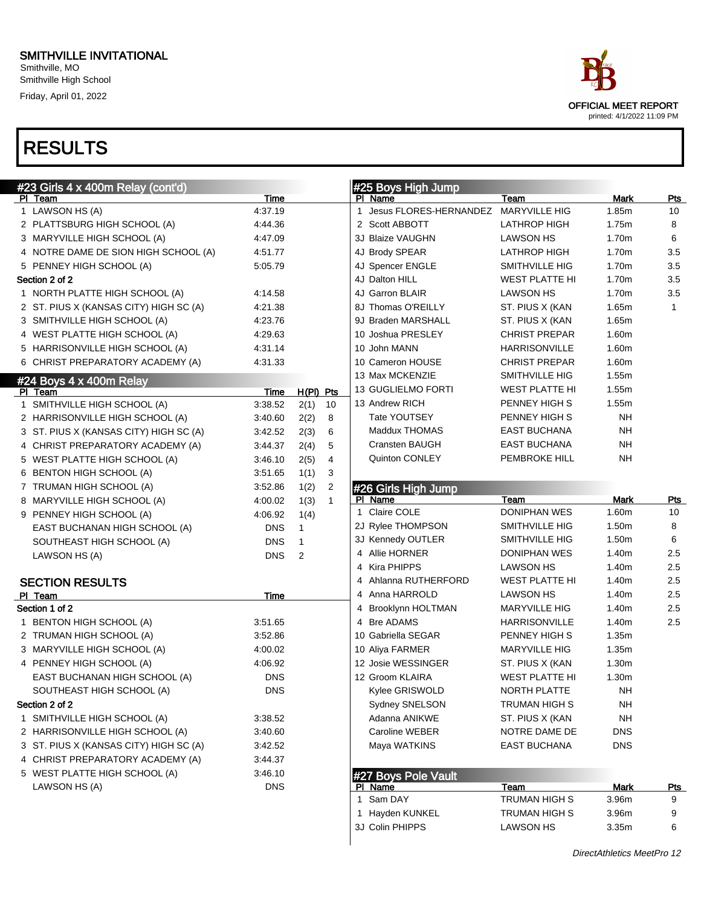Smithville, MO Smithville High School Friday, April 01, 2022

### RESULTS

| ace                                                |
|----------------------------------------------------|
| OFFICIAL MEET REPORT<br>printed: 4/1/2022 11:09 PM |

| #23 Girls 4 x 400m Relay (cont'd)      |            |              |              | #25 Boys High Jump        |                       |            |              |
|----------------------------------------|------------|--------------|--------------|---------------------------|-----------------------|------------|--------------|
| PI Team                                | Time       |              |              | PI Name                   | Team                  | Mark       | Pts          |
| 1 LAWSON HS (A)                        | 4:37.19    |              |              | 1 Jesus FLORES-HERNANDEZ  | <b>MARYVILLE HIG</b>  | 1.85m      | 10           |
| 2 PLATTSBURG HIGH SCHOOL (A)           | 4:44.36    |              |              | 2 Scott ABBOTT            | <b>LATHROP HIGH</b>   | 1.75m      | 8            |
| 3 MARYVILLE HIGH SCHOOL (A)            | 4:47.09    |              |              | 3J Blaize VAUGHN          | <b>LAWSON HS</b>      | 1.70m      | 6            |
| 4 NOTRE DAME DE SION HIGH SCHOOL (A)   | 4:51.77    |              |              | 4J Brody SPEAR            | <b>LATHROP HIGH</b>   | 1.70m      | 3.5          |
| 5 PENNEY HIGH SCHOOL (A)               | 5:05.79    |              |              | 4J Spencer ENGLE          | SMITHVILLE HIG        | 1.70m      | 3.5          |
| Section 2 of 2                         |            |              |              | 4J Dalton HILL            | <b>WEST PLATTE HI</b> | 1.70m      | 3.5          |
| 1 NORTH PLATTE HIGH SCHOOL (A)         | 4:14.58    |              |              | 4J Garron BLAIR           | <b>LAWSON HS</b>      | 1.70m      | 3.5          |
| 2 ST. PIUS X (KANSAS CITY) HIGH SC (A) | 4:21.38    |              |              | 8J Thomas O'REILLY        | ST. PIUS X (KAN       | 1.65m      | $\mathbf{1}$ |
| 3 SMITHVILLE HIGH SCHOOL (A)           | 4:23.76    |              |              | 9J Braden MARSHALL        | ST. PIUS X (KAN       | 1.65m      |              |
| 4 WEST PLATTE HIGH SCHOOL (A)          | 4:29.63    |              |              | 10 Joshua PRESLEY         | <b>CHRIST PREPAR</b>  | 1.60m      |              |
| 5 HARRISONVILLE HIGH SCHOOL (A)        | 4:31.14    |              |              | 10 John MANN              | HARRISONVILLE         | 1.60m      |              |
| 6 CHRIST PREPARATORY ACADEMY (A)       | 4:31.33    |              |              | 10 Cameron HOUSE          | <b>CHRIST PREPAR</b>  | 1.60m      |              |
| $#24$ Boys $4 \times 400$ m Relay      |            |              |              | 13 Max MCKENZIE           | SMITHVILLE HIG        | 1.55m      |              |
| PI Team                                | Time       | $H(PI)$ Pts  |              | <b>13 GUGLIELMO FORTI</b> | <b>WEST PLATTE HI</b> | 1.55m      |              |
| 1 SMITHVILLE HIGH SCHOOL (A)           | 3:38.52    | 2(1)         | 10           | 13 Andrew RICH            | PENNEY HIGH S         | 1.55m      |              |
| 2 HARRISONVILLE HIGH SCHOOL (A)        | 3:40.60    | 2(2)         | 8            | Tate YOUTSEY              | PENNEY HIGH S         | <b>NH</b>  |              |
| 3 ST. PIUS X (KANSAS CITY) HIGH SC (A) | 3:42.52    | 2(3)         | 6            | Maddux THOMAS             | <b>EAST BUCHANA</b>   | <b>NH</b>  |              |
| 4 CHRIST PREPARATORY ACADEMY (A)       | 3:44.37    | 2(4)         | 5            | Cransten BAUGH            | <b>EAST BUCHANA</b>   | NH         |              |
| 5 WEST PLATTE HIGH SCHOOL (A)          | 3:46.10    | 2(5)         | 4            | Quinton CONLEY            | PEMBROKE HILL         | NΗ         |              |
| 6 BENTON HIGH SCHOOL (A)               | 3:51.65    | 1(1)         | 3            |                           |                       |            |              |
| 7 TRUMAN HIGH SCHOOL (A)               | 3:52.86    | 1(2)         | 2            | #26 Girls High Jump       |                       |            |              |
| 8 MARYVILLE HIGH SCHOOL (A)            | 4:00.02    | 1(3)         | $\mathbf{1}$ | PI Name                   | Team                  | Mark       | <b>Pts</b>   |
| 9 PENNEY HIGH SCHOOL (A)               | 4:06.92    | 1(4)         |              | 1 Claire COLE             | <b>DONIPHAN WES</b>   | 1.60m      | 10           |
| EAST BUCHANAN HIGH SCHOOL (A)          | <b>DNS</b> | $\mathbf{1}$ |              | 2J Rylee THOMPSON         | SMITHVILLE HIG        | 1.50m      | 8            |
| SOUTHEAST HIGH SCHOOL (A)              | <b>DNS</b> | $\mathbf{1}$ |              | 3J Kennedy OUTLER         | SMITHVILLE HIG        | 1.50m      | 6            |
|                                        | <b>DNS</b> | 2            |              | 4 Allie HORNER            | DONIPHAN WES          | 1.40m      | 2.5          |
| LAWSON HS (A)                          |            |              |              | 4 Kira PHIPPS             | LAWSON HS             | 1.40m      | 2.5          |
| <b>SECTION RESULTS</b>                 |            |              |              | 4 Ahlanna RUTHERFORD      | <b>WEST PLATTE HI</b> | 1.40m      | 2.5          |
| PI Team                                | Time       |              |              | 4 Anna HARROLD            | <b>LAWSON HS</b>      | 1.40m      | 2.5          |
| Section 1 of 2                         |            |              |              | 4 Brooklynn HOLTMAN       | <b>MARYVILLE HIG</b>  | 1.40m      | 2.5          |
| 1 BENTON HIGH SCHOOL (A)               | 3:51.65    |              |              | 4 Bre ADAMS               | <b>HARRISONVILLE</b>  | 1.40m      | 2.5          |
|                                        |            |              |              | 10 Gabriella SEGAR        |                       | 1.35m      |              |
| 2 TRUMAN HIGH SCHOOL (A)               | 3:52.86    |              |              |                           | PENNEY HIGH S         |            |              |
| 3 MARYVILLE HIGH SCHOOL (A)            | 4:00.02    |              |              | 10 Aliya FARMER           | <b>MARYVILLE HIG</b>  | 1.35m      |              |
| 4 PENNEY HIGH SCHOOL (A)               | 4:06.92    |              |              | 12 Josie WESSINGER        | ST. PIUS X (KAN       | 1.30m      |              |
| EAST BUCHANAN HIGH SCHOOL (A)          | <b>DNS</b> |              |              | 12 Groom KLAIRA           | <b>WEST PLATTE HI</b> | 1.30m      |              |
| SOUTHEAST HIGH SCHOOL (A)              | <b>DNS</b> |              |              | Kylee GRISWOLD            | NORTH PLATTE          | <b>NH</b>  |              |
| Section 2 of 2                         |            |              |              | Sydney SNELSON            | TRUMAN HIGH S         | <b>NH</b>  |              |
| 1 SMITHVILLE HIGH SCHOOL (A)           | 3:38.52    |              |              | Adanna ANIKWE             | ST. PIUS X (KAN       | <b>NH</b>  |              |
| 2 HARRISONVILLE HIGH SCHOOL (A)        | 3:40.60    |              |              | Caroline WEBER            | NOTRE DAME DE         | <b>DNS</b> |              |
| 3 ST. PIUS X (KANSAS CITY) HIGH SC (A) | 3:42.52    |              |              | Maya WATKINS              | <b>EAST BUCHANA</b>   | <b>DNS</b> |              |
| 4 CHRIST PREPARATORY ACADEMY (A)       | 3:44.37    |              |              |                           |                       |            |              |
| 5 WEST PLATTE HIGH SCHOOL (A)          | 3:46.10    |              |              | #27 Boys Pole Vault       |                       |            |              |
| LAWSON HS (A)                          | <b>DNS</b> |              |              | PI Name                   | Team                  | Mark       | <u>Pts</u>   |
|                                        |            |              |              | 1 Sam DAY                 | TRUMAN HIGH S         | 3.96m      | 9            |
|                                        |            |              |              | 1 Hayden KUNKEL           | <b>TRUMAN HIGH S</b>  | 3.96m      | 9            |

3J Colin PHIPPS **LAWSON HS** 3.35m 6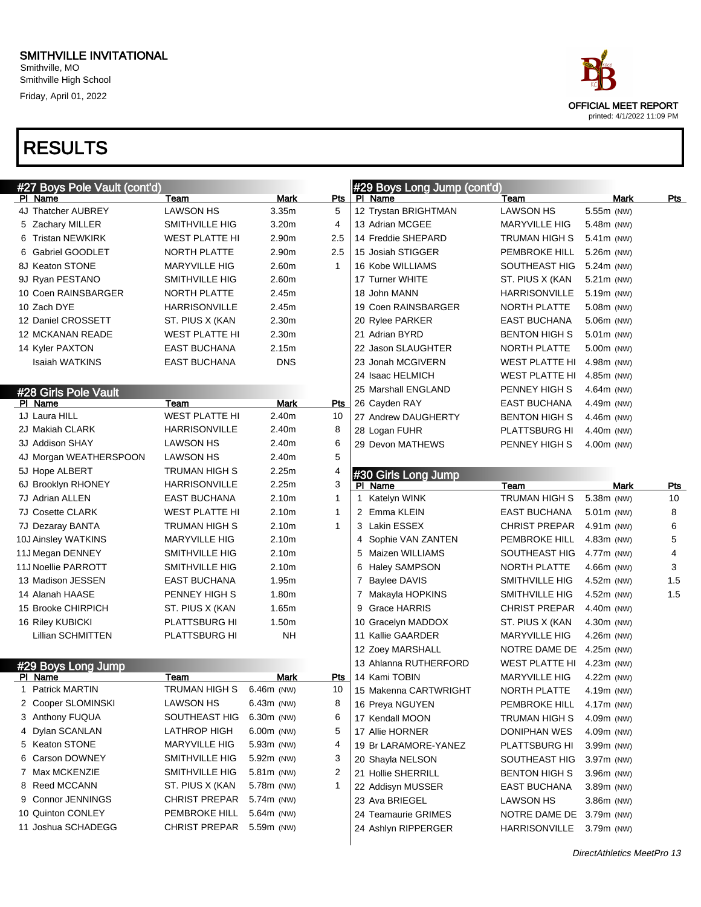Smithville, MO Smithville High School Friday, April 01, 2022

| ace.                       |
|----------------------------|
| OFFICIAL MEET REPORT       |
| printed: 4/1/2022 11:09 PM |

| #27 Boys Pole Vault (cont'd) |                       |                   |      | #29 Boys Long Jump (cont'd) |                          |            |            |
|------------------------------|-----------------------|-------------------|------|-----------------------------|--------------------------|------------|------------|
| PI Name                      | Team                  | Mark              | Pts  | PI Name                     | Team                     | Mark       | <b>Pts</b> |
| 4J Thatcher AUBREY           | <b>LAWSON HS</b>      | 3.35m             | 5    | 12 Trystan BRIGHTMAN        | <b>LAWSON HS</b>         | 5.55m (NW) |            |
| 5 Zachary MILLER             | SMITHVILLE HIG        | 3.20m             | 4    | 13 Adrian MCGEE             | <b>MARYVILLE HIG</b>     | 5.48m (NW) |            |
| 6 Tristan NEWKIRK            | <b>WEST PLATTE HI</b> | 2.90m             | 2.5  | 14 Freddie SHEPARD          | TRUMAN HIGH S            | 5.41m (NW) |            |
| 6 Gabriel GOODLET            | NORTH PLATTE          | 2.90m             | 2.5  | 15 Josiah STIGGER           | <b>PEMBROKE HILL</b>     | 5.26m (NW) |            |
| 8J Keaton STONE              | <b>MARYVILLE HIG</b>  | 2.60m             | 1    | 16 Kobe WILLIAMS            | SOUTHEAST HIG            | 5.24m (NW) |            |
| 9J Ryan PESTANO              | SMITHVILLE HIG        | 2.60m             |      | 17 Turner WHITE             | ST. PIUS X (KAN          | 5.21m (NW) |            |
| 10 Coen RAINSBARGER          | NORTH PLATTE          | 2.45m             |      | 18 John MANN                | <b>HARRISONVILLE</b>     | 5.19m (NW) |            |
| 10 Zach DYE                  | <b>HARRISONVILLE</b>  | 2.45m             |      | 19 Coen RAINSBARGER         | <b>NORTH PLATTE</b>      | 5.08m (NW) |            |
| 12 Daniel CROSSETT           | ST. PIUS X (KAN       | 2.30m             |      | 20 Rylee PARKER             | <b>EAST BUCHANA</b>      | 5.06m (NW) |            |
| <b>12 MCKANAN READE</b>      | <b>WEST PLATTE HI</b> | 2.30m             |      | 21 Adrian BYRD              | <b>BENTON HIGH S</b>     | 5.01m (NW) |            |
| 14 Kyler PAXTON              | <b>EAST BUCHANA</b>   | 2.15m             |      | 22 Jason SLAUGHTER          | NORTH PLATTE             | 5.00m (NW) |            |
| Isaiah WATKINS               | <b>EAST BUCHANA</b>   | <b>DNS</b>        |      | 23 Jonah MCGIVERN           | <b>WEST PLATTE HI</b>    | 4.98m (NW) |            |
|                              |                       |                   |      | 24 Isaac HELMICH            | <b>WEST PLATTE HI</b>    | 4.85m (NW) |            |
| #28 Girls Pole Vault         |                       |                   |      | 25 Marshall ENGLAND         | PENNEY HIGH S            | 4.64m (NW) |            |
| PI Name                      | Team                  | Mark              | Pts  | 26 Cayden RAY               | <b>EAST BUCHANA</b>      | 4.49m (NW) |            |
| 1J Laura HILL                | <b>WEST PLATTE HI</b> | 2.40m             | 10   | 27 Andrew DAUGHERTY         | <b>BENTON HIGH S</b>     | 4.46m (NW) |            |
| 2J Makiah CLARK              | <b>HARRISONVILLE</b>  | 2.40m             | 8    | 28 Logan FUHR               | <b>PLATTSBURG HI</b>     | 4.40m (NW) |            |
| 3J Addison SHAY              | <b>LAWSON HS</b>      | 2.40m             | 6    | 29 Devon MATHEWS            | PENNEY HIGH S            | 4.00m (NW) |            |
| 4J Morgan WEATHERSPOON       | <b>LAWSON HS</b>      | 2.40m             | 5    |                             |                          |            |            |
| 5J Hope ALBERT               | TRUMAN HIGH S         | 2.25m             | 4    | #30 Girls Long Jump         |                          |            |            |
| 6J Brooklyn RHONEY           | <b>HARRISONVILLE</b>  | 2.25m             | 3    | PI Name                     | Team                     | Mark       | Pts        |
| 7J Adrian ALLEN              | <b>EAST BUCHANA</b>   | 2.10m             | 1    | 1 Katelyn WINK              | <b>TRUMAN HIGH S</b>     | 5.38m (NW) | 10         |
| 7J Cosette CLARK             | <b>WEST PLATTE HI</b> | 2.10 <sub>m</sub> | 1    | 2 Emma KLEIN                | <b>EAST BUCHANA</b>      | 5.01m (NW) | 8          |
| 7J Dezaray BANTA             | TRUMAN HIGH S         | 2.10m             | 1    | 3 Lakin ESSEX               | <b>CHRIST PREPAR</b>     | 4.91m (NW) | 6          |
| 10J Ainsley WATKINS          | <b>MARYVILLE HIG</b>  | 2.10m             |      | 4 Sophie VAN ZANTEN         | PEMBROKE HILL            | 4.83m (NW) | 5          |
| 11J Megan DENNEY             | SMITHVILLE HIG        | 2.10m             |      | 5 Maizen WILLIAMS           | SOUTHEAST HIG            | 4.77m (NW) | 4          |
| 11J Noellie PARROTT          | SMITHVILLE HIG        | 2.10m             |      | 6 Haley SAMPSON             | NORTH PLATTE             | 4.66m (NW) | 3          |
| 13 Madison JESSEN            | <b>EAST BUCHANA</b>   | 1.95m             |      | 7 Baylee DAVIS              | SMITHVILLE HIG           | 4.52m (NW) | 1.5        |
| 14 Alanah HAASE              | PENNEY HIGH S         | 1.80m             |      | 7 Makayla HOPKINS           | SMITHVILLE HIG           | 4.52m (NW) | 1.5        |
| 15 Brooke CHIRPICH           | ST. PIUS X (KAN       | 1.65m             |      | 9 Grace HARRIS              | <b>CHRIST PREPAR</b>     | 4.40m (NW) |            |
| 16 Riley KUBICKI             | <b>PLATTSBURG HI</b>  | 1.50m             |      | 10 Gracelyn MADDOX          | ST. PIUS X (KAN          | 4.30m (NW) |            |
| Lillian SCHMITTEN            | PLATTSBURG HI         | <b>NH</b>         |      | 11 Kallie GAARDER           | <b>MARYVILLE HIG</b>     | 4.26m (NW) |            |
|                              |                       |                   |      | 12 Zoey MARSHALL            | NOTRE DAME DE 4.25m (NW) |            |            |
| #29 Boys Long Jump           |                       |                   |      | 13 Ahlanna RUTHERFORD       | WEST PLATTE HI           | 4.23m (NW) |            |
| PI Name                      | <u>Team</u>           | Mark              | Pts  | 14 Kami TOBIN               | <b>MARYVILLE HIG</b>     | 4.22m (NW) |            |
| 1 Patrick MARTIN             | TRUMAN HIGH S         | 6.46m (NW)        | $10$ | 15 Makenna CARTWRIGHT       | NORTH PLATTE             | 4.19m (NW) |            |
| 2 Cooper SLOMINSKI           | <b>LAWSON HS</b>      | $6.43m$ (NW)      | 8    | 16 Preya NGUYEN             | <b>PEMBROKE HILL</b>     | 4.17m (NW) |            |
| 3 Anthony FUQUA              | SOUTHEAST HIG         | $6.30m$ (NW)      | 6    | 17 Kendall MOON             | <b>TRUMAN HIGH S</b>     | 4.09m (NW) |            |
| 4 Dylan SCANLAN              | <b>LATHROP HIGH</b>   | $6.00m$ (NW)      | 5    | 17 Allie HORNER             | DONIPHAN WES             | 4.09m (NW) |            |
| 5 Keaton STONE               | <b>MARYVILLE HIG</b>  | 5.93m (NW)        | 4    | 19 Br LARAMORE-YANEZ        | PLATTSBURG HI            | 3.99m (NW) |            |
| 6 Carson DOWNEY              | SMITHVILLE HIG        | 5.92m (NW)        | 3    | 20 Shayla NELSON            | SOUTHEAST HIG            | 3.97m (NW) |            |
| 7 Max MCKENZIE               | SMITHVILLE HIG        | 5.81m (NW)        | 2    | 21 Hollie SHERRILL          | <b>BENTON HIGH S</b>     | 3.96m (NW) |            |
| 8 Reed MCCANN                | ST. PIUS X (KAN       | 5.78m (NW)        | 1    | 22 Addisyn MUSSER           | EAST BUCHANA             | 3.89m (NW) |            |
| 9 Connor JENNINGS            | <b>CHRIST PREPAR</b>  | 5.74m (NW)        |      | 23 Ava BRIEGEL              | <b>LAWSON HS</b>         | 3.86m (NW) |            |
| 10 Quinton CONLEY            | PEMBROKE HILL         | 5.64m (NW)        |      | 24 Teamaurie GRIMES         | NOTRE DAME DE 3.79m (NW) |            |            |
| 11 Joshua SCHADEGG           | <b>CHRIST PREPAR</b>  | 5.59m (NW)        |      | 24 Ashlyn RIPPERGER         | HARRISONVILLE 3.79m (NW) |            |            |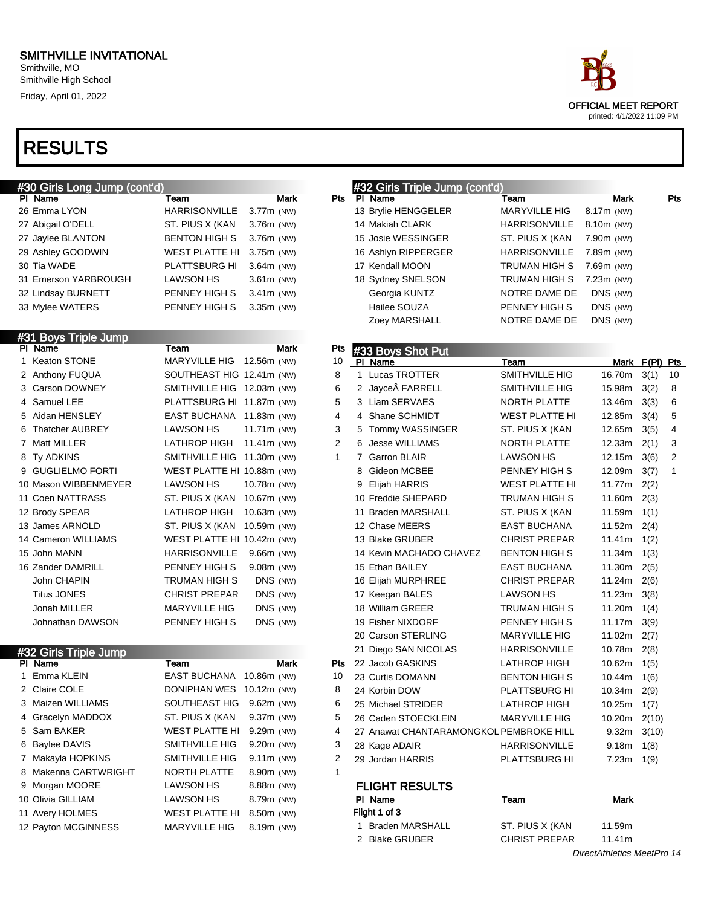Smithville, MO Smithville High School Friday, April 01, 2022



| #30 Girls Long Jump (cont'd) |                             |              |            | #32 Girls Triple Jump (cont'd)          |                      |                            |                |                |
|------------------------------|-----------------------------|--------------|------------|-----------------------------------------|----------------------|----------------------------|----------------|----------------|
| PI Name                      | Team                        | Mark         | Pts        | PI Name                                 | Team                 | Mark                       |                | <u>Pts</u>     |
| 26 Emma LYON                 | <b>HARRISONVILLE</b>        | 3.77m (NW)   |            | 13 Brylie HENGGELER                     | <b>MARYVILLE HIG</b> | 8.17m (NW)                 |                |                |
| 27 Abigail O'DELL            | ST. PIUS X (KAN             | 3.76m (NW)   |            | 14 Makiah CLARK                         | <b>HARRISONVILLE</b> | 8.10m (NW)                 |                |                |
| 27 Jaylee BLANTON            | BENTON HIGH S               | 3.76m (NW)   |            | 15 Josie WESSINGER                      | ST. PIUS X (KAN      | 7.90m (NW)                 |                |                |
| 29 Ashley GOODWIN            | WEST PLATTE HI              | 3.75m (NW)   |            | 16 Ashlyn RIPPERGER                     | <b>HARRISONVILLE</b> | 7.89m (NW)                 |                |                |
| 30 Tia WADE                  | <b>PLATTSBURG HI</b>        | $3.64m$ (NW) |            | 17 Kendall MOON                         | TRUMAN HIGH S        | 7.69m (NW)                 |                |                |
| 31 Emerson YARBROUGH         | <b>LAWSON HS</b>            | 3.61m (NW)   |            | 18 Sydney SNELSON                       | TRUMAN HIGH S        | $7.23m$ (NW)               |                |                |
| 32 Lindsay BURNETT           | PENNEY HIGH S               | $3.41m$ (NW) |            | Georgia KUNTZ                           | NOTRE DAME DE        | DNS (NW)                   |                |                |
| 33 Mylee WATERS              | PENNEY HIGH S               | 3.35m (NW)   |            | Hailee SOUZA                            | PENNEY HIGH S        | DNS (NW)                   |                |                |
|                              |                             |              |            | Zoey MARSHALL                           | NOTRE DAME DE        | DNS (NW)                   |                |                |
| #31 Boys Triple Jump         |                             |              |            |                                         |                      |                            |                |                |
| PI Name                      | Team                        | Mark         | <b>Pts</b> | #33 Boys Shot Put                       |                      |                            |                |                |
| 1 Keaton STONE               | <b>MARYVILLE HIG</b>        | 12.56m (NW)  | 10         | PI Name                                 | Team                 |                            | Mark F(PI) Pts |                |
| 2 Anthony FUQUA              | SOUTHEAST HIG 12.41m (NW)   |              | 8          | 1 Lucas TROTTER                         | SMITHVILLE HIG       | 16.70m                     | 3(1)           | 10             |
| 3 Carson DOWNEY              | SMITHVILLE HIG 12.03m (NW)  |              | 6          | 2 Jayce FARRELL                         | SMITHVILLE HIG       | 15.98m                     | 3(2)           | 8              |
| 4 Samuel LEE                 | PLATTSBURG HI 11.87m (NW)   |              | 5          | 3 Liam SERVAES                          | NORTH PLATTE         | 13.46m                     | 3(3)           | 6              |
| 5 Aidan HENSLEY              | EAST BUCHANA 11.83m (NW)    |              | 4          | Shane SCHMIDT<br>4                      | WEST PLATTE HI       | 12.85m                     | 3(4)           | 5              |
| <b>Thatcher AUBREY</b>       | <b>LAWSON HS</b>            | 11.71m (NW)  | 3          | Tommy WASSINGER<br>5                    | ST. PIUS X (KAN      | 12.65m                     | 3(5)           | $\overline{4}$ |
| 7 Matt MILLER                | <b>LATHROP HIGH</b>         | 11.41m (NW)  | 2          | <b>Jesse WILLIAMS</b><br>6              | <b>NORTH PLATTE</b>  | 12.33m                     | 2(1)           | 3              |
| 8 Ty ADKINS                  | SMITHVILLE HIG 11.30m (NW)  |              | 1          | <b>Garron BLAIR</b><br>7                | LAWSON HS            | 12.15m                     | 3(6)           | 2              |
| 9 GUGLIELMO FORTI            | WEST PLATTE HI 10.88m (NW)  |              |            | Gideon MCBEE<br>8                       | PENNEY HIGH S        | 12.09m                     | 3(7)           | 1              |
| 10 Mason WIBBENMEYER         | <b>LAWSON HS</b>            | 10.78m (NW)  |            | Elijah HARRIS<br>9                      | WEST PLATTE HI       | 11.77m                     | 2(2)           |                |
| 11 Coen NATTRASS             | ST. PIUS X (KAN 10.67m (NW) |              |            | 10 Freddie SHEPARD                      | TRUMAN HIGH S        | 11.60m                     | 2(3)           |                |
| 12 Brody SPEAR               | LATHROP HIGH                | 10.63m (NW)  |            | 11 Braden MARSHALL                      | ST. PIUS X (KAN      | 11.59m                     | 1(1)           |                |
| 13 James ARNOLD              | ST. PIUS X (KAN 10.59m (NW) |              |            | 12 Chase MEERS                          | <b>EAST BUCHANA</b>  | 11.52m                     | 2(4)           |                |
| 14 Cameron WILLIAMS          | WEST PLATTE HI 10.42m (NW)  |              |            | 13 Blake GRUBER                         | <b>CHRIST PREPAR</b> | 11.41m                     | 1(2)           |                |
| 15 John MANN                 | HARRISONVILLE               | $9.66m$ (NW) |            | 14 Kevin MACHADO CHAVEZ                 | <b>BENTON HIGH S</b> | 11.34m                     | 1(3)           |                |
| 16 Zander DAMRILL            | PENNEY HIGH S               | $9.08m$ (NW) |            | 15 Ethan BAILEY                         | <b>EAST BUCHANA</b>  | 11.30m                     | 2(5)           |                |
| John CHAPIN                  | TRUMAN HIGH S               | DNS (NW)     |            | 16 Elijah MURPHREE                      | <b>CHRIST PREPAR</b> | 11.24m                     | 2(6)           |                |
| <b>Titus JONES</b>           | <b>CHRIST PREPAR</b>        | DNS (NW)     |            | 17 Keegan BALES                         | <b>LAWSON HS</b>     | 11.23m                     | 3(8)           |                |
| Jonah MILLER                 | <b>MARYVILLE HIG</b>        | DNS (NW)     |            | 18 William GREER                        | TRUMAN HIGH S        | 11.20m                     | 1(4)           |                |
| Johnathan DAWSON             | PENNEY HIGH S               | DNS (NW)     |            | 19 Fisher NIXDORF                       | PENNEY HIGH S        | 11.17m                     | 3(9)           |                |
|                              |                             |              |            | 20 Carson STERLING                      | <b>MARYVILLE HIG</b> | 11.02m                     | 2(7)           |                |
| #32 Girls Triple Jump        |                             |              |            | 21 Diego SAN NICOLAS                    | HARRISONVILLE        | 10.78m                     | 2(8)           |                |
| PI Name                      | Team                        | Mark         | Pts        | 22 Jacob GASKINS                        | <b>LATHROP HIGH</b>  | 10.62m                     | 1(5)           |                |
| 1 Emma KLEIN                 | EAST BUCHANA 10.86m (NW)    |              | 10         | 23 Curtis DOMANN                        | <b>BENTON HIGH S</b> | $10.44m$ $1(6)$            |                |                |
| 2 Claire COLE                | DONIPHAN WES 10.12m (NW)    |              | 8          | 24 Korbin DOW                           | PLATTSBURG HI        | 10.34m 2(9)                |                |                |
| 3 Maizen WILLIAMS            | SOUTHEAST HIG 9.62m (NW)    |              | 6          | 25 Michael STRIDER                      | <b>LATHROP HIGH</b>  | 10.25m                     | 1(7)           |                |
| 4 Gracelyn MADDOX            | ST. PIUS X (KAN             | 9.37m (NW)   | 5          | 26 Caden STOECKLEIN                     | <b>MARYVILLE HIG</b> | 10.20m                     | 2(10)          |                |
| 5 Sam BAKER                  | WEST PLATTE HI 9.29m (NW)   |              | 4          | 27 Anawat CHANTARAMONGKOL PEMBROKE HILL |                      | 9.32 <sub>m</sub>          | 3(10)          |                |
| 6 Baylee DAVIS               | SMITHVILLE HIG              | 9.20m (NW)   | 3          | 28 Kage ADAIR                           | <b>HARRISONVILLE</b> | 9.18 <sub>m</sub>          | 1(8)           |                |
| 7 Makayla HOPKINS            | SMITHVILLE HIG              | $9.11m$ (NW) | 2          | 29 Jordan HARRIS                        | PLATTSBURG HI        | $7.23m$ 1(9)               |                |                |
| 8 Makenna CARTWRIGHT         | NORTH PLATTE                | 8.90m (NW)   | 1          |                                         |                      |                            |                |                |
| 9 Morgan MOORE               | LAWSON HS                   | 8.88m (NW)   |            | <b>FLIGHT RESULTS</b>                   |                      |                            |                |                |
| 10 Olivia GILLIAM            | <b>LAWSON HS</b>            | 8.79m (NW)   |            | <u>PI Name</u>                          | <u>Team</u>          | Mark                       |                |                |
| 11 Avery HOLMES              | WEST PLATTE HI              | 8.50m (NW)   |            | Flight 1 of 3                           |                      |                            |                |                |
| 12 Payton MCGINNESS          | MARYVILLE HIG               | 8.19m (NW)   |            | 1 Braden MARSHALL                       | ST. PIUS X (KAN      | 11.59m                     |                |                |
|                              |                             |              |            | 2 Blake GRUBER                          | <b>CHRIST PREPAR</b> | 11.41m                     |                |                |
|                              |                             |              |            |                                         |                      | DirectAthletics MeetPro 14 |                |                |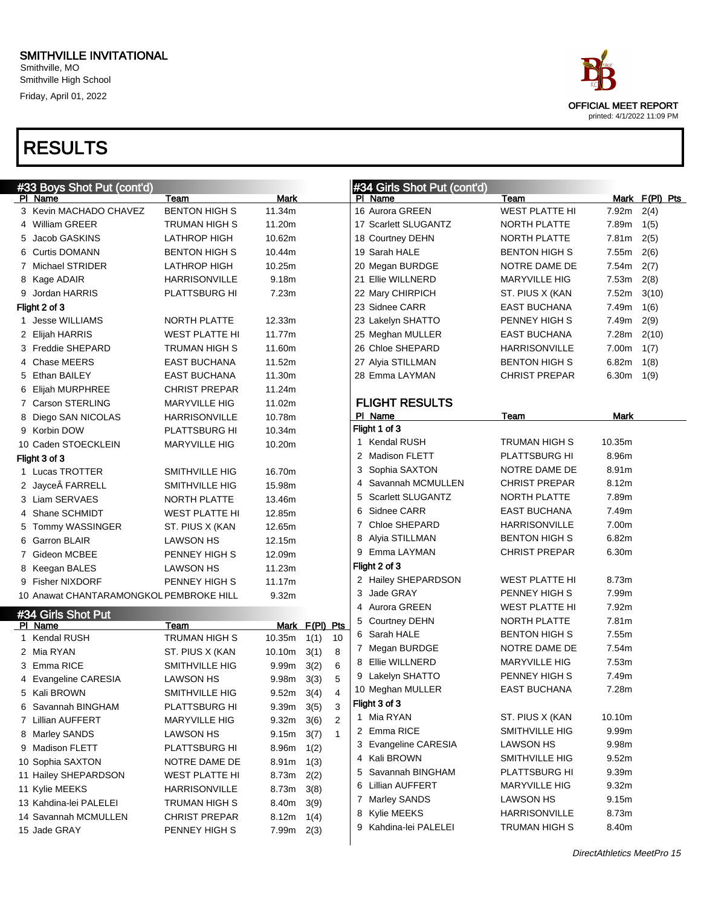Smithville, MO Smithville High School Friday, April 01, 2022



| PI Name<br>3 Kevin MACHADO CHAVEZ<br>4 William GREER | Team<br><b>BENTON HIGH S</b>                                                                                                                                                                                                                                    | <b>Mark</b>                                                                                                                                                                                                                                                                                                                                                           |                                                                                                                                                |                                                               | PI Name                                       |                                                                                                                                                                                                                                                                                                                                                 |                                                                                                                                                                                                                                                                                                                                                |                                                                                                                                               |
|------------------------------------------------------|-----------------------------------------------------------------------------------------------------------------------------------------------------------------------------------------------------------------------------------------------------------------|-----------------------------------------------------------------------------------------------------------------------------------------------------------------------------------------------------------------------------------------------------------------------------------------------------------------------------------------------------------------------|------------------------------------------------------------------------------------------------------------------------------------------------|---------------------------------------------------------------|-----------------------------------------------|-------------------------------------------------------------------------------------------------------------------------------------------------------------------------------------------------------------------------------------------------------------------------------------------------------------------------------------------------|------------------------------------------------------------------------------------------------------------------------------------------------------------------------------------------------------------------------------------------------------------------------------------------------------------------------------------------------|-----------------------------------------------------------------------------------------------------------------------------------------------|
|                                                      |                                                                                                                                                                                                                                                                 |                                                                                                                                                                                                                                                                                                                                                                       |                                                                                                                                                |                                                               |                                               | Team                                                                                                                                                                                                                                                                                                                                            |                                                                                                                                                                                                                                                                                                                                                | Mark F(PI) Pts                                                                                                                                |
|                                                      |                                                                                                                                                                                                                                                                 | 11.34m                                                                                                                                                                                                                                                                                                                                                                |                                                                                                                                                |                                                               | 16 Aurora GREEN                               | <b>WEST PLATTE HI</b>                                                                                                                                                                                                                                                                                                                           | 7.92m                                                                                                                                                                                                                                                                                                                                          | 2(4)                                                                                                                                          |
|                                                      | TRUMAN HIGH S                                                                                                                                                                                                                                                   | 11.20m                                                                                                                                                                                                                                                                                                                                                                |                                                                                                                                                |                                                               | 17 Scarlett SLUGANTZ                          | NORTH PLATTE                                                                                                                                                                                                                                                                                                                                    | 7.89m                                                                                                                                                                                                                                                                                                                                          | 1(5)                                                                                                                                          |
| 5 Jacob GASKINS                                      | <b>LATHROP HIGH</b>                                                                                                                                                                                                                                             | 10.62m                                                                                                                                                                                                                                                                                                                                                                |                                                                                                                                                |                                                               | 18 Courtney DEHN                              | NORTH PLATTE                                                                                                                                                                                                                                                                                                                                    | 7.81m                                                                                                                                                                                                                                                                                                                                          | 2(5)                                                                                                                                          |
| 6 Curtis DOMANN                                      | <b>BENTON HIGH S</b>                                                                                                                                                                                                                                            | 10.44m                                                                                                                                                                                                                                                                                                                                                                |                                                                                                                                                |                                                               | 19 Sarah HALE                                 | <b>BENTON HIGH S</b>                                                                                                                                                                                                                                                                                                                            | 7.55m                                                                                                                                                                                                                                                                                                                                          | 2(6)                                                                                                                                          |
| 7 Michael STRIDER                                    | LATHROP HIGH                                                                                                                                                                                                                                                    | 10.25m                                                                                                                                                                                                                                                                                                                                                                |                                                                                                                                                |                                                               | 20 Megan BURDGE                               | NOTRE DAME DE                                                                                                                                                                                                                                                                                                                                   | 7.54m                                                                                                                                                                                                                                                                                                                                          | 2(7)                                                                                                                                          |
| 8 Kage ADAIR                                         | <b>HARRISONVILLE</b>                                                                                                                                                                                                                                            | 9.18m                                                                                                                                                                                                                                                                                                                                                                 |                                                                                                                                                |                                                               | 21 Ellie WILLNERD                             | <b>MARYVILLE HIG</b>                                                                                                                                                                                                                                                                                                                            | 7.53m                                                                                                                                                                                                                                                                                                                                          | 2(8)                                                                                                                                          |
| 9 Jordan HARRIS                                      | PLATTSBURG HI                                                                                                                                                                                                                                                   | 7.23m                                                                                                                                                                                                                                                                                                                                                                 |                                                                                                                                                |                                                               | 22 Mary CHIRPICH                              | ST. PIUS X (KAN                                                                                                                                                                                                                                                                                                                                 | 7.52m                                                                                                                                                                                                                                                                                                                                          | 3(10)                                                                                                                                         |
| Flight 2 of 3                                        |                                                                                                                                                                                                                                                                 |                                                                                                                                                                                                                                                                                                                                                                       |                                                                                                                                                |                                                               | 23 Sidnee CARR                                | <b>EAST BUCHANA</b>                                                                                                                                                                                                                                                                                                                             | 7.49m                                                                                                                                                                                                                                                                                                                                          | 1(6)                                                                                                                                          |
| 1 Jesse WILLIAMS                                     | <b>NORTH PLATTE</b>                                                                                                                                                                                                                                             | 12.33m                                                                                                                                                                                                                                                                                                                                                                |                                                                                                                                                |                                                               | 23 Lakelyn SHATTO                             | PENNEY HIGH S                                                                                                                                                                                                                                                                                                                                   | 7.49m                                                                                                                                                                                                                                                                                                                                          | 2(9)                                                                                                                                          |
| 2 Elijah HARRIS                                      | WEST PLATTE HI                                                                                                                                                                                                                                                  | 11.77m                                                                                                                                                                                                                                                                                                                                                                |                                                                                                                                                |                                                               | 25 Meghan MULLER                              | <b>EAST BUCHANA</b>                                                                                                                                                                                                                                                                                                                             | 7.28m                                                                                                                                                                                                                                                                                                                                          | 2(10)                                                                                                                                         |
| 3 Freddie SHEPARD                                    | TRUMAN HIGH S                                                                                                                                                                                                                                                   | 11.60m                                                                                                                                                                                                                                                                                                                                                                |                                                                                                                                                |                                                               | 26 Chloe SHEPARD                              | <b>HARRISONVILLE</b>                                                                                                                                                                                                                                                                                                                            | 7.00m                                                                                                                                                                                                                                                                                                                                          | 1(7)                                                                                                                                          |
| 4 Chase MEERS                                        | <b>EAST BUCHANA</b>                                                                                                                                                                                                                                             | 11.52m                                                                                                                                                                                                                                                                                                                                                                |                                                                                                                                                |                                                               | 27 Alyia STILLMAN                             | <b>BENTON HIGH S</b>                                                                                                                                                                                                                                                                                                                            | 6.82m                                                                                                                                                                                                                                                                                                                                          | 1(8)                                                                                                                                          |
| 5 Ethan BAILEY                                       | <b>EAST BUCHANA</b>                                                                                                                                                                                                                                             | 11.30m                                                                                                                                                                                                                                                                                                                                                                |                                                                                                                                                |                                                               | 28 Emma LAYMAN                                | <b>CHRIST PREPAR</b>                                                                                                                                                                                                                                                                                                                            | 6.30m                                                                                                                                                                                                                                                                                                                                          | 1(9)                                                                                                                                          |
| 6 Elijah MURPHREE                                    | <b>CHRIST PREPAR</b>                                                                                                                                                                                                                                            | 11.24m                                                                                                                                                                                                                                                                                                                                                                |                                                                                                                                                |                                                               |                                               |                                                                                                                                                                                                                                                                                                                                                 |                                                                                                                                                                                                                                                                                                                                                |                                                                                                                                               |
| 7 Carson STERLING                                    | <b>MARYVILLE HIG</b>                                                                                                                                                                                                                                            | 11.02m                                                                                                                                                                                                                                                                                                                                                                |                                                                                                                                                |                                                               | <b>FLIGHT RESULTS</b>                         |                                                                                                                                                                                                                                                                                                                                                 |                                                                                                                                                                                                                                                                                                                                                |                                                                                                                                               |
| 8 Diego SAN NICOLAS                                  | <b>HARRISONVILLE</b>                                                                                                                                                                                                                                            | 10.78m                                                                                                                                                                                                                                                                                                                                                                |                                                                                                                                                |                                                               | PI Name                                       | Team                                                                                                                                                                                                                                                                                                                                            | Mark                                                                                                                                                                                                                                                                                                                                           |                                                                                                                                               |
| 9 Korbin DOW                                         | PLATTSBURG HI                                                                                                                                                                                                                                                   | 10.34m                                                                                                                                                                                                                                                                                                                                                                |                                                                                                                                                |                                                               | Flight 1 of 3                                 |                                                                                                                                                                                                                                                                                                                                                 |                                                                                                                                                                                                                                                                                                                                                |                                                                                                                                               |
| 10 Caden STOECKLEIN                                  |                                                                                                                                                                                                                                                                 | 10.20m                                                                                                                                                                                                                                                                                                                                                                |                                                                                                                                                |                                                               | 1 Kendal RUSH                                 | TRUMAN HIGH S                                                                                                                                                                                                                                                                                                                                   | 10.35m                                                                                                                                                                                                                                                                                                                                         |                                                                                                                                               |
| Flight 3 of 3                                        |                                                                                                                                                                                                                                                                 |                                                                                                                                                                                                                                                                                                                                                                       |                                                                                                                                                |                                                               | <b>Madison FLETT</b><br>2                     | PLATTSBURG HI                                                                                                                                                                                                                                                                                                                                   | 8.96m                                                                                                                                                                                                                                                                                                                                          |                                                                                                                                               |
| 1 Lucas TROTTER                                      |                                                                                                                                                                                                                                                                 |                                                                                                                                                                                                                                                                                                                                                                       |                                                                                                                                                |                                                               | Sophia SAXTON<br>3                            | NOTRE DAME DE                                                                                                                                                                                                                                                                                                                                   | 8.91m                                                                                                                                                                                                                                                                                                                                          |                                                                                                                                               |
|                                                      |                                                                                                                                                                                                                                                                 |                                                                                                                                                                                                                                                                                                                                                                       |                                                                                                                                                |                                                               | Savannah MCMULLEN                             | <b>CHRIST PREPAR</b>                                                                                                                                                                                                                                                                                                                            | 8.12m                                                                                                                                                                                                                                                                                                                                          |                                                                                                                                               |
|                                                      |                                                                                                                                                                                                                                                                 |                                                                                                                                                                                                                                                                                                                                                                       |                                                                                                                                                |                                                               | <b>Scarlett SLUGANTZ</b><br>5                 | NORTH PLATTE                                                                                                                                                                                                                                                                                                                                    | 7.89m                                                                                                                                                                                                                                                                                                                                          |                                                                                                                                               |
|                                                      |                                                                                                                                                                                                                                                                 |                                                                                                                                                                                                                                                                                                                                                                       |                                                                                                                                                |                                                               | Sidnee CARR<br>6                              | <b>EAST BUCHANA</b>                                                                                                                                                                                                                                                                                                                             | 7.49m                                                                                                                                                                                                                                                                                                                                          |                                                                                                                                               |
|                                                      |                                                                                                                                                                                                                                                                 |                                                                                                                                                                                                                                                                                                                                                                       |                                                                                                                                                |                                                               | Chloe SHEPARD<br>7                            |                                                                                                                                                                                                                                                                                                                                                 |                                                                                                                                                                                                                                                                                                                                                |                                                                                                                                               |
|                                                      |                                                                                                                                                                                                                                                                 |                                                                                                                                                                                                                                                                                                                                                                       |                                                                                                                                                |                                                               | 8                                             |                                                                                                                                                                                                                                                                                                                                                 |                                                                                                                                                                                                                                                                                                                                                |                                                                                                                                               |
|                                                      |                                                                                                                                                                                                                                                                 |                                                                                                                                                                                                                                                                                                                                                                       |                                                                                                                                                |                                                               |                                               |                                                                                                                                                                                                                                                                                                                                                 |                                                                                                                                                                                                                                                                                                                                                |                                                                                                                                               |
|                                                      |                                                                                                                                                                                                                                                                 |                                                                                                                                                                                                                                                                                                                                                                       |                                                                                                                                                |                                                               |                                               |                                                                                                                                                                                                                                                                                                                                                 |                                                                                                                                                                                                                                                                                                                                                |                                                                                                                                               |
|                                                      |                                                                                                                                                                                                                                                                 |                                                                                                                                                                                                                                                                                                                                                                       |                                                                                                                                                |                                                               |                                               |                                                                                                                                                                                                                                                                                                                                                 |                                                                                                                                                                                                                                                                                                                                                |                                                                                                                                               |
|                                                      |                                                                                                                                                                                                                                                                 |                                                                                                                                                                                                                                                                                                                                                                       |                                                                                                                                                |                                                               |                                               |                                                                                                                                                                                                                                                                                                                                                 |                                                                                                                                                                                                                                                                                                                                                |                                                                                                                                               |
|                                                      |                                                                                                                                                                                                                                                                 |                                                                                                                                                                                                                                                                                                                                                                       |                                                                                                                                                |                                                               |                                               |                                                                                                                                                                                                                                                                                                                                                 |                                                                                                                                                                                                                                                                                                                                                |                                                                                                                                               |
|                                                      |                                                                                                                                                                                                                                                                 |                                                                                                                                                                                                                                                                                                                                                                       |                                                                                                                                                |                                                               |                                               |                                                                                                                                                                                                                                                                                                                                                 |                                                                                                                                                                                                                                                                                                                                                |                                                                                                                                               |
| PI Name                                              |                                                                                                                                                                                                                                                                 |                                                                                                                                                                                                                                                                                                                                                                       |                                                                                                                                                |                                                               |                                               |                                                                                                                                                                                                                                                                                                                                                 |                                                                                                                                                                                                                                                                                                                                                |                                                                                                                                               |
|                                                      |                                                                                                                                                                                                                                                                 |                                                                                                                                                                                                                                                                                                                                                                       |                                                                                                                                                |                                                               |                                               |                                                                                                                                                                                                                                                                                                                                                 |                                                                                                                                                                                                                                                                                                                                                |                                                                                                                                               |
|                                                      |                                                                                                                                                                                                                                                                 |                                                                                                                                                                                                                                                                                                                                                                       |                                                                                                                                                |                                                               |                                               |                                                                                                                                                                                                                                                                                                                                                 |                                                                                                                                                                                                                                                                                                                                                |                                                                                                                                               |
|                                                      |                                                                                                                                                                                                                                                                 |                                                                                                                                                                                                                                                                                                                                                                       |                                                                                                                                                |                                                               |                                               |                                                                                                                                                                                                                                                                                                                                                 |                                                                                                                                                                                                                                                                                                                                                |                                                                                                                                               |
|                                                      |                                                                                                                                                                                                                                                                 |                                                                                                                                                                                                                                                                                                                                                                       |                                                                                                                                                |                                                               |                                               |                                                                                                                                                                                                                                                                                                                                                 |                                                                                                                                                                                                                                                                                                                                                |                                                                                                                                               |
|                                                      |                                                                                                                                                                                                                                                                 |                                                                                                                                                                                                                                                                                                                                                                       |                                                                                                                                                |                                                               |                                               |                                                                                                                                                                                                                                                                                                                                                 |                                                                                                                                                                                                                                                                                                                                                |                                                                                                                                               |
| 6 Savannah BINGHAM                                   |                                                                                                                                                                                                                                                                 |                                                                                                                                                                                                                                                                                                                                                                       |                                                                                                                                                |                                                               |                                               |                                                                                                                                                                                                                                                                                                                                                 |                                                                                                                                                                                                                                                                                                                                                |                                                                                                                                               |
| 7 Lillian AUFFERT                                    | <b>MARYVILLE HIG</b>                                                                                                                                                                                                                                            |                                                                                                                                                                                                                                                                                                                                                                       | 3(6)                                                                                                                                           | 2                                                             |                                               |                                                                                                                                                                                                                                                                                                                                                 |                                                                                                                                                                                                                                                                                                                                                |                                                                                                                                               |
| 8 Marley SANDS                                       | LAWSON HS                                                                                                                                                                                                                                                       | 9.15m                                                                                                                                                                                                                                                                                                                                                                 | 3(7)                                                                                                                                           | $\mathbf{1}$                                                  |                                               |                                                                                                                                                                                                                                                                                                                                                 |                                                                                                                                                                                                                                                                                                                                                |                                                                                                                                               |
| 9 Madison FLETT                                      | PLATTSBURG HI                                                                                                                                                                                                                                                   | 8.96m                                                                                                                                                                                                                                                                                                                                                                 | 1(2)                                                                                                                                           |                                                               |                                               |                                                                                                                                                                                                                                                                                                                                                 |                                                                                                                                                                                                                                                                                                                                                |                                                                                                                                               |
| 10 Sophia SAXTON                                     | NOTRE DAME DE                                                                                                                                                                                                                                                   | 8.91m                                                                                                                                                                                                                                                                                                                                                                 | 1(3)                                                                                                                                           |                                                               |                                               |                                                                                                                                                                                                                                                                                                                                                 |                                                                                                                                                                                                                                                                                                                                                |                                                                                                                                               |
| 11 Hailey SHEPARDSON                                 | WEST PLATTE HI                                                                                                                                                                                                                                                  | 8.73m                                                                                                                                                                                                                                                                                                                                                                 | 2(2)                                                                                                                                           |                                                               | 5                                             |                                                                                                                                                                                                                                                                                                                                                 | 9.39m                                                                                                                                                                                                                                                                                                                                          |                                                                                                                                               |
| 11 Kylie MEEKS                                       | <b>HARRISONVILLE</b>                                                                                                                                                                                                                                            | 8.73m                                                                                                                                                                                                                                                                                                                                                                 | 3(8)                                                                                                                                           |                                                               | <b>Lillian AUFFERT</b><br>6                   | <b>MARYVILLE HIG</b>                                                                                                                                                                                                                                                                                                                            | 9.32m                                                                                                                                                                                                                                                                                                                                          |                                                                                                                                               |
| 13 Kahdina-lei PALELEI                               | TRUMAN HIGH S                                                                                                                                                                                                                                                   | 8.40m                                                                                                                                                                                                                                                                                                                                                                 | 3(9)                                                                                                                                           |                                                               | 7 Marley SANDS                                | <b>LAWSON HS</b>                                                                                                                                                                                                                                                                                                                                | 9.15m                                                                                                                                                                                                                                                                                                                                          |                                                                                                                                               |
| 14 Savannah MCMULLEN                                 | <b>CHRIST PREPAR</b>                                                                                                                                                                                                                                            | 8.12m                                                                                                                                                                                                                                                                                                                                                                 | 1(4)                                                                                                                                           |                                                               | 8 Kylie MEEKS                                 | HARRISONVILLE                                                                                                                                                                                                                                                                                                                                   | 8.73m                                                                                                                                                                                                                                                                                                                                          |                                                                                                                                               |
| 15 Jade GRAY                                         | PENNEY HIGH S                                                                                                                                                                                                                                                   | $7.99m$ 2(3)                                                                                                                                                                                                                                                                                                                                                          |                                                                                                                                                |                                                               | 9 Kahdina-lei PALELEI                         | TRUMAN HIGH S                                                                                                                                                                                                                                                                                                                                   | 8.40m                                                                                                                                                                                                                                                                                                                                          |                                                                                                                                               |
|                                                      | 2 Jayce FARRELL<br>3 Liam SERVAES<br>4 Shane SCHMIDT<br>5 Tommy WASSINGER<br>6 Garron BLAIR<br>7 Gideon MCBEE<br>8 Keegan BALES<br>9 Fisher NIXDORF<br>#34 Girls Shot Put<br>1 Kendal RUSH<br>2 Mia RYAN<br>3 Emma RICE<br>4 Evangeline CARESIA<br>5 Kali BROWN | <b>MARYVILLE HIG</b><br><b>SMITHVILLE HIG</b><br><b>SMITHVILLE HIG</b><br><b>NORTH PLATTE</b><br>WEST PLATTE HI<br>ST. PIUS X (KAN<br><b>LAWSON HS</b><br>PENNEY HIGH S<br>LAWSON HS<br>PENNEY HIGH S<br>10 Anawat CHANTARAMONGKOL PEMBROKE HILL<br>Team<br>TRUMAN HIGH S<br>ST. PIUS X (KAN<br>SMITHVILLE HIG<br><b>LAWSON HS</b><br>SMITHVILLE HIG<br>PLATTSBURG HI | 16.70m<br>15.98m<br>13.46m<br>12.85m<br>12.65m<br>12.15m<br>12.09m<br>11.23m<br>11.17m<br>9.32m<br>10.35m<br>10.10m<br>9.99m<br>9.98m<br>9.32m | 1(1)<br>3(1)<br>3(2)<br>3(3)<br>$9.52m$ 3(4)<br>9.39m<br>3(5) | Mark F(PI) Pts<br>10<br>8<br>6<br>5<br>4<br>3 | Alyia STILLMAN<br>9 Emma LAYMAN<br>Flight 2 of 3<br>2 Hailey SHEPARDSON<br>Jade GRAY<br>3<br>Aurora GREEN<br>4<br>5 Courtney DEHN<br>Sarah HALE<br>6<br>7 Megan BURDGE<br>Ellie WILLNERD<br>8<br>9 Lakelyn SHATTO<br>10 Meghan MULLER<br>Flight 3 of 3<br>1 Mia RYAN<br>2 Emma RICE<br>3 Evangeline CARESIA<br>4 Kali BROWN<br>Savannah BINGHAM | <b>HARRISONVILLE</b><br><b>BENTON HIGH S</b><br><b>CHRIST PREPAR</b><br>WEST PLATTE HI<br>PENNEY HIGH S<br>WEST PLATTE HI<br>NORTH PLATTE<br><b>BENTON HIGH S</b><br>NOTRE DAME DE<br><b>MARYVILLE HIG</b><br>PENNEY HIGH S<br><b>EAST BUCHANA</b><br>ST. PIUS X (KAN<br>SMITHVILLE HIG<br><b>LAWSON HS</b><br>SMITHVILLE HIG<br>PLATTSBURG HI | 7.00m<br>6.82m<br>6.30m<br>8.73m<br>7.99m<br>7.92m<br>7.81m<br>7.55m<br>7.54m<br>7.53m<br>7.49m<br>7.28m<br>10.10m<br>9.99m<br>9.98m<br>9.52m |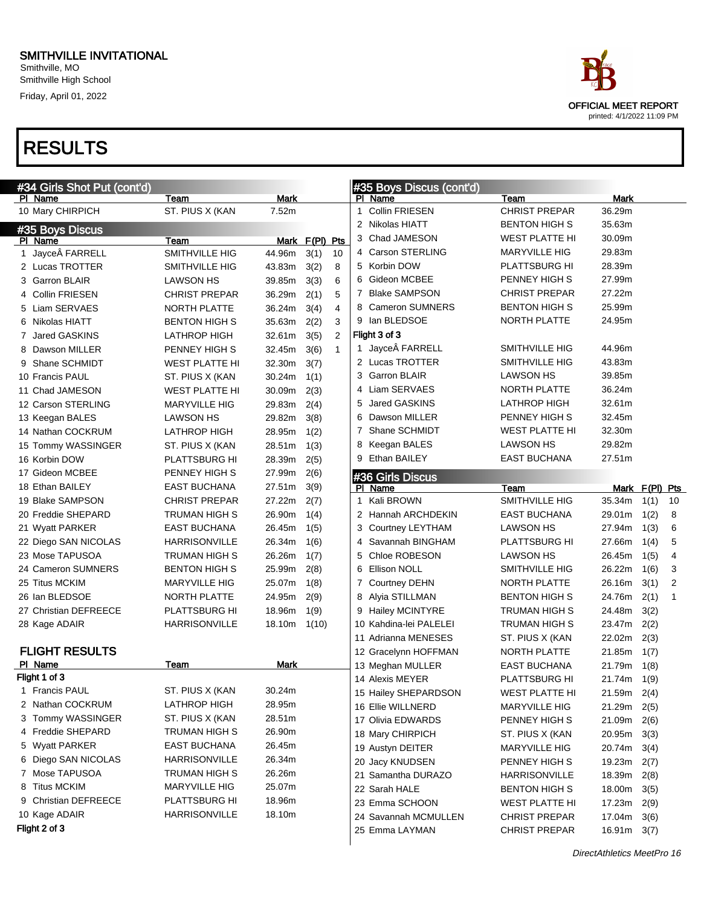Smithville, MO Smithville High School Friday, April 01, 2022

| #34 Girls Shot Put (cont'd)           |                                             |                  |                |                |              | #35 Boys Discus (cont'd) |                       |               |                |                |
|---------------------------------------|---------------------------------------------|------------------|----------------|----------------|--------------|--------------------------|-----------------------|---------------|----------------|----------------|
| PI Name                               | Team                                        | <b>Mark</b>      |                |                |              | PI Name                  | Team                  | Mark          |                |                |
| 10 Mary CHIRPICH                      | ST. PIUS X (KAN                             | 7.52m            |                |                | 1            | <b>Collin FRIESEN</b>    | <b>CHRIST PREPAR</b>  | 36.29m        |                |                |
| #35 Boys Discus                       |                                             |                  |                |                |              | 2 Nikolas HIATT          | <b>BENTON HIGH S</b>  | 35.63m        |                |                |
| PI Name                               | Team                                        |                  | Mark F(PI) Pts |                | 3            | Chad JAMESON             | <b>WEST PLATTE HI</b> | 30.09m        |                |                |
| 1 Jayce FARRELL                       | SMITHVILLE HIG                              | 44.96m           | 3(1)           | 10             |              | 4 Carson STERLING        | <b>MARYVILLE HIG</b>  | 29.83m        |                |                |
| 2 Lucas TROTTER                       | SMITHVILLE HIG                              | 43.83m           | 3(2)           | 8              |              | 5 Korbin DOW             | PLATTSBURG HI         | 28.39m        |                |                |
| 3 Garron BLAIR                        | <b>LAWSON HS</b>                            | 39.85m           | 3(3)           | 6              | 6            | Gideon MCBEE             | PENNEY HIGH S         | 27.99m        |                |                |
| 4 Collin FRIESEN                      | <b>CHRIST PREPAR</b>                        | 36.29m           | 2(1)           | 5              | 7            | <b>Blake SAMPSON</b>     | <b>CHRIST PREPAR</b>  | 27.22m        |                |                |
| 5 Liam SERVAES                        | <b>NORTH PLATTE</b>                         | 36.24m           | 3(4)           | $\overline{4}$ | 8            | <b>Cameron SUMNERS</b>   | <b>BENTON HIGH S</b>  | 25.99m        |                |                |
| 6 Nikolas HIATT                       | <b>BENTON HIGH S</b>                        | 35.63m           | 2(2)           | 3              |              | 9 Ian BLEDSOE            | NORTH PLATTE          | 24.95m        |                |                |
| 7 Jared GASKINS                       | <b>LATHROP HIGH</b>                         | 32.61m           | 3(5)           | 2              |              | Flight 3 of 3            |                       |               |                |                |
| 8 Dawson MILLER                       | PENNEY HIGH S                               | 32.45m           | 3(6)           | $\mathbf{1}$   |              | 1 Jayce FARRELL          | SMITHVILLE HIG        | 44.96m        |                |                |
| 9 Shane SCHMIDT                       | <b>WEST PLATTE HI</b>                       | 32.30m           | 3(7)           |                |              | 2 Lucas TROTTER          | SMITHVILLE HIG        | 43.83m        |                |                |
| 10 Francis PAUL                       | ST. PIUS X (KAN                             | 30.24m           | 1(1)           |                |              | 3 Garron BLAIR           | <b>LAWSON HS</b>      | 39.85m        |                |                |
| 11 Chad JAMESON                       | <b>WEST PLATTE HI</b>                       | 30.09m           | 2(3)           |                |              | 4 Liam SERVAES           | NORTH PLATTE          | 36.24m        |                |                |
| 12 Carson STERLING                    | <b>MARYVILLE HIG</b>                        | 29.83m           | 2(4)           |                | 5            | Jared GASKINS            | <b>LATHROP HIGH</b>   | 32.61m        |                |                |
| 13 Keegan BALES                       | <b>LAWSON HS</b>                            | 29.82m           | 3(8)           |                | 6            | Dawson MILLER            | PENNEY HIGH S         | 32.45m        |                |                |
| 14 Nathan COCKRUM                     | <b>LATHROP HIGH</b>                         | 28.95m           | 1(2)           |                | 7            | Shane SCHMIDT            | <b>WEST PLATTE HI</b> | 32.30m        |                |                |
| 15 Tommy WASSINGER                    | ST. PIUS X (KAN                             | 28.51m           | 1(3)           |                | 8            | Keegan BALES             | <b>LAWSON HS</b>      | 29.82m        |                |                |
| 16 Korbin DOW                         | <b>PLATTSBURG HI</b>                        | 28.39m           | 2(5)           |                |              | 9 Ethan BAILEY           | <b>EAST BUCHANA</b>   | 27.51m        |                |                |
| 17 Gideon MCBEE                       | PENNEY HIGH S                               | 27.99m           | 2(6)           |                |              | #36 Girls Discus         |                       |               |                |                |
| 18 Ethan BAILEY                       | <b>EAST BUCHANA</b>                         | 27.51m           | 3(9)           |                |              | PI Name                  | Team                  |               | Mark F(PI) Pts |                |
| 19 Blake SAMPSON                      | <b>CHRIST PREPAR</b>                        | 27.22m           | 2(7)           |                | $\mathbf{1}$ | Kali BROWN               | SMITHVILLE HIG        | 35.34m        | 1(1)           | 10             |
| 20 Freddie SHEPARD                    | TRUMAN HIGH S                               | 26.90m           | 1(4)           |                |              | 2 Hannah ARCHDEKIN       | <b>EAST BUCHANA</b>   | 29.01m        | 1(2)           | 8              |
| 21 Wyatt PARKER                       | <b>EAST BUCHANA</b>                         | 26.45m           | 1(5)           |                |              | 3 Courtney LEYTHAM       | <b>LAWSON HS</b>      | 27.94m        | 1(3)           | 6              |
| 22 Diego SAN NICOLAS                  | <b>HARRISONVILLE</b>                        | 26.34m           | 1(6)           |                |              | 4 Savannah BINGHAM       | <b>PLATTSBURG HI</b>  | 27.66m        | 1(4)           | 5              |
| 23 Mose TAPUSOA                       | TRUMAN HIGH S                               | 26.26m           | 1(7)           |                | 5            | Chloe ROBESON            | <b>LAWSON HS</b>      | 26.45m        | 1(5)           | 4              |
| 24 Cameron SUMNERS                    | <b>BENTON HIGH S</b>                        | 25.99m           | 2(8)           |                | 6            | <b>Ellison NOLL</b>      | SMITHVILLE HIG        | 26.22m        | 1(6)           | 3              |
| 25 Titus MCKIM                        | <b>MARYVILLE HIG</b>                        | 25.07m           | 1(8)           |                |              | 7 Courtney DEHN          | NORTH PLATTE          | 26.16m        | 3(1)           | $\overline{2}$ |
| 26 Ian BLEDSOE                        | NORTH PLATTE                                | 24.95m           | 2(9)           |                |              | 8 Alyia STILLMAN         | <b>BENTON HIGH S</b>  | 24.76m        | 2(1)           | $\mathbf{1}$   |
| 27 Christian DEFREECE                 | PLATTSBURG HI                               | 18.96m           | 1(9)           |                |              | 9 Hailey MCINTYRE        | <b>TRUMAN HIGH S</b>  | 24.48m        | 3(2)           |                |
| 28 Kage ADAIR                         | <b>HARRISONVILLE</b>                        | 18.10m           | 1(10)          |                |              | 10 Kahdina-lei PALELEI   | <b>TRUMAN HIGH S</b>  | 23.47m        | 2(2)           |                |
|                                       |                                             |                  |                |                |              | 11 Adrianna MENESES      | ST. PIUS X (KAN       | 22.02m        | 2(3)           |                |
| <b>FLIGHT RESULTS</b>                 |                                             |                  |                |                |              | 12 Gracelynn HOFFMAN     | NORTH PLATTE          | 21.85m        | 1(7)           |                |
| PI Name                               | Team                                        | Mark             |                |                |              | 13 Meghan MULLER         | <b>EAST BUCHANA</b>   | 21.79m        | 1(8)           |                |
| Flight 1 of 3                         |                                             |                  |                |                |              | 14 Alexis MEYER          | PLATTSBURG HI         | 21.74m 1(9)   |                |                |
| 1 Francis PAUL                        | ST. PIUS X (KAN                             | 30.24m           |                |                |              | 15 Hailey SHEPARDSON     | <b>WEST PLATTE HI</b> | 21.59m 2(4)   |                |                |
| 2 Nathan COCKRUM<br>3 Tommy WASSINGER | LATHROP HIGH                                | 28.95m           |                |                |              | 16 Ellie WILLNERD        | <b>MARYVILLE HIG</b>  | 21.29m        | 2(5)           |                |
|                                       | ST. PIUS X (KAN                             | 28.51m           |                |                |              | 17 Olivia EDWARDS        | PENNEY HIGH S         | 21.09m        | 2(6)           |                |
| 4 Freddie SHEPARD                     | TRUMAN HIGH S                               | 26.90m           |                |                |              | 18 Mary CHIRPICH         | ST. PIUS X (KAN       | 20.95m        | 3(3)           |                |
| 5 Wyatt PARKER<br>6 Diego SAN NICOLAS | <b>EAST BUCHANA</b><br><b>HARRISONVILLE</b> | 26.45m<br>26.34m |                |                |              | 19 Austyn DEITER         | <b>MARYVILLE HIG</b>  | 20.74m        | 3(4)           |                |
|                                       |                                             |                  |                |                |              | 20 Jacy KNUDSEN          | PENNEY HIGH S         | 19.23m        | 2(7)           |                |
| 7 Mose TAPUSOA<br>8 Titus MCKIM       | TRUMAN HIGH S<br><b>MARYVILLE HIG</b>       | 26.26m<br>25.07m |                |                |              | 21 Samantha DURAZO       | <b>HARRISONVILLE</b>  | 18.39m        | 2(8)           |                |
| 9 Christian DEFREECE                  | <b>PLATTSBURG HI</b>                        | 18.96m           |                |                |              | 22 Sarah HALE            | <b>BENTON HIGH S</b>  | 18.00m        | 3(5)           |                |
| 10 Kage ADAIR                         | <b>HARRISONVILLE</b>                        | 18.10m           |                |                |              | 23 Emma SCHOON           | <b>WEST PLATTE HI</b> | 17.23m        | 2(9)           |                |
| Flight 2 of 3                         |                                             |                  |                |                |              | 24 Savannah MCMULLEN     | <b>CHRIST PREPAR</b>  | 17.04m        | 3(6)           |                |
|                                       |                                             |                  |                |                |              | 25 Emma LAYMAN           | <b>CHRIST PREPAR</b>  | $16.91m$ 3(7) |                |                |

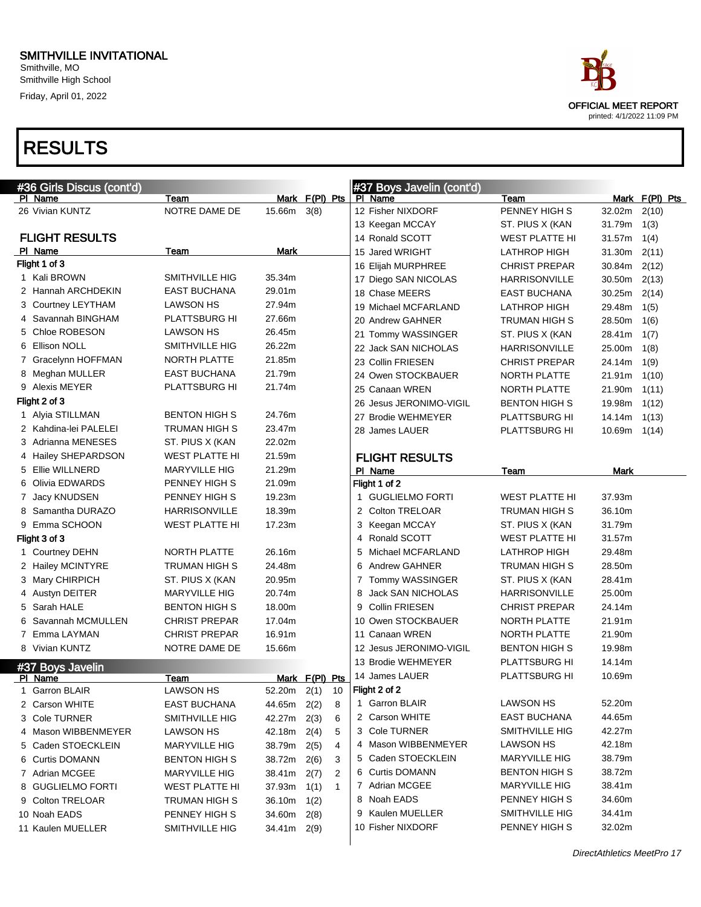Smithville, MO Smithville High School Friday, April 01, 2022

# RESULTS

| #36 Girls Discus (cont'd)   |                       |             |                      |   | #37 Boys Javelin (cont'd) |                       |        |                |  |
|-----------------------------|-----------------------|-------------|----------------------|---|---------------------------|-----------------------|--------|----------------|--|
| PI Name                     | Team                  |             | Mark F(PI) Pts       |   | PI Name                   | Team                  |        | Mark F(PI) Pts |  |
| 26 Vivian KUNTZ             | NOTRE DAME DE         | 15.66m      | 3(8)                 |   | 12 Fisher NIXDORF         | PENNEY HIGH S         | 32.02m | 2(10)          |  |
|                             |                       |             |                      |   | 13 Keegan MCCAY           | ST. PIUS X (KAN       | 31.79m | 1(3)           |  |
| <b>FLIGHT RESULTS</b>       |                       |             |                      |   | 14 Ronald SCOTT           | WEST PLATTE HI        | 31.57m | 1(4)           |  |
| PI Name                     | Team                  | Mark        |                      |   | 15 Jared WRIGHT           | <b>LATHROP HIGH</b>   | 31.30m | 2(11)          |  |
| Flight 1 of 3               |                       |             |                      |   | 16 Elijah MURPHREE        | <b>CHRIST PREPAR</b>  | 30.84m | 2(12)          |  |
| 1 Kali BROWN                | <b>SMITHVILLE HIG</b> | 35.34m      |                      |   | 17 Diego SAN NICOLAS      | <b>HARRISONVILLE</b>  | 30.50m | 2(13)          |  |
| 2 Hannah ARCHDEKIN          | <b>EAST BUCHANA</b>   | 29.01m      |                      |   | 18 Chase MEERS            | <b>EAST BUCHANA</b>   | 30.25m | 2(14)          |  |
| 3 Courtney LEYTHAM          | LAWSON HS             | 27.94m      |                      |   | 19 Michael MCFARLAND      | <b>LATHROP HIGH</b>   | 29.48m | 1(5)           |  |
| 4 Savannah BINGHAM          | PLATTSBURG HI         | 27.66m      |                      |   | 20 Andrew GAHNER          | TRUMAN HIGH S         | 28.50m | 1(6)           |  |
| 5 Chloe ROBESON             | LAWSON HS             | 26.45m      |                      |   | 21 Tommy WASSINGER        | ST. PIUS X (KAN       | 28.41m | 1(7)           |  |
| 6 Ellison NOLL              | SMITHVILLE HIG        | 26.22m      |                      |   | 22 Jack SAN NICHOLAS      | <b>HARRISONVILLE</b>  | 25.00m | 1(8)           |  |
| 7 Gracelynn HOFFMAN         | <b>NORTH PLATTE</b>   | 21.85m      |                      |   | 23 Collin FRIESEN         | <b>CHRIST PREPAR</b>  | 24.14m | 1(9)           |  |
| 8 Meghan MULLER             | <b>EAST BUCHANA</b>   | 21.79m      |                      |   | 24 Owen STOCKBAUER        | NORTH PLATTE          | 21.91m | 1(10)          |  |
| 9 Alexis MEYER              | PLATTSBURG HI         | 21.74m      |                      |   | 25 Canaan WREN            | NORTH PLATTE          | 21.90m | 1(11)          |  |
| Flight 2 of 3               |                       |             |                      |   | 26 Jesus JERONIMO-VIGIL   | <b>BENTON HIGH S</b>  | 19.98m | 1(12)          |  |
| 1 Alyia STILLMAN            | <b>BENTON HIGH S</b>  | 24.76m      |                      |   | 27 Brodie WEHMEYER        | PLATTSBURG HI         | 14.14m | 1(13)          |  |
| 2 Kahdina-lei PALELEI       | TRUMAN HIGH S         | 23.47m      |                      |   | 28 James LAUER            | PLATTSBURG HI         | 10.69m | 1(14)          |  |
| 3 Adrianna MENESES          | ST. PIUS X (KAN       | 22.02m      |                      |   |                           |                       |        |                |  |
| 4 Hailey SHEPARDSON         | <b>WEST PLATTE HI</b> | 21.59m      |                      |   | <b>FLIGHT RESULTS</b>     |                       |        |                |  |
| 5 Ellie WILLNERD            | <b>MARYVILLE HIG</b>  | 21.29m      |                      |   | PI Name                   | Team                  | Mark   |                |  |
| 6 Olivia EDWARDS            | PENNEY HIGH S         | 21.09m      |                      |   | Flight 1 of 2             |                       |        |                |  |
| 7 Jacy KNUDSEN              | PENNEY HIGH S         | 19.23m      |                      |   | 1 GUGLIELMO FORTI         | <b>WEST PLATTE HI</b> | 37.93m |                |  |
| 8 Samantha DURAZO           | <b>HARRISONVILLE</b>  | 18.39m      |                      |   | 2 Colton TRELOAR          | TRUMAN HIGH S         | 36.10m |                |  |
| 9 Emma SCHOON               | <b>WEST PLATTE HI</b> | 17.23m      |                      |   | 3 Keegan MCCAY            | ST. PIUS X (KAN       | 31.79m |                |  |
| Flight 3 of 3               |                       |             |                      | 4 | Ronald SCOTT              | WEST PLATTE HI        | 31.57m |                |  |
| 1 Courtney DEHN             | NORTH PLATTE          | 26.16m      |                      | 5 | Michael MCFARLAND         | <b>LATHROP HIGH</b>   | 29.48m |                |  |
| 2 Hailey MCINTYRE           | TRUMAN HIGH S         | 24.48m      |                      | 6 | <b>Andrew GAHNER</b>      | TRUMAN HIGH S         | 28.50m |                |  |
| 3 Mary CHIRPICH             | ST. PIUS X (KAN       | 20.95m      |                      | 7 | Tommy WASSINGER           | ST. PIUS X (KAN       | 28.41m |                |  |
| 4 Austyn DEITER             | <b>MARYVILLE HIG</b>  | 20.74m      |                      | 8 | <b>Jack SAN NICHOLAS</b>  | <b>HARRISONVILLE</b>  | 25.00m |                |  |
| 5 Sarah HALE                | <b>BENTON HIGH S</b>  | 18.00m      |                      | 9 | <b>Collin FRIESEN</b>     | <b>CHRIST PREPAR</b>  | 24.14m |                |  |
| 6 Savannah MCMULLEN         | <b>CHRIST PREPAR</b>  | 17.04m      |                      |   | 10 Owen STOCKBAUER        | NORTH PLATTE          | 21.91m |                |  |
| 7 Emma LAYMAN               | <b>CHRIST PREPAR</b>  | 16.91m      |                      |   | 11 Canaan WREN            | NORTH PLATTE          | 21.90m |                |  |
| 8 Vivian KUNTZ              | NOTRE DAME DE         | 15.66m      |                      |   | 12 Jesus JERONIMO-VIGIL   | <b>BENTON HIGH S</b>  | 19.98m |                |  |
|                             |                       |             |                      |   | 13 Brodie WEHMEYER        | PLATTSBURG HI         | 14.14m |                |  |
| #37 Boys Javelin<br>PI Name | Team                  |             | Mark F(PI) Pts       |   | 14 James LAUER            | PLATTSBURG HI         | 10.69m |                |  |
| 1 Garron BLAIR              | <b>LAWSON HS</b>      | 52.20m      | 2(1)<br>10           |   | Flight 2 of 2             |                       |        |                |  |
| 2 Carson WHITE              | <b>EAST BUCHANA</b>   | 44.65m 2(2) | 8                    | 1 | <b>Garron BLAIR</b>       | LAWSON HS             | 52.20m |                |  |
| 3 Cole TURNER               | SMITHVILLE HIG        | 42.27m      | 2(3)<br>6            |   | 2 Carson WHITE            | <b>EAST BUCHANA</b>   | 44.65m |                |  |
| 4 Mason WIBBENMEYER         | LAWSON HS             | 42.18m      | 2(4)<br>5            |   | 3 Cole TURNER             | SMITHVILLE HIG        | 42.27m |                |  |
| 5 Caden STOECKLEIN          | <b>MARYVILLE HIG</b>  | 38.79m      | 2(5)<br>4            |   | 4 Mason WIBBENMEYER       | LAWSON HS             | 42.18m |                |  |
| 6 Curtis DOMANN             | <b>BENTON HIGH S</b>  | 38.72m      | 2(6)<br>3            |   | 5 Caden STOECKLEIN        | <b>MARYVILLE HIG</b>  | 38.79m |                |  |
| 7 Adrian MCGEE              | <b>MARYVILLE HIG</b>  | 38.41m      | 2(7)<br>2            |   | 6 Curtis DOMANN           | <b>BENTON HIGH S</b>  | 38.72m |                |  |
| 8 GUGLIELMO FORTI           | <b>WEST PLATTE HI</b> | 37.93m      | 1(1)<br>$\mathbf{1}$ |   | 7 Adrian MCGEE            | <b>MARYVILLE HIG</b>  | 38.41m |                |  |
| 9 Colton TRELOAR            | TRUMAN HIGH S         | 36.10m      | 1(2)                 |   | 8 Noah EADS               | PENNEY HIGH S         | 34.60m |                |  |
| 10 Noah EADS                | PENNEY HIGH S         | 34.60m      | 2(8)                 |   | Kaulen MUELLER            | SMITHVILLE HIG        | 34.41m |                |  |
| 11 Kaulen MUELLER           | SMITHVILLE HIG        | 34.41m 2(9) |                      |   | 10 Fisher NIXDORF         | PENNEY HIGH S         | 32.02m |                |  |
|                             |                       |             |                      |   |                           |                       |        |                |  |



printed: 4/1/2022 11:09 PM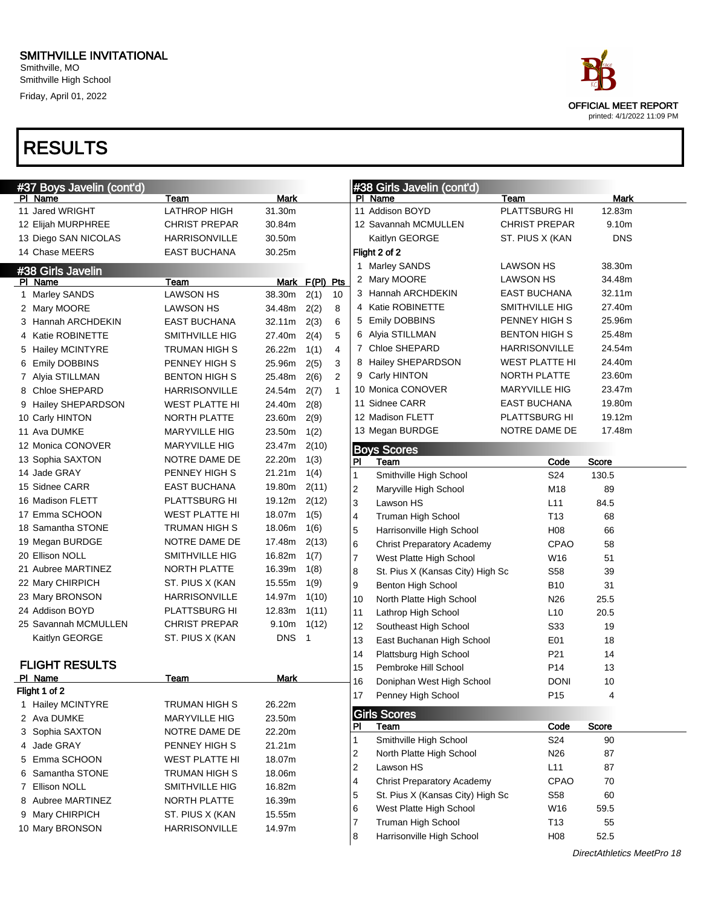

| #37 Boys Javelin (cont'd)             |                                       |                  |                |                |                                       | #38 Girls Javelin (cont'd)                                  |                                             |                  |
|---------------------------------------|---------------------------------------|------------------|----------------|----------------|---------------------------------------|-------------------------------------------------------------|---------------------------------------------|------------------|
| PI Name                               | Team                                  | Mark             |                |                |                                       | PI Name                                                     | Team                                        | Mark             |
| 11 Jared WRIGHT                       | <b>LATHROP HIGH</b>                   | 31.30m           |                |                |                                       | 11 Addison BOYD                                             | PLATTSBURG HI                               | 12.83m           |
| 12 Elijah MURPHREE                    | <b>CHRIST PREPAR</b>                  | 30.84m           |                |                |                                       | 12 Savannah MCMULLEN                                        | <b>CHRIST PREPAR</b>                        | 9.10m            |
| 13 Diego SAN NICOLAS                  | <b>HARRISONVILLE</b>                  | 30.50m           |                |                |                                       | Kaitlyn GEORGE                                              | ST. PIUS X (KAN                             | <b>DNS</b>       |
| 14 Chase MEERS                        | <b>EAST BUCHANA</b>                   | 30.25m           |                |                |                                       | Flight 2 of 2                                               |                                             |                  |
| #38 Girls Javelin                     |                                       |                  |                |                |                                       | 1 Marley SANDS                                              | LAWSON HS                                   | 38.30m           |
| PI Name                               | Team                                  |                  | Mark F(PI) Pts |                |                                       | 2 Mary MOORE                                                | <b>LAWSON HS</b>                            | 34.48m           |
| 1 Marley SANDS                        | <b>LAWSON HS</b>                      | 38.30m           | 2(1)           | 10             |                                       | 3 Hannah ARCHDEKIN                                          | <b>EAST BUCHANA</b>                         | 32.11m           |
| 2 Mary MOORE                          | <b>LAWSON HS</b>                      | 34.48m           | 2(2)           | 8              |                                       | 4 Katie ROBINETTE                                           | SMITHVILLE HIG                              | 27.40m           |
| 3 Hannah ARCHDEKIN                    | <b>EAST BUCHANA</b>                   | 32.11m           | 2(3)           | 6              |                                       | 5 Emily DOBBINS                                             | PENNEY HIGH S                               | 25.96m           |
| 4 Katie ROBINETTE                     | SMITHVILLE HIG                        | 27.40m           | 2(4)           | 5              |                                       | 6 Alyia STILLMAN                                            | <b>BENTON HIGH S</b>                        | 25.48m           |
| 5 Hailey MCINTYRE                     | TRUMAN HIGH S                         | 26.22m           | 1(1)           | $\overline{4}$ |                                       | 7 Chloe SHEPARD                                             | <b>HARRISONVILLE</b>                        | 24.54m           |
| 6 Emily DOBBINS                       | PENNEY HIGH S                         | 25.96m           | 2(5)           | 3              |                                       | 8 Hailey SHEPARDSON                                         | <b>WEST PLATTE HI</b>                       | 24.40m           |
| 7 Alyia STILLMAN                      | <b>BENTON HIGH S</b>                  | 25.48m           | 2(6)           | 2              |                                       | 9 Carly HINTON                                              | NORTH PLATTE                                | 23.60m           |
| 8 Chloe SHEPARD                       | <b>HARRISONVILLE</b>                  | 24.54m           | 2(7)           | $\mathbf{1}$   |                                       | 10 Monica CONOVER<br>11 Sidnee CARR                         | <b>MARYVILLE HIG</b><br><b>EAST BUCHANA</b> | 23.47m<br>19.80m |
| 9 Hailey SHEPARDSON                   | <b>WEST PLATTE HI</b>                 | 24.40m           | 2(8)           |                |                                       | 12 Madison FLETT                                            | PLATTSBURG HI                               | 19.12m           |
| 10 Carly HINTON                       | NORTH PLATTE                          | 23.60m           | 2(9)           |                |                                       |                                                             | NOTRE DAME DE                               | 17.48m           |
| 11 Ava DUMKE                          | <b>MARYVILLE HIG</b>                  | 23.50m           | 1(2)           |                |                                       | 13 Megan BURDGE                                             |                                             |                  |
| 12 Monica CONOVER<br>13 Sophia SAXTON | <b>MARYVILLE HIG</b><br>NOTRE DAME DE | 23.47m<br>22.20m | 2(10)          |                |                                       | <b>Boys Scores</b>                                          |                                             |                  |
| 14 Jade GRAY                          | PENNEY HIGH S                         | 21.21m           | 1(3)<br>1(4)   |                | <b>PI</b>                             | Team                                                        | Code                                        | <b>Score</b>     |
| 15 Sidnee CARR                        | <b>EAST BUCHANA</b>                   | 19.80m           | 2(11)          |                | $\mathbf{1}$                          | Smithville High School                                      | S24                                         | 130.5            |
| 16 Madison FLETT                      | PLATTSBURG HI                         | 19.12m           | 2(12)          |                | $\boldsymbol{2}$                      | Maryville High School                                       | M18                                         | 89               |
| 17 Emma SCHOON                        | <b>WEST PLATTE HI</b>                 | 18.07m           | 1(5)           |                | 3                                     | Lawson HS                                                   | L11                                         | 84.5             |
| 18 Samantha STONE                     | <b>TRUMAN HIGH S</b>                  | 18.06m           | 1(6)           |                | 4                                     | Truman High School                                          | T13                                         | 68               |
| 19 Megan BURDGE                       | NOTRE DAME DE                         | 17.48m           | 2(13)          |                | 5                                     | Harrisonville High School                                   | H <sub>08</sub>                             | 66               |
| 20 Ellison NOLL                       | SMITHVILLE HIG                        | 16.82m           | 1(7)           |                | 6                                     | <b>Christ Preparatory Academy</b>                           | <b>CPAO</b>                                 | 58               |
| 21 Aubree MARTINEZ                    | NORTH PLATTE                          | 16.39m           | 1(8)           |                | $\overline{7}$                        | West Platte High School                                     | W16                                         | 51               |
| 22 Mary CHIRPICH                      | ST. PIUS X (KAN                       | 15.55m           | 1(9)           |                | 8<br>9                                | St. Pius X (Kansas City) High Sc                            | S <sub>58</sub><br><b>B10</b>               | 39<br>31         |
| 23 Mary BRONSON                       | <b>HARRISONVILLE</b>                  | 14.97m           | 1(10)          |                | 10                                    | Benton High School                                          |                                             | 25.5             |
| 24 Addison BOYD                       | PLATTSBURG HI                         | 12.83m           | 1(11)          |                | 11                                    | North Platte High School<br>Lathrop High School             | N26<br>L <sub>10</sub>                      | 20.5             |
| 25 Savannah MCMULLEN                  | <b>CHRIST PREPAR</b>                  | 9.10m            | 1(12)          |                | 12                                    | Southeast High School                                       | S33                                         | 19               |
| Kaitlyn GEORGE                        | ST. PIUS X (KAN                       | <b>DNS</b>       | $\overline{1}$ |                | 13                                    | East Buchanan High School                                   | E01                                         | 18               |
|                                       |                                       |                  |                |                | 14                                    | Plattsburg High School                                      | P <sub>21</sub>                             | 14               |
| <b>FLIGHT RESULTS</b>                 |                                       |                  |                |                | 15                                    | Pembroke Hill School                                        | P <sub>14</sub>                             | 13               |
| PI Name                               | Team                                  | Mark             |                |                | 16                                    | Doniphan West High School                                   | <b>DONI</b>                                 | 10               |
| Flight 1 of 2                         |                                       |                  |                |                | 17                                    | Penney High School                                          | P <sub>15</sub>                             | 4                |
| 1 Hailey MCINTYRE                     | <b>TRUMAN HIGH S</b>                  | 26.22m           |                |                |                                       |                                                             |                                             |                  |
| 2 Ava DUMKE                           | <b>MARYVILLE HIG</b>                  | 23.50m           |                |                |                                       | <b>Girls Scores</b>                                         |                                             |                  |
| 3 Sophia SAXTON                       | NOTRE DAME DE                         | 22.20m           |                |                | PI                                    | Team                                                        | Code                                        | Score            |
| 4 Jade GRAY                           | PENNEY HIGH S                         | 21.21m           |                |                | $\mathbf{1}$                          | Smithville High School                                      | S24                                         | 90<br>87         |
| 5 Emma SCHOON                         | WEST PLATTE HI                        | 18.07m           |                |                | $\overline{\mathbf{c}}$<br>$\sqrt{2}$ | North Platte High School<br>Lawson HS                       | N <sub>26</sub><br>L11                      | 87               |
| 6 Samantha STONE                      | TRUMAN HIGH S                         | 18.06m           |                |                | $\overline{\mathbf{4}}$               | <b>Christ Preparatory Academy</b>                           | <b>CPAO</b>                                 | 70               |
| 7 Ellison NOLL                        | SMITHVILLE HIG                        | 16.82m           |                |                |                                       |                                                             |                                             |                  |
| 8 Aubree MARTINEZ                     | NORTH PLATTE                          | 16.39m           |                |                | 5<br>6                                | St. Pius X (Kansas City) High Sc<br>West Platte High School | S58<br>W16                                  | 60<br>59.5       |
| 9 Mary CHIRPICH                       | ST. PIUS X (KAN                       | 15.55m           |                |                | $\overline{7}$                        | Truman High School                                          | T <sub>13</sub>                             | 55               |
| 10 Mary BRONSON                       | HARRISONVILLE                         | 14.97m           |                |                | 8                                     | Harrisonville High School                                   | H08                                         | 52.5             |
|                                       |                                       |                  |                |                |                                       |                                                             |                                             |                  |